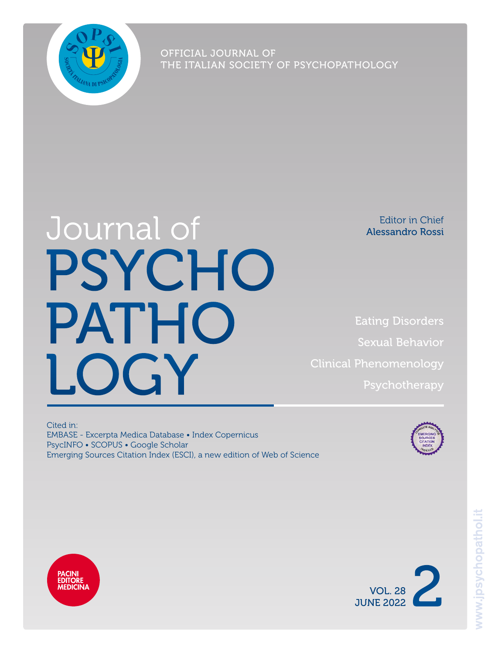

OFFICIAL JOURNAL OF THE ITALIAN SOCIETY OF PSYCHOPATHOLOGY

# Journal of PSYCHO **PATHO** LOGY

Editor in Chief Alessandro Rossi

Eating Disorders Sexual Behavior Clinical Phenomenology Psychotherapy

Cited in: EMBASE - Excerpta Medica Database • Index Copernicus PsycINFO • SCOPUS • Google Scholar Emerging Sources Citation Index (ESCI), a new edition of Web of Science





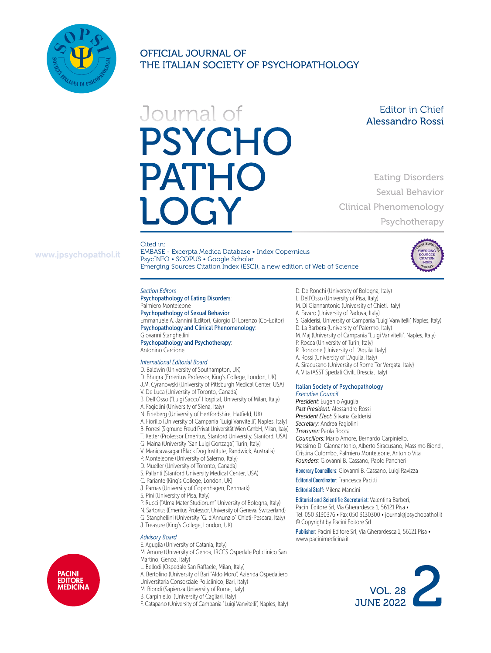

OFFICIAL JOURNAL OF THE ITALIAN SOCIETY OF PSYCHOPATHOLOGY

# Journal of **PSYCHO PATHO**

Editor in Chief Alessandro Rossi

> Eating Disorders Sexual Behavior

Psychotherapy

Clinical Phenomenology

# www.jpsychopathol.it

Cited in: EMBASE - Excerpta Medica Database • Index Copernicus PsycINFO • SCOPUS • Google Scholar Emerging Sources Citation Index (ESCI), a new edition of Web of Science

#### *Section Editors*

Psychopathology of Eating Disorders: Palmiero Monteleone Psychopathology of Sexual Behavior:

Emmanuele A. Jannini (Editor), Giorgio Di Lorenzo (Co-Editor) Psychopathology and Clinical Phenomenology: Giovanni Stanghellini Psychopathology and Psychotherapy:

Antonino Carcione

#### *International Editorial Board*

- D. Baldwin (University of Southampton, UK)
- D. Bhugra (Emeritus Professor, King's College, London, UK)
- J.M. Cyranowski (University of Pittsburgh Medical Center, USA)
- V. De Luca (University of Toronto, Canada)
- B. Dell'Osso ("Luigi Sacco" Hospital, University of Milan, Italy)
- A. Fagiolini (University of Siena, Italy)
- N. Fineberg (University of Hertfordshire, Hatfield, UK)
- A. Fiorillo (University of Campania "Luigi Vanvitelli", Naples, Italy)
- B. Forresi (Sigmund Freud Privat Universität Wien GmbH, Milan, Italy)
- T. Ketter (Professor Emeritus, Stanford University, Stanford, USA)
- G. Maina (University "San Luigi Gonzaga", Turin, Italy)
- V. Manicavasagar (Black Dog Institute, Randwick, Australia)
- P. Monteleone (University of Salerno, Italy)
- D. Mueller (University of Toronto, Canada)
- S. Pallanti (Stanford University Medical Center, USA)
- C. Pariante (King's College, London, UK)
- J. Parnas (University of Copenhagen, Denmark)
- S. Pini (University of Pisa, Italy)
- P. Rucci ("Alma Mater Studiorum" University of Bologna, Italy)
- N. Sartorius (Emeritus Professor, University of Geneva, Switzerland)
- G. Stanghellini (University "G. d'Annunzio" Chieti-Pescara, Italy)
- J. Treasure (King's College, London, UK)

#### *Advisory Board*

- E. Aguglia (University of Catania, Italy)
- M. Amore (University of Genoa, IRCCS Ospedale Policlinico San Martino, Genoa, Italy)
- L. Bellodi (Ospedale San Raffaele, Milan, Italy)
- A. Bertolino (University of Bari "Aldo Moro", Azienda Ospedaliero
- Universitaria Consorziale Policlinico, Bari, Italy)
- M. Biondi (Sapienza University of Rome, Italy)
- B. Carpiniello (University of Cagliari, Italy)
- F. Catapano (University of Campania "Luigi Vanvitelli", Naples, Italy)
- D. De Ronchi (University of Bologna, Italy)
- 
- 
- 
- S. Galderisi, University of Campania "Luigi Vanvitelli", Naples, Italy)
- D. La Barbera (University of Palermo, Italy)
- M. Maj (University of Campania "Luigi Vanvitelli", Naples, Italy)
- P. Rocca (University of Turin, Italy)
- R. Roncone (University of L'Aquila, Italy)
- A. Rossi (University of L'Aquila, Italy)
- A. Siracusano (University of Rome Tor Vergata, Italy)
- A. Vita (ASST Spedali Civili, Brescia, Italy)

#### Italian Society of Psychopathology *Executive Council*

*President:* Eugenio Aguglia *Past President:* Alessandro Rossi *President Elect:* Silvana Galderisi *Secretary:* Andrea Fagiolini *Treasurer:* Paola Rocca *Councillors:* Mario Amore, Bernardo Carpiniello, Massimo Di Giannantonio, Alberto Siracusano, Massimo Biondi, Cristina Colombo, Palmiero Monteleone, Antonio Vita *Founders:* Giovanni B. Cassano, Paolo Pancheri Honorary Councillors: Giovanni B. Cassano, Luigi Ravizza

Editorial Coordinator: Francesca Pacitti

Editorial Staff: Milena Mancini

Editorial and Scientific Secretariat: Valentina Barberi, Pacini Editore Srl, Via Gherardesca 1, 56121 Pisa • Tel. 050 3130376 • Fax 050 3130300 • journal@jpsychopathol.it © Copyright by Pacini Editore Srl

Publisher: Pacini Editore Srl, Via Gherardesca 1, 56121 Pisa • www.pacinimedicina.it







- L. Dell'Osso (University of Pisa, Italy) M. Di Giannantonio (University of Chieti, Italy)
	- A. Favaro (University of Padova, Italy)
		-
	-
	-
	-
	-
	-
	-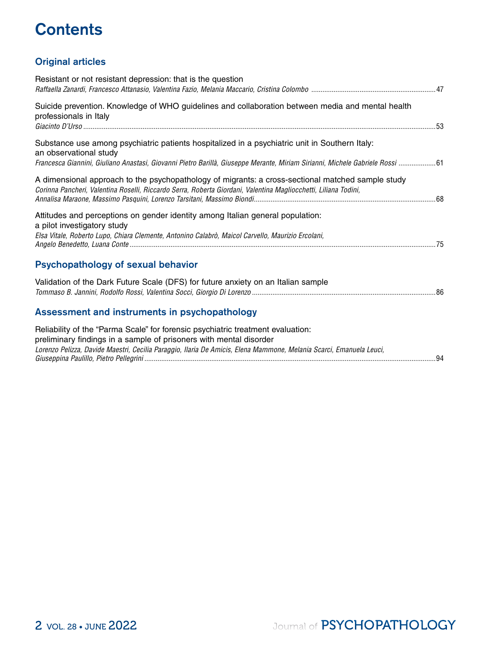# **Contents**

# Original articles

| Resistant or not resistant depression: that is the question                                                                                                                                                                                                                  |  |
|------------------------------------------------------------------------------------------------------------------------------------------------------------------------------------------------------------------------------------------------------------------------------|--|
| Suicide prevention. Knowledge of WHO guidelines and collaboration between media and mental health<br>professionals in Italy                                                                                                                                                  |  |
| Substance use among psychiatric patients hospitalized in a psychiatric unit in Southern Italy:<br>an observational study<br>Francesca Giannini, Giuliano Anastasi, Giovanni Pietro Barillà, Giuseppe Merante, Miriam Sirianni, Michele Gabriele Rossi 61                     |  |
| A dimensional approach to the psychopathology of migrants: a cross-sectional matched sample study<br>Corinna Pancheri, Valentina Roselli, Riccardo Serra, Roberta Giordani, Valentina Magliocchetti, Liliana Todini,                                                         |  |
| Attitudes and perceptions on gender identity among Italian general population:<br>a pilot investigatory study<br>Elsa Vitale, Roberto Lupo, Chiara Clemente, Antonino Calabrò, Maicol Carvello, Maurizio Ercolani,                                                           |  |
| Psychopathology of sexual behavior                                                                                                                                                                                                                                           |  |
| Validation of the Dark Future Scale (DFS) for future anxiety on an Italian sample                                                                                                                                                                                            |  |
| Assessment and instruments in psychopathology                                                                                                                                                                                                                                |  |
| Reliability of the "Parma Scale" for forensic psychiatric treatment evaluation:<br>preliminary findings in a sample of prisoners with mental disorder<br>Lorenzo Pelizza, Davide Maestri, Cecilia Paraggio, Ilaria De Amicis, Elena Mammone, Melania Scarci, Emanuela Leuci, |  |

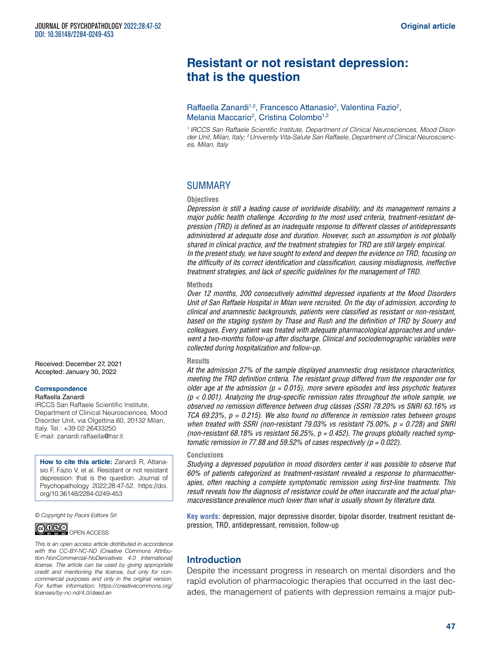# **Resistant or not resistant depression: that is the question**

Raffaella Zanardi<sup>1,2</sup>, Francesco Attanasio<sup>2</sup>, Valentina Fazio<sup>2</sup>, Melania Maccario<sup>2</sup>, Cristina Colombo<sup>1,2</sup>

*1 IRCCS San Raffaele Scientific Institute, Department of Clinical Neurosciences, Mood Disor*der Unit, Milan, Italy; <sup>2</sup> University Vita-Salute San Raffaele, Department of Clinical Neuroscienc*es, Milan, Italy*

# SUMMARY

#### **Objectives**

*Depression is still a leading cause of worldwide disability, and its management remains a major public health challenge. According to the most used criteria, treatment-resistant depression (TRD) is defined as an inadequate response to different classes of antidepressants administered at adequate dose and duration. However, such an assumption is not globally shared in clinical practice, and the treatment strategies for TRD are still largely empirical. In the present study, we have sought to extend and deepen the evidence on TRD, focusing on the difficulty of its correct identification and classification, causing misdiagnosis, ineffective treatment strategies, and lack of specific guidelines for the management of TRD.*

#### **Methods**

*Over 12 months, 200 consecutively admitted depressed inpatients at the Mood Disorders Unit of San Raffaele Hospital in Milan were recruited. On the day of admission, according to clinical and anamnestic backgrounds, patients were classified as resistant or non-resistant, based on the staging system by Thase and Rush and the definition of TRD by Souery and colleagues. Every patient was treated with adequate pharmacological approaches and underwent a two-months follow-up after discharge. Clinical and sociodemographic variables were collected during hospitalization and follow-up.* 

#### **Results**

*At the admission 27% of the sample displayed anamnestic drug resistance characteristics, meeting the TRD definition criteria. The resistant group differed from the responder one for older age at the admission (p = 0.015), more severe episodes and less psychotic features (p < 0.001). Analyzing the drug-specific remission rates throughout the whole sample, we observed no remission difference between drug classes (SSRI 78.20% vs SNRI 63.16% vs TCA 69.23%, p = 0.215). We also found no difference in remission rates between groups when treated with SSRI (non-resistant 79.03% vs resistant 75.00%, p = 0.728) and SNRI (non-resistant 68.18% vs resistant 56.25%, p = 0.452). The groups globally reached symptomatic remission in 77.88 and 59.52% of cases respectively (p = 0.022).*

#### **Conclusions**

*Studying a depressed population in mood disorders center it was possible to observe that 60% of patients categorized as treatment-resistant revealed a response to pharmacotherapies, often reaching a complete symptomatic remission using first-line treatments. This result reveals how the diagnosis of resistance could be often inaccurate and the actual pharmacoresistance prevalence much lower than what is usually shown by literature data.*

**Key words:** depression, major depressive disorder, bipolar disorder, treatment resistant depression, TRD, antidepressant, remission, follow-up

# Introduction

Despite the incessant progress in research on mental disorders and the rapid evolution of pharmacologic therapies that occurred in the last decades, the management of patients with depression remains a major pub-

Received: December 27, 2021 Accepted: January 30, 2022

#### **Correspondence**  Raffaella Zanardi

IRCCS San Raffaele Scientific Institute, Department of Clinical Neurosciences, Mood Disorder Unit, via Olgettina 60, 20132 Milan, Italy. Tel.: +39 02 26433250. E-mail: [zanardi.raffaella@hsr.it](mailto:zanardi.raffaella@hsr.it)

**How to cite this article:** Zanardi R, Attanasio F, Fazio V, et al. Resistant or not resistant depression: that is the question. Journal of Psychopathology 2022;28:47-52. [https://doi.](https://doi.org/10.36148/2284-0249-453) [org/10.36148/2284-0249-453](https://doi.org/10.36148/2284-0249-453)

*© Copyright by Pacini Editore Srl*

*[licenses/by-nc-nd/4.0/deed.en](https://creativecommons.org/licenses/by-nc-nd/4.0/deed.en)*



*This is an open access article distributed in accordance with the CC-BY-NC-ND (Creative Commons Attribution-NonCommercial-NoDerivatives 4.0 International) license. The article can be used by giving appropriate credit and mentioning the license, but only for noncommercial purposes and only in the original version.* 

*For further information: [https://creativecommons.org/](https://creativecommons.org/licenses/by-nc-nd/4.0/deed.en)*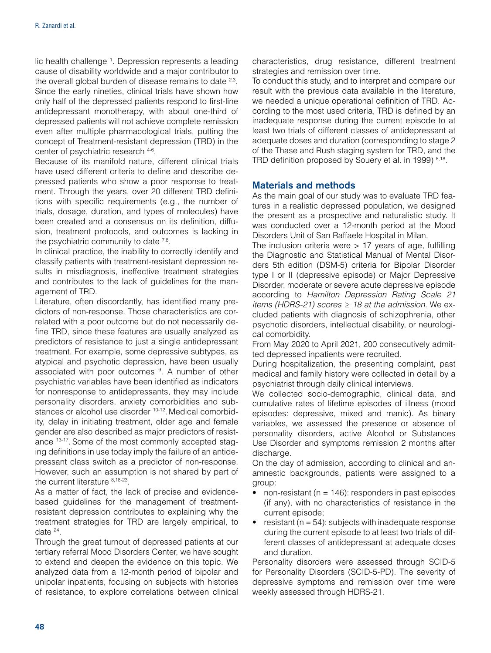lic health challenge <sup>1</sup>. Depression represents a leading cause of disability worldwide and a major contributor to the overall global burden of disease remains to date <sup>2,3</sup>. Since the early nineties, clinical trials have shown how only half of the depressed patients respond to first-line antidepressant monotherapy, with about one-third of depressed patients will not achieve complete remission even after multiple pharmacological trials, putting the concept of Treatment-resistant depression (TRD) in the center of psychiatric research 4-6.

Because of its manifold nature, different clinical trials have used different criteria to define and describe depressed patients who show a poor response to treatment. Through the years, over 20 different TRD definitions with specific requirements (e.g., the number of trials, dosage, duration, and types of molecules) have been created and a consensus on its definition, diffusion, treatment protocols, and outcomes is lacking in the psychiatric community to date  $7,8$ .

In clinical practice, the inability to correctly identify and classify patients with treatment-resistant depression results in misdiagnosis, ineffective treatment strategies and contributes to the lack of guidelines for the management of TRD.

Literature, often discordantly, has identified many predictors of non-response. Those characteristics are correlated with a poor outcome but do not necessarily define TRD, since these features are usually analyzed as predictors of resistance to just a single antidepressant treatment. For example, some depressive subtypes, as atypical and psychotic depression, have been usually associated with poor outcomes <sup>9</sup>. A number of other psychiatric variables have been identified as indicators for nonresponse to antidepressants, they may include personality disorders, anxiety comorbidities and substances or alcohol use disorder <sup>10-12</sup>. Medical comorbidity, delay in initiating treatment, older age and female gender are also described as major predictors of resistance 13-17. Some of the most commonly accepted staging definitions in use today imply the failure of an antidepressant class switch as a predictor of non-response. However, such an assumption is not shared by part of the current literature 8,18-23.

As a matter of fact, the lack of precise and evidencebased guidelines for the management of treatmentresistant depression contributes to explaining why the treatment strategies for TRD are largely empirical, to date 24.

Through the great turnout of depressed patients at our tertiary referral Mood Disorders Center, we have sought to extend and deepen the evidence on this topic. We analyzed data from a 12-month period of bipolar and unipolar inpatients, focusing on subjects with histories of resistance, to explore correlations between clinical

characteristics, drug resistance, different treatment strategies and remission over time.

To conduct this study, and to interpret and compare our result with the previous data available in the literature, we needed a unique operational definition of TRD. According to the most used criteria, TRD is defined by an inadequate response during the current episode to at least two trials of different classes of antidepressant at adequate doses and duration (corresponding to stage 2 of the Thase and Rush staging system for TRD, and the TRD definition proposed by Souery et al. in 1999) 8,18.

# Materials and methods

As the main goal of our study was to evaluate TRD features in a realistic depressed population, we designed the present as a prospective and naturalistic study. It was conducted over a 12-month period at the Mood Disorders Unit of San Raffaele Hospital in Milan.

The inclusion criteria were  $> 17$  years of age, fulfilling the Diagnostic and Statistical Manual of Mental Disorders 5th edition (DSM-5) criteria for Bipolar Disorder type I or II (depressive episode) or Major Depressive Disorder, moderate or severe acute depressive episode according to *Hamilton Depression Rating Scale 21 items (HDRS-21) scores ≥ 18 at the admission.* We excluded patients with diagnosis of schizophrenia, other psychotic disorders, intellectual disability, or neurological comorbidity.

From May 2020 to April 2021, 200 consecutively admitted depressed inpatients were recruited.

During hospitalization, the presenting complaint, past medical and family history were collected in detail by a psychiatrist through daily clinical interviews.

We collected socio-demographic, clinical data, and cumulative rates of lifetime episodes of illness (mood episodes: depressive, mixed and manic). As binary variables, we assessed the presence or absence of personality disorders, active Alcohol or Substances Use Disorder and symptoms remission 2 months after discharge.

On the day of admission, according to clinical and anamnestic backgrounds, patients were assigned to a group:

- non-resistant ( $n = 146$ ): responders in past episodes (if any), with no characteristics of resistance in the current episode;
- resistant ( $n = 54$ ): subjects with inadequate response during the current episode to at least two trials of different classes of antidepressant at adequate doses and duration.

Personality disorders were assessed through SCID-5 for Personality Disorders (SCID-5-PD). The severity of depressive symptoms and remission over time were weekly assessed through HDRS-21.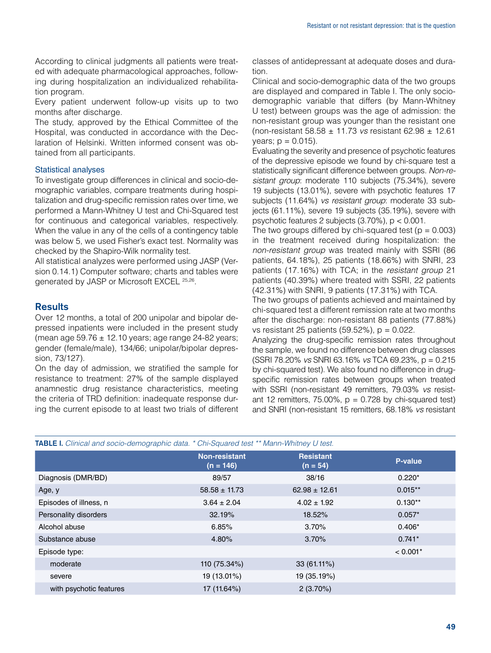According to clinical judgments all patients were treated with adequate pharmacological approaches, following during hospitalization an individualized rehabilitation program.

Every patient underwent follow-up visits up to two months after discharge.

The study, approved by the Ethical Committee of the Hospital, was conducted in accordance with the Declaration of Helsinki. Written informed consent was obtained from all participants.

#### Statistical analyses

To investigate group differences in clinical and socio-demographic variables, compare treatments during hospitalization and drug-specific remission rates over time, we performed a Mann-Whitney U test and Chi-Squared test for continuous and categorical variables, respectively. When the value in any of the cells of a contingency table was below 5, we used Fisher's exact test. Normality was checked by the Shapiro-Wilk normality test.

All statistical analyzes were performed using JASP (Version 0.14.1) Computer software; charts and tables were generated by JASP or Microsoft EXCEL 25,26.

# **Results**

Over 12 months, a total of 200 unipolar and bipolar depressed inpatients were included in the present study (mean age  $59.76 \pm 12.10$  years; age range 24-82 years; gender (female/male), 134/66; unipolar/bipolar depression, 73/127).

On the day of admission, we stratified the sample for resistance to treatment: 27% of the sample displayed anamnestic drug resistance characteristics, meeting the criteria of TRD definition: inadequate response during the current episode to at least two trials of different classes of antidepressant at adequate doses and duration.

Clinical and socio-demographic data of the two groups are displayed and compared in Table I. The only sociodemographic variable that differs (by Mann-Whitney U test) between groups was the age of admission: the non-resistant group was younger than the resistant one (non-resistant 58.58 ± 11.73 *vs* resistant 62.98 ± 12.61  $years; p = 0.015$ ).

Evaluating the severity and presence of psychotic features of the depressive episode we found by chi-square test a statistically significant difference between groups. *Non-resistant group*: moderate 110 subjects (75.34%), severe 19 subjects (13.01%), severe with psychotic features 17 subjects (11.64%) *vs resistant group*: moderate 33 subjects (61.11%), severe 19 subjects (35.19%), severe with psychotic features 2 subjects (3.70%), p < 0.001.

The two groups differed by chi-squared test ( $p = 0.003$ ) in the treatment received during hospitalization: the *non-resistant group* was treated mainly with SSRI (86 patients, 64.18%), 25 patients (18.66%) with SNRI, 23 patients (17.16%) with TCA; in the *resistant group* 21 patients (40.39%) where treated with SSRI, 22 patients (42.31%) with SNRI, 9 patients (17.31%) with TCA.

The two groups of patients achieved and maintained by chi-squared test a different remission rate at two months after the discharge: non-resistant 88 patients (77.88%) vs resistant 25 patients (59.52%), p = 0.022.

Analyzing the drug-specific remission rates throughout the sample, we found no difference between drug classes (SSRI 78.20% *vs* SNRI 63.16% *vs* TCA 69.23%, p = 0.215 by chi-squared test). We also found no difference in drugspecific remission rates between groups when treated with SSRI (non-resistant 49 remitters, 79.03% *vs* resistant 12 remitters, 75.00%,  $p = 0.728$  by chi-squared test) and SNRI (non-resistant 15 remitters, 68.18% *vs* resistant

|  |  | TABLE I. Clinical and socio-demographic data. * Chi-Squared test ** Mann-Whitney U test. |  |  |
|--|--|------------------------------------------------------------------------------------------|--|--|
|  |  |                                                                                          |  |  |

|                         | <b>Non-resistant</b><br>$(n = 146)$ | <b>Resistant</b><br>$(n = 54)$ | P-value    |
|-------------------------|-------------------------------------|--------------------------------|------------|
| Diagnosis (DMR/BD)      | 89/57                               | 38/16                          | $0.220*$   |
| Age, y                  | $58.58 \pm 11.73$                   | $62.98 \pm 12.61$              | $0.015**$  |
| Episodes of illness, n  | $3.64 \pm 2.04$                     | $4.02 \pm 1.92$                | $0.130**$  |
| Personality disorders   | 32.19%                              | 18.52%                         | $0.057*$   |
| Alcohol abuse           | 6.85%                               | 3.70%                          | $0.406*$   |
| Substance abuse         | 4.80%                               | 3.70%                          | $0.741*$   |
| Episode type:           |                                     |                                | $< 0.001*$ |
| moderate                | 110 (75.34%)                        | $33(61.11\%)$                  |            |
| severe                  | 19 (13.01%)                         | 19 (35.19%)                    |            |
| with psychotic features | 17 (11.64%)                         | $2(3.70\%)$                    |            |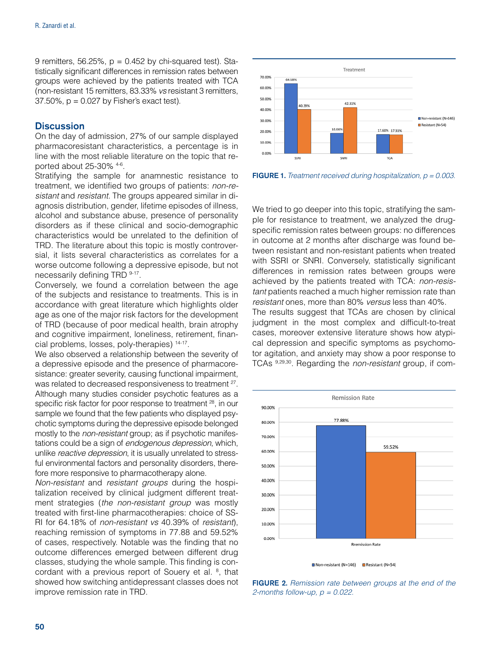9 remitters, 56.25%,  $p = 0.452$  by chi-squared test). Statistically significant differences in remission rates between groups were achieved by the patients treated with TCA (non-resistant 15 remitters, 83.33% *vs* resistant 3 remitters,  $37.50\%$ ,  $p = 0.027$  by Fisher's exact test).

#### **Discussion**

On the day of admission, 27% of our sample displayed pharmacoresistant characteristics, a percentage is in line with the most reliable literature on the topic that reported about 25-30% 4-6.

Stratifying the sample for anamnestic resistance to treatment, we identified two groups of patients: *non-resistant* and *resistant.* The groups appeared similar in diagnosis distribution, gender, lifetime episodes of illness, alcohol and substance abuse, presence of personality disorders as if these clinical and socio-demographic characteristics would be unrelated to the definition of TRD. The literature about this topic is mostly controversial, it lists several characteristics as correlates for a worse outcome following a depressive episode, but not necessarily defining TRD 9-17.

Conversely, we found a correlation between the age of the subjects and resistance to treatments. This is in accordance with great literature which highlights older age as one of the major risk factors for the development of TRD (because of poor medical health, brain atrophy and cognitive impairment, loneliness, retirement, financial problems, losses, poly-therapies) 14-17.

We also observed a relationship between the severity of a depressive episode and the presence of pharmacoresistance: greater severity, causing functional impairment, was related to decreased responsiveness to treatment <sup>27</sup>. Although many studies consider psychotic features as a specific risk factor for poor response to treatment <sup>28</sup>, in our sample we found that the few patients who displayed psychotic symptoms during the depressive episode belonged mostly to the *non-resistant* group; as if psychotic manifestations could be a sign of *endogenous depression*, which, unlike *reactive depression*, it is usually unrelated to stressful environmental factors and personality disorders, therefore more responsive to pharmacotherapy alone.

*Non-resistant* and *resistant groups* during the hospitalization received by clinical judgment different treatment strategies (*the non-resistant group* was mostly treated with first-line pharmacotherapies: choice of SS-RI for 64.18% of *non-resistant vs* 40.39% of *resistant*), reaching remission of symptoms in 77.88 and 59.52% of cases, respectively. Notable was the finding that no outcome differences emerged between different drug classes, studying the whole sample. This finding is concordant with a previous report of Souery et al. <sup>8</sup>, that showed how switching antidepressant classes does not improve remission rate in TRD.



FIGURE 1. *Treatment received during hospitalization, p = 0.003.*

We tried to go deeper into this topic, stratifying the sample for resistance to treatment, we analyzed the drugspecific remission rates between groups: no differences in outcome at 2 months after discharge was found between resistant and non-resistant patients when treated with SSRI or SNRI. Conversely, statistically significant differences in remission rates between groups were achieved by the patients treated with TCA: *non-resistant* patients reached a much higher remission rate than *resistant* ones, more than 80% *versus* less than 40%. The results suggest that TCAs are chosen by clinical judgment in the most complex and difficult-to-treat cases, moreover extensive literature shows how atypical depression and specific symptoms as psychomotor agitation, and anxiety may show a poor response to TCAs 9,29,30. Regarding the *non-resistant* group, if com-



**■ Non-resistant (N=146)** ■ Resistant (N=54)

FIGURE 2. *Remission rate between groups at the end of the 2-months follow-up, p = 0.022.*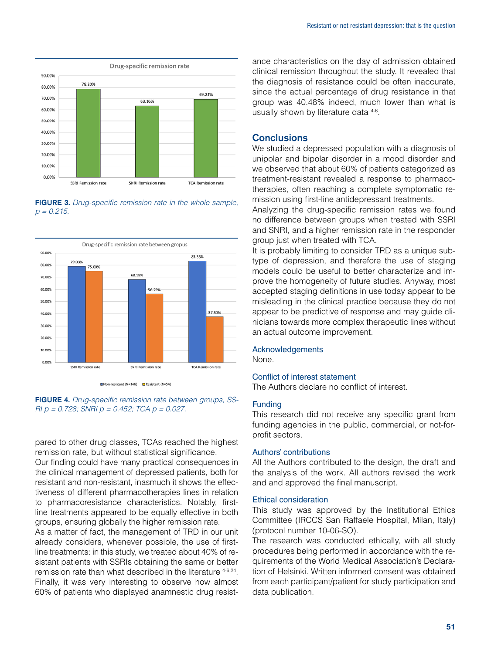

FIGURE 3. *Drug-specific remission rate in the whole sample, p = 0.215.*



Non-resistant (N=146) C Resistant (N=54)

FIGURE 4. *Drug-specific remission rate between groups, SS-RI p = 0.728; SNRI p = 0.452; TCA p = 0.027.*

pared to other drug classes, TCAs reached the highest remission rate, but without statistical significance.

Our finding could have many practical consequences in the clinical management of depressed patients, both for resistant and non-resistant, inasmuch it shows the effectiveness of different pharmacotherapies lines in relation to pharmacoresistance characteristics. Notably, firstline treatments appeared to be equally effective in both groups, ensuring globally the higher remission rate.

As a matter of fact, the management of TRD in our unit already considers, whenever possible, the use of firstline treatments: in this study, we treated about 40% of resistant patients with SSRIs obtaining the same or better remission rate than what described in the literature 4-6,24. Finally, it was very interesting to observe how almost 60% of patients who displayed anamnestic drug resistance characteristics on the day of admission obtained clinical remission throughout the study. It revealed that the diagnosis of resistance could be often inaccurate, since the actual percentage of drug resistance in that group was 40.48% indeed, much lower than what is usually shown by literature data 4-6.

#### **Conclusions**

We studied a depressed population with a diagnosis of unipolar and bipolar disorder in a mood disorder and we observed that about 60% of patients categorized as treatment-resistant revealed a response to pharmacotherapies, often reaching a complete symptomatic remission using first-line antidepressant treatments.

Analyzing the drug-specific remission rates we found no difference between groups when treated with SSRI and SNRI, and a higher remission rate in the responder group just when treated with TCA.

It is probably limiting to consider TRD as a unique subtype of depression, and therefore the use of staging models could be useful to better characterize and improve the homogeneity of future studies. Anyway, most accepted staging definitions in use today appear to be misleading in the clinical practice because they do not appear to be predictive of response and may guide clinicians towards more complex therapeutic lines without an actual outcome improvement.

#### Acknowledgements

None.

#### Conflict of interest statement

The Authors declare no conflict of interest.

#### Funding

This research did not receive any specific grant from funding agencies in the public, commercial, or not-forprofit sectors.

#### Authors' contributions

All the Authors contributed to the design, the draft and the analysis of the work. All authors revised the work and and approved the final manuscript.

#### Ethical consideration

This study was approved by the Institutional Ethics Committee (IRCCS San Raffaele Hospital, Milan, Italy) (protocol number 10-06-SO).

The research was conducted ethically, with all study procedures being performed in accordance with the requirements of the World Medical Association's Declaration of Helsinki. Written informed consent was obtained from each participant/patient for study participation and data publication.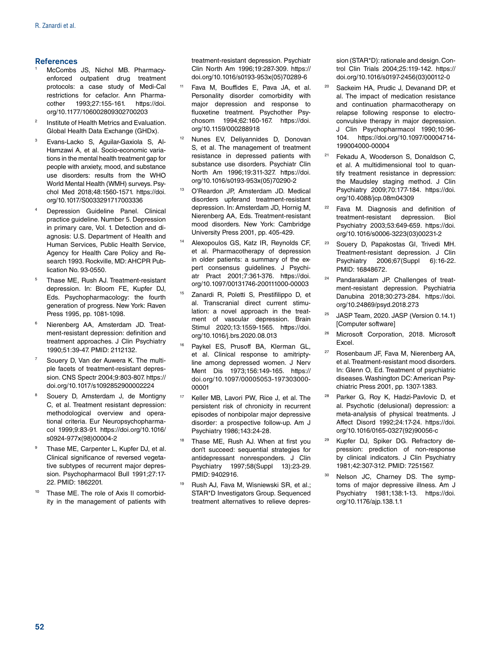#### **References**

- McCombs JS, Nichol MB. Pharmacyenforced outpatient drug treatment protocols: a case study of Medi-Cal restrictions for cefaclor. Ann Pharmacother 1993;27:155-161. [https://doi.](https://doi.org/10.1177/106002809302700203) [org/10.1177/106002809302700203](https://doi.org/10.1177/106002809302700203)
- Institute of Health Metrics and Evaluation. Global Health Data Exchange (GHDx).
- <sup>3</sup> Evans-Lacko S, Aguilar-Gaxiola S, Al-Hamzawi A, et al. Socio-economic variations in the mental health treatment gap for people with anxiety, mood, and substance use disorders: results from the WHO World Mental Health (WMH) surveys. Psychol Med 2018;48:1560-1571. [https://doi.](https://doi.org/10.1017/S0033291717003336) [org/10.1017/S0033291717003336](https://doi.org/10.1017/S0033291717003336)
- Depression Guideline Panel. Clinical practice guideline. Number 5. Depression in primary care, Vol. 1. Detection and diagnosis: U.S. Department of Health and Human Services, Public Health Service, Agency for Health Care Policy and Research 1993. Rockville, MD: AHCPR Publication No. 93-0550.
- <sup>5</sup> Thase ME, Rush AJ. Treatment-resistant depression. In: Bloom FE, Kupfer DJ, Eds. Psychopharmacology: the fourth generation of progress. New York: Raven Press 1995, pp. 1081-1098.
- <sup>6</sup> Nierenberg AA, Amsterdam JD. Treatment-resistant depression: definition and treatment approaches. J Clin Psychiatry 1990;51:39-47. PMID: 2112132.
- Souery D, Van der Auwera K. The multiple facets of treatment-resistant depression. CNS Spectr 2004;9:803-807. [https://](https://doi.org/10.1017/s1092852900002224) [doi.org/10.1017/s1092852900002224](https://doi.org/10.1017/s1092852900002224)
- <sup>8</sup> Souery D, Amsterdam J, de Montigny C, et al. Treatment resistant depression: methodological overview and operational criteria. Eur Neuropsychopharmacol 1999;9:83-91. [https://doi.org/10.1016/](https://doi.org/10.1016/s0924-977x(98)00004-2) [s0924-977x\(98\)00004-2](https://doi.org/10.1016/s0924-977x(98)00004-2)
- Thase ME, Carpenter L, Kupfer DJ, et al. Clinical significance of reversed vegetative subtypes of recurrent major depression. Psychopharmacol Bull 1991;27:17- 22. PMID: 1862201.
- Thase ME. The role of Axis II comorbidity in the management of patients with

treatment-resistant depression. Psychiatr Clin North Am 1996;19:287-309. [https://](https://doi.org/10.1016/s0193-953x(05)70289-6) [doi.org/10.1016/s0193-953x\(05\)70289-6](https://doi.org/10.1016/s0193-953x(05)70289-6)

- <sup>11</sup> Fava M, Bouffides E, Pava JA, et al. Personality disorder comorbidity with major depression and response to fluoxetine treatment. Psychother Psychosom 1994;62:160-167. [https://doi.](https://doi.org/10.1159/000288918) [org/10.1159/000288918](https://doi.org/10.1159/000288918)
- <sup>12</sup> Nunes EV, Deliyannides D, Donovan S, et al. The management of treatment resistance in depressed patients with substance use disorders. Psychiatr Clin North Am 1996;19:311-327. [https://doi.](https://doi.org/10.1016/s0193-953x(05)70290-2) [org/10.1016/s0193-953x\(05\)70290-2](https://doi.org/10.1016/s0193-953x(05)70290-2)
- <sup>13</sup> O'Reardon JP, Amsterdam JD. Medical disorders upferand treatment-resistant depression. In: Amsterdam JD, Hornig M, Nierenberg AA, Eds. Treatment-resistant mood disorders. New York: Cambridge University Press 2001, pp. 405-429.
- <sup>14</sup> Alexopoulos GS, Katz IR, Reynolds CF, et al. Pharmacotherapy of depression in older patients: a summary of the expert consensus guidelines. J Psychiatr Pract 2001;7:361-376. [https://doi.](https://doi.org/10.1097/00131746-200111000-00003) [org/10.1097/00131746-200111000-00003](https://doi.org/10.1097/00131746-200111000-00003)
- <sup>15</sup> Zanardi R, Poletti S, Prestifilippo D, et al. Transcranial direct current stimulation: a novel approach in the treatment of vascular depression. Brain Stimul 2020;13:1559-1565. [https://doi.](https://doi.org/10.1016/j.brs.2020.08.013) [org/10.1016/j.brs.2020.08.013](https://doi.org/10.1016/j.brs.2020.08.013)
- Paykel ES, Prusoff BA, Klerman GL, et al. Clinical response to amitriptyline among depressed women. J Nerv Ment Dis 1973;156:149-165. [https://](https://doi.org/10.1097/00005053-197303000-00001) [doi.org/10.1097/00005053-197303000-](https://doi.org/10.1097/00005053-197303000-00001) [00001](https://doi.org/10.1097/00005053-197303000-00001)
- <sup>17</sup> Keller MB, Lavori PW, Rice J, et al. The persistent risk of chronicity in recurrent episodes of nonbipolar major depressive disorder: a prospective follow-up. Am J Psychiatry 1986;143:24-28.
- Thase ME, Rush AJ. When at first you don't succeed: sequential strategies for antidepressant nonresponders. J Clin Psychiatry 1997;58(Suppl 13):23-29. PMID: 9402916.
- <sup>19</sup> Rush AJ, Fava M, Wisniewski SR, et al.; STAR\*D Investigators Group. Sequenced treatment alternatives to relieve depres-

sion (STAR\*D): rationale and design. Control Clin Trials 2004;25:119-142. [https://](https://doi.org/10.1016/s0197-2456(03)00112-0) [doi.org/10.1016/s0197-2456\(03\)00112-0](https://doi.org/10.1016/s0197-2456(03)00112-0)

- <sup>20</sup> Sackeim HA, Prudic J, Devanand DP, et al. The impact of medication resistance and continuation pharmacotherapy on relapse following response to electroconvulsive therapy in major depression. J Clin Psychopharmacol 1990;10:96- 104. [https://doi.org/10.1097/00004714-](https://doi.org/10.1097/00004714-199004000-00004) [199004000-00004](https://doi.org/10.1097/00004714-199004000-00004)
- <sup>21</sup> Fekadu A, Wooderson S, Donaldson C, et al. A multidimensional tool to quantify treatment resistance in depression: the Maudsley staging method. J Clin Psychiatry 2009;70:177-184. [https://doi.](https://doi.org/10.4088/jcp.08m04309) [org/10.4088/jcp.08m04309](https://doi.org/10.4088/jcp.08m04309)
- <sup>22</sup> Fava M. Diagnosis and definition of treatment-resistant depression. Biol Psychiatry 2003;53:649-659. [https://doi.](https://doi.org/10.1016/s0006-3223(03)00231-2) [org/10.1016/s0006-3223\(03\)00231-2](https://doi.org/10.1016/s0006-3223(03)00231-2)
- <sup>23</sup> Souery D, Papakostas GI, Trivedi MH. Treatment-resistant depression. J Clin Psychiatry 2006;67(Suppl 6):16-22. PMID: 16848672.
- Pandarakalam JP. Challenges of treatment-resistant depression. Psychiatria Danubina 2018;30:273-284. [https://doi.](https://doi.org/10.24869/psyd.2018.273) [org/10.24869/psyd.2018.273](https://doi.org/10.24869/psyd.2018.273)
- <sup>25</sup> JASP Team, 2020. JASP (Version 0.14.1) [Computer software]
- <sup>26</sup> Microsoft Corporation, 2018. Microsoft Excel.
- <sup>27</sup> Rosenbaum JF, Fava M, Nierenberg AA, et al. Treatment-resistant mood disorders. In: Glenn O, Ed. Treatment of psychiatric diseases. Washington DC: American Psychiatric Press 2001, pp. 1307-1383.
- Parker G, Roy K, Hadzi-Pavlovic D, et al. Psychotic (delusional) depression: a meta-analysis of physical treatments. J Affect Disord 1992;24:17-24. [https://doi.](https://doi.org/10.1016/0165-0327(92)90056-c) [org/10.1016/0165-0327\(92\)90056-c](https://doi.org/10.1016/0165-0327(92)90056-c)
- Kupfer DJ, Spiker DG. Refractory depression: prediction of non-response by clinical indicators. J Clin Psychiatry 1981;42:307-312. PMID: 7251567.
- <sup>30</sup> Nelson JC, Charney DS. The symptoms of major depressive illness. Am J Psychiatry 1981;138:1-13. [https://doi.](https://doi.org/10.1176/ajp.138.1.1) [org/10.1176/ajp.138.1.1](https://doi.org/10.1176/ajp.138.1.1)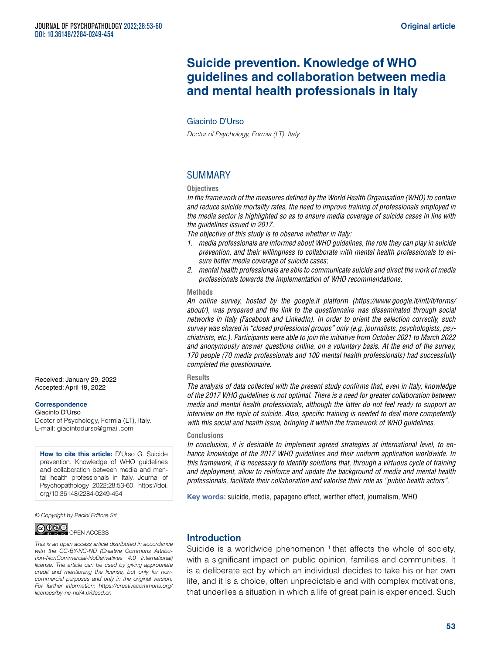# **Suicide prevention. Knowledge of WHO guidelines and collaboration between media and mental health professionals in Italy**

#### Giacinto D'Urso

*Doctor of Psychology, Formia (LT), Italy*

# SUMMARY

#### **Objectives**

*In the framework of the measures defined by the World Health Organisation (WHO) to contain and reduce suicide mortality rates, the need to improve training of professionals employed in the media sector is highlighted so as to ensure media coverage of suicide cases in line with the guidelines issued in 2017.*

*The objective of this study is to observe whether in Italy:*

- *1. media professionals are informed about WHO guidelines, the role they can play in suicide prevention, and their willingness to collaborate with mental health professionals to ensure better media coverage of suicide cases;*
- *2. mental health professionals are able to communicate suicide and direct the work of media professionals towards the implementation of WHO recommendations.*

#### **Methods**

*An online survey, hosted by the [google.it](http://google.it) platform [\(https://www.google.it/intl/it/forms/](https://www.google.it/intl/it/forms/about/) [about/](https://www.google.it/intl/it/forms/about/)), was prepared and the link to the questionnaire was disseminated through social networks in Italy (Facebook and LinkedIn). In order to orient the selection correctly, such survey was shared in "closed professional groups" only (e.g. journalists, psychologists, psychiatrists, etc.). Participants were able to join the initiative from October 2021 to March 2022 and anonymously answer questions online, on a voluntary basis. At the end of the survey, 170 people (70 media professionals and 100 mental health professionals) had successfully completed the questionnaire.*

#### **Results**

*The analysis of data collected with the present study confirms that, even in Italy, knowledge of the 2017 WHO guidelines is not optimal. There is a need for greater collaboration between media and mental health professionals, although the latter do not feel ready to support an interview on the topic of suicide. Also, specific training is needed to deal more competently with this social and health issue, bringing it within the framework of WHO guidelines.*

#### **Conclusions**

*In conclusion, it is desirable to implement agreed strategies at international level, to enhance knowledge of the 2017 WHO guidelines and their uniform application worldwide. In this framework, it is necessary to identify solutions that, through a virtuous cycle of training and deployment, allow to reinforce and update the background of media and mental health professionals, facilitate their collaboration and valorise their role as "public health actors".*

**Key words:** suicide, media, papageno effect, werther effect, journalism, WHO

*© Copyright by Pacini Editore Srl*



*This is an open access article distributed in accordance with the CC-BY-NC-ND (Creative Commons Attribution-NonCommercial-NoDerivatives 4.0 International) license. The article can be used by giving appropriate credit and mentioning the license, but only for noncommercial purposes and only in the original version. For further information: [https://creativecommons.org/](https://creativecommons.org/licenses/by-nc-nd/4.0/deed.en) [licenses/by-nc-nd/4.0/deed.en](https://creativecommons.org/licenses/by-nc-nd/4.0/deed.en)*

# Introduction

Suicide is a worldwide phenomenon  $<sup>1</sup>$  that affects the whole of society,</sup> with a significant impact on public opinion, families and communities. It is a deliberate act by which an individual decides to take his or her own life, and it is a choice, often unpredictable and with complex motivations, that underlies a situation in which a life of great pain is experienced. Such

Received: January 29, 2022 Accepted: April 19, 2022

#### **Correspondence**

Giacinto D'Urso Doctor of Psychology, Formia (LT), Italy. E-mail: [giacintodurso@gmail.com](mailto:giacintodurso@gmail.com)

**How to cite this article:** D'Urso G. Suicide prevention. Knowledge of WHO guidelines and collaboration between media and mental health professionals in Italy. Journal of Psychopathology 2022;28:53-60. [https://doi.](https://doi.org/10.36148/2284-0249-454) [org/10.36148/2284-0249-454](https://doi.org/10.36148/2284-0249-454)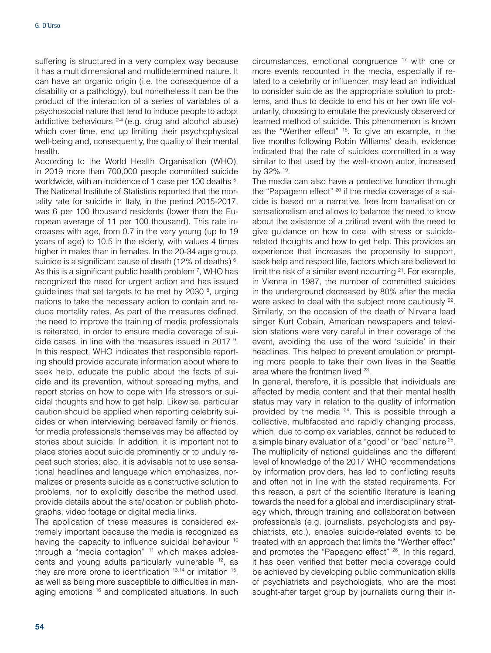suffering is structured in a very complex way because it has a multidimensional and multidetermined nature. It can have an organic origin (i.e. the consequence of a disability or a pathology), but nonetheless it can be the product of the interaction of a series of variables of a psychosocial nature that tend to induce people to adopt addictive behaviours <sup>2-4</sup> (e.g. drug and alcohol abuse) which over time, end up limiting their psychophysical well-being and, consequently, the quality of their mental health.

According to the World Health Organisation (WHO), in 2019 more than 700,000 people committed suicide worldwide, with an incidence of 1 case per 100 deaths <sup>5</sup>. The National Institute of Statistics reported that the mortality rate for suicide in Italy, in the period 2015-2017, was 6 per 100 thousand residents (lower than the European average of 11 per 100 thousand). This rate increases with age, from 0.7 in the very young (up to 19 years of age) to 10.5 in the elderly, with values 4 times higher in males than in females. In the 20-34 age group, suicide is a significant cause of death (12% of deaths) 6 . As this is a significant public health problem 7, WHO has recognized the need for urgent action and has issued guidelines that set targets to be met by 2030<sup>8</sup>, urging nations to take the necessary action to contain and reduce mortality rates. As part of the measures defined, the need to improve the training of media professionals is reiterated, in order to ensure media coverage of suicide cases, in line with the measures issued in 2017<sup>9</sup>. In this respect, WHO indicates that responsible reporting should provide accurate information about where to seek help, educate the public about the facts of suicide and its prevention, without spreading myths, and report stories on how to cope with life stressors or suicidal thoughts and how to get help. Likewise, particular caution should be applied when reporting celebrity suicides or when interviewing bereaved family or friends, for media professionals themselves may be affected by stories about suicide. In addition, it is important not to place stories about suicide prominently or to unduly repeat such stories; also, it is advisable not to use sensational headlines and language which emphasizes, normalizes or presents suicide as a constructive solution to problems, nor to explicitly describe the method used, provide details about the site/location or publish photographs, video footage or digital media links.

The application of these measures is considered extremely important because the media is recognized as having the capacity to influence suicidal behaviour <sup>10</sup> through a "media contagion" <sup>11</sup> which makes adolescents and young adults particularly vulnerable <sup>12</sup>, as they are more prone to identification  $13,14$  or imitation  $15$ , as well as being more susceptible to difficulties in managing emotions <sup>16</sup> and complicated situations. In such

circumstances, emotional congruence 17 with one or more events recounted in the media, especially if related to a celebrity or influencer, may lead an individual to consider suicide as the appropriate solution to problems, and thus to decide to end his or her own life voluntarily, choosing to emulate the previously observed or learned method of suicide. This phenomenon is known as the "Werther effect" <sup>18</sup>. To give an example, in the five months following Robin Williams' death, evidence indicated that the rate of suicides committed in a way similar to that used by the well-known actor, increased by 32% 19.

The media can also have a protective function through the "Papageno effect" <sup>20</sup> if the media coverage of a suicide is based on a narrative, free from banalisation or sensationalism and allows to balance the need to know about the existence of a critical event with the need to give guidance on how to deal with stress or suiciderelated thoughts and how to get help. This provides an experience that increases the propensity to support, seek help and respect life, factors which are believed to limit the risk of a similar event occurring <sup>21</sup>. For example, in Vienna in 1987, the number of committed suicides in the underground decreased by 80% after the media were asked to deal with the subject more cautiously <sup>22</sup>. Similarly, on the occasion of the death of Nirvana lead singer Kurt Cobain, American newspapers and television stations were very careful in their coverage of the event, avoiding the use of the word 'suicide' in their headlines. This helped to prevent emulation or prompting more people to take their own lives in the Seattle area where the frontman lived 23.

In general, therefore, it is possible that individuals are affected by media content and that their mental health status may vary in relation to the quality of information provided by the media <sup>24</sup>. This is possible through a collective, multifaceted and rapidly changing process, which, due to complex variables, cannot be reduced to a simple binary evaluation of a "good" or "bad" nature 25. The multiplicity of national guidelines and the different level of knowledge of the 2017 WHO recommendations by information providers, has led to conflicting results and often not in line with the stated requirements. For this reason, a part of the scientific literature is leaning towards the need for a global and interdisciplinary strategy which, through training and collaboration between professionals (e.g. journalists, psychologists and psychiatrists, etc.), enables suicide-related events to be treated with an approach that limits the "Werther effect" and promotes the "Papageno effect" <sup>26</sup>. In this regard, it has been verified that better media coverage could be achieved by developing public communication skills of psychiatrists and psychologists, who are the most sought-after target group by journalists during their in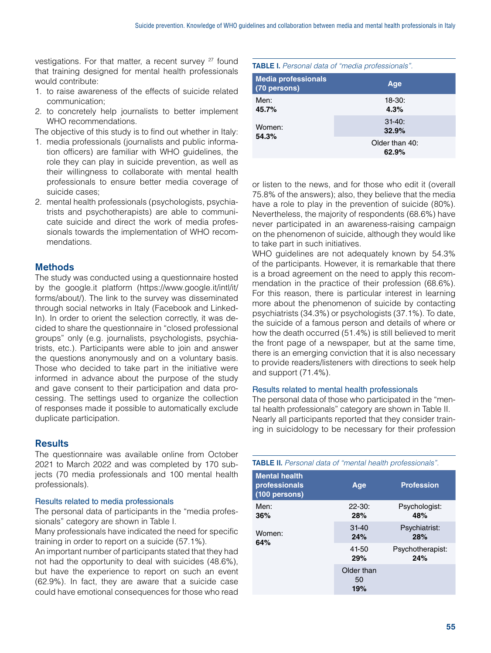vestigations. For that matter, a recent survey  $27$  found that training designed for mental health professionals would contribute:

- 1. to raise awareness of the effects of suicide related communication;
- 2. to concretely help journalists to better implement WHO recommendations.

The objective of this study is to find out whether in Italy:

- 1. media professionals (journalists and public information officers) are familiar with WHO guidelines, the role they can play in suicide prevention, as well as their willingness to collaborate with mental health professionals to ensure better media coverage of suicide cases;
- 2. mental health professionals (psychologists, psychiatrists and psychotherapists) are able to communicate suicide and direct the work of media professionals towards the implementation of WHO recommendations.

# **Methods**

The study was conducted using a questionnaire hosted by the [google.it](http://google.it) platform ([https://www.google.it/intl/it/](https://www.google.it/intl/it/forms/about/) [forms/about/\)](https://www.google.it/intl/it/forms/about/). The link to the survey was disseminated through social networks in Italy (Facebook and Linked-In). In order to orient the selection correctly, it was decided to share the questionnaire in "closed professional groups" only (e.g. journalists, psychologists, psychiatrists, etc.). Participants were able to join and answer the questions anonymously and on a voluntary basis. Those who decided to take part in the initiative were informed in advance about the purpose of the study and gave consent to their participation and data processing. The settings used to organize the collection of responses made it possible to automatically exclude duplicate participation.

# **Results**

The questionnaire was available online from October 2021 to March 2022 and was completed by 170 subjects (70 media professionals and 100 mental health professionals).

#### Results related to media professionals

The personal data of participants in the "media professionals" category are shown in Table I.

Many professionals have indicated the need for specific training in order to report on a suicide (57.1%).

An important number of participants stated that they had not had the opportunity to deal with suicides (48.6%), but have the experience to report on such an event (62.9%). In fact, they are aware that a suicide case could have emotional consequences for those who read

## TABLE I. *Personal data of "media professionals".*

| <b>Media professionals</b><br>$(70$ persons) | Age                     |
|----------------------------------------------|-------------------------|
| Men:                                         | $18-30:$                |
| 45.7%                                        | 4.3%                    |
| Women:                                       | $31 - 40$ :             |
| 54.3%                                        | 32.9%                   |
|                                              | Older than 40:<br>62.9% |

or listen to the news, and for those who edit it (overall 75.8% of the answers); also, they believe that the media have a role to play in the prevention of suicide (80%). Nevertheless, the majority of respondents (68.6%) have never participated in an awareness-raising campaign on the phenomenon of suicide, although they would like to take part in such initiatives.

WHO guidelines are not adequately known by 54.3% of the participants. However, it is remarkable that there is a broad agreement on the need to apply this recommendation in the practice of their profession (68.6%). For this reason, there is particular interest in learning more about the phenomenon of suicide by contacting psychiatrists (34.3%) or psychologists (37.1%). To date, the suicide of a famous person and details of where or how the death occurred (51.4%) is still believed to merit the front page of a newspaper, but at the same time, there is an emerging conviction that it is also necessary to provide readers/listeners with directions to seek help and support (71.4%).

#### Results related to mental health professionals

The personal data of those who participated in the "mental health professionals" category are shown in Table II. Nearly all participants reported that they consider training in suicidology to be necessary for their profession

| <b>TABLE II.</b> Personal data of "mental health professionals". |                         |                         |  |  |  |  |  |
|------------------------------------------------------------------|-------------------------|-------------------------|--|--|--|--|--|
| <b>Mental health</b><br>professionals<br>(100 persons)           | Age                     | <b>Profession</b>       |  |  |  |  |  |
| Men:<br>36%                                                      | $22 - 30:$<br>28%       | Psychologist:<br>48%    |  |  |  |  |  |
| Women:<br>64%                                                    | $31 - 40$<br>24%        | Psychiatrist:<br>28%    |  |  |  |  |  |
|                                                                  | 41-50<br>29%            | Psychotherapist:<br>24% |  |  |  |  |  |
|                                                                  | Older than<br>50<br>19% |                         |  |  |  |  |  |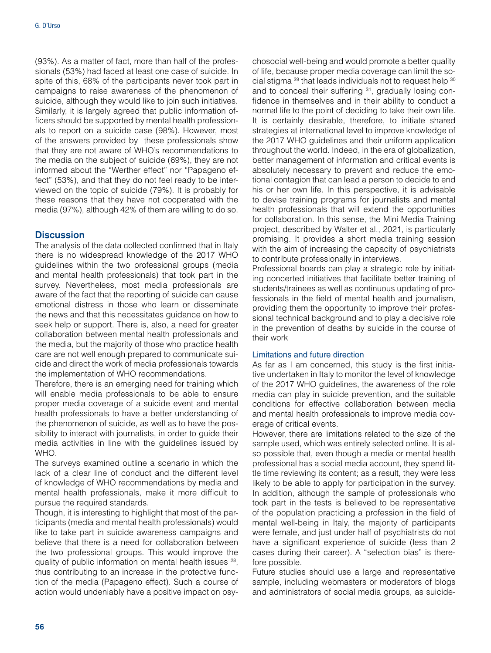(93%). As a matter of fact, more than half of the professionals (53%) had faced at least one case of suicide. In spite of this, 68% of the participants never took part in campaigns to raise awareness of the phenomenon of suicide, although they would like to join such initiatives. Similarly, it is largely agreed that public information officers should be supported by mental health professionals to report on a suicide case (98%). However, most of the answers provided by these professionals show that they are not aware of WHO's recommendations to the media on the subject of suicide (69%), they are not informed about the "Werther effect" nor "Papageno effect" (53%), and that they do not feel ready to be interviewed on the topic of suicide (79%). It is probably for these reasons that they have not cooperated with the media (97%), although 42% of them are willing to do so.

# **Discussion**

The analysis of the data collected confirmed that in Italy there is no widespread knowledge of the 2017 WHO guidelines within the two professional groups (media and mental health professionals) that took part in the survey. Nevertheless, most media professionals are aware of the fact that the reporting of suicide can cause emotional distress in those who learn or disseminate the news and that this necessitates guidance on how to seek help or support. There is, also, a need for greater collaboration between mental health professionals and the media, but the majority of those who practice health care are not well enough prepared to communicate suicide and direct the work of media professionals towards the implementation of WHO recommendations.

Therefore, there is an emerging need for training which will enable media professionals to be able to ensure proper media coverage of a suicide event and mental health professionals to have a better understanding of the phenomenon of suicide, as well as to have the possibility to interact with journalists, in order to guide their media activities in line with the guidelines issued by WHO.

The surveys examined outline a scenario in which the lack of a clear line of conduct and the different level of knowledge of WHO recommendations by media and mental health professionals, make it more difficult to pursue the required standards.

Though, it is interesting to highlight that most of the participants (media and mental health professionals) would like to take part in suicide awareness campaigns and believe that there is a need for collaboration between the two professional groups. This would improve the quality of public information on mental health issues 28, thus contributing to an increase in the protective function of the media (Papageno effect). Such a course of action would undeniably have a positive impact on psychosocial well-being and would promote a better quality of life, because proper media coverage can limit the social stigma 29 that leads individuals not to request help 30 and to conceal their suffering <sup>31</sup>, gradually losing confidence in themselves and in their ability to conduct a normal life to the point of deciding to take their own life. It is certainly desirable, therefore, to initiate shared strategies at international level to improve knowledge of the 2017 WHO guidelines and their uniform application throughout the world. Indeed, in the era of globalization, better management of information and critical events is absolutely necessary to prevent and reduce the emotional contagion that can lead a person to decide to end his or her own life. In this perspective, it is advisable to devise training programs for journalists and mental health professionals that will extend the opportunities for collaboration. In this sense, the Mini Media Training project, described by Walter et al., 2021, is particularly promising. It provides a short media training session with the aim of increasing the capacity of psychiatrists to contribute professionally in interviews.

Professional boards can play a strategic role by initiating concerted initiatives that facilitate better training of students/trainees as well as continuous updating of professionals in the field of mental health and journalism, providing them the opportunity to improve their professional technical background and to play a decisive role in the prevention of deaths by suicide in the course of their work

#### Limitations and future direction

As far as I am concerned, this study is the first initiative undertaken in Italy to monitor the level of knowledge of the 2017 WHO guidelines, the awareness of the role media can play in suicide prevention, and the suitable conditions for effective collaboration between media and mental health professionals to improve media coverage of critical events.

However, there are limitations related to the size of the sample used, which was entirely selected online. It is also possible that, even though a media or mental health professional has a social media account, they spend little time reviewing its content; as a result, they were less likely to be able to apply for participation in the survey. In addition, although the sample of professionals who took part in the tests is believed to be representative of the population practicing a profession in the field of mental well-being in Italy, the majority of participants were female, and just under half of psychiatrists do not have a significant experience of suicide (less than 2 cases during their career). A "selection bias" is therefore possible.

Future studies should use a large and representative sample, including webmasters or moderators of blogs and administrators of social media groups, as suicide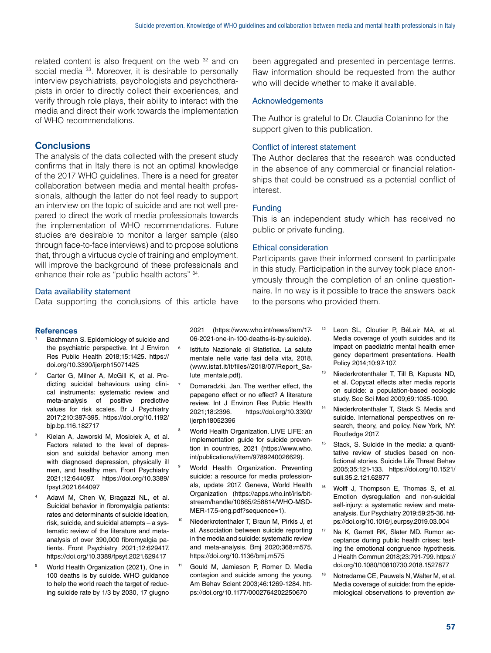related content is also frequent on the web <sup>32</sup> and on social media <sup>33</sup>. Moreover, it is desirable to personally interview psychiatrists, psychologists and psychotherapists in order to directly collect their experiences, and verify through role plays, their ability to interact with the media and direct their work towards the implementation of WHO recommendations.

# **Conclusions**

The analysis of the data collected with the present study confirms that in Italy there is not an optimal knowledge of the 2017 WHO guidelines. There is a need for greater collaboration between media and mental health professionals, although the latter do not feel ready to support an interview on the topic of suicide and are not well prepared to direct the work of media professionals towards the implementation of WHO recommendations. Future studies are desirable to monitor a larger sample (also through face-to-face interviews) and to propose solutions that, through a virtuous cycle of training and employment, will improve the background of these professionals and enhance their role as "public health actors" 34.

# Data availability statement

Data supporting the conclusions of this article have

#### References

- Bachmann S. Epidemiology of suicide and the psychiatric perspective. Int J Environ Res Public Health 2018;15:1425. [https://](https://doi.org/10.3390/ijerph15071425) [doi.org/10.3390/ijerph15071425](https://doi.org/10.3390/ijerph15071425)
- Carter G, Milner A, McGill K, et al. Predicting suicidal behaviours using clinical instruments: systematic review and meta-analysis of positive predictive values for risk scales. Br J Psychiatry 2017;210:387-395. [https://doi.org/10.1192/](https://doi.org/10.1192/bjp.bp.116.182717) [bjp.bp.116.182717](https://doi.org/10.1192/bjp.bp.116.182717)
- Kielan A, Jaworski M, Mosiołek A, et al. Factors related to the level of depression and suicidal behavior among men with diagnosed depression, physically ill men, and healthy men. Front Psychiatry 2021;12:644097. [https://doi.org/10.3389/](https://doi.org/10.3389/fpsyt.2021.644097) [fpsyt.2021.644097](https://doi.org/10.3389/fpsyt.2021.644097)
- Adawi M, Chen W, Bragazzi NL, et al. Suicidal behavior in fibromyalgia patients: rates and determinants of suicide ideation, risk, suicide, and suicidal attempts – a systematic review of the literature and metaanalysis of over 390,000 fibromyalgia patients. Front Psychiatry 2021;12:629417. <https://doi.org/10.3389/fpsyt.2021.629417>
- <sup>5</sup> World Health Organization (2021), One in 100 deaths is by suicide. WHO guidance to help the world reach the target of reducing suicide rate by 1/3 by 2030, 17 giugno

2021 ([https://www.who.int/news/item/17-](https://www.who.int/news/item/17-06-2021-one-in-100-deaths-is-by-suicide) [06-2021-one-in-100-deaths-is-by-suicide\)](https://www.who.int/news/item/17-06-2021-one-in-100-deaths-is-by-suicide).

- <sup>6</sup> Istituto Nazionale di Statistica. La salute mentale nelle varie fasi della vita, 2018. [\(www.istat.it/it/files//2018/07/Report\\_Sa](http://www.istat.it/it/files//2018/07/Report_Salute_mentale.pdf)[lute\\_mentale.pdf](http://www.istat.it/it/files//2018/07/Report_Salute_mentale.pdf)).
- Domaradzki, Jan. The werther effect, the papageno effect or no effect? A literature review. Int J Environ Res Public Health 2021;18:2396. [https://doi.org/10.3390/](https://doi.org/10.3390/ijerph18052396) [ijerph18052396](https://doi.org/10.3390/ijerph18052396)
- World Health Organization. LIVE LIFE: an implementation guide for suicide prevention in countries, 2021 ([https://www.who.](https://www.who.int/publications/i/item/9789240026629) [int/publications/i/item/9789240026629\)](https://www.who.int/publications/i/item/9789240026629).
- World Health Organization. Preventing suicide: a resource for media professionals, update 2017. Geneva, World Health Organization ([https://apps.who.int/iris/bit](https://apps.who.int/iris/bitstream/handle/10665/258814/WHO-MSD-MER-17.5-eng.pdf?sequence=1)[stream/handle/10665/258814/WHO-MSD-](https://apps.who.int/iris/bitstream/handle/10665/258814/WHO-MSD-MER-17.5-eng.pdf?sequence=1)[MER-17.5-eng.pdf?sequence=1](https://apps.who.int/iris/bitstream/handle/10665/258814/WHO-MSD-MER-17.5-eng.pdf?sequence=1)).
- Niederkrotenthaler T, Braun M, Pirkis J, et al. Association between suicide reporting in the media and suicide: systematic review and meta-analysis. Bmj 2020;368:m575. <https://doi.org/10.1136/bmj.m575>
- Gould M, Jamieson P, Romer D. Media contagion and suicide among the young. Am Behav Scient 2003;46:1269-1284. [htt](https://doi.org/10.1177/0002764202250670)[ps://doi.org/10.1177/0002764202250670](https://doi.org/10.1177/0002764202250670)

been aggregated and presented in percentage terms. Raw information should be requested from the author who will decide whether to make it available.

# Acknowledgements

The Author is grateful to Dr. Claudia Colaninno for the support given to this publication.

# Conflict of interest statement

The Author declares that the research was conducted in the absence of any commercial or financial relationships that could be construed as a potential conflict of interest.

# Funding

This is an independent study which has received no public or private funding.

# Ethical consideration

Participants gave their informed consent to participate in this study. Participation in the survey took place anonymously through the completion of an online questionnaire. In no way is it possible to trace the answers back to the persons who provided them.

- <sup>12</sup> Leon SL, Cloutier P, BéLair MA, et al. Media coverage of youth suicides and its impact on paediatric mental health emergency department presentations. Health Policy 2014;10:97-107.
- Niederkrotenthaler T, Till B, Kapusta ND, et al. Copycat effects after media reports on suicide: a population-based ecologic study. Soc Sci Med 2009;69:1085-1090.
- <sup>14</sup> Niederkrotenthaler T, Stack S. Media and suicide. International perspectives on research, theory, and policy. New York, NY: Routledge 2017.
- <sup>15</sup> Stack, S. Suicide in the media: a quantitative review of studies based on nonfictional stories. Suicide Life Threat Behav 2005;35:121-133. [https://doi.org/10.1521/](https://doi.org/10.1521/suli.35.2.121.62877) [suli.35.2.121.62877](https://doi.org/10.1521/suli.35.2.121.62877)
- <sup>16</sup> Wolff J, Thompson E, Thomas S, et al. Emotion dysregulation and non-suicidal self-injury: a systematic review and metaanalysis. Eur Psychiatry 2019;59:25-36. [htt](https://doi.org/10.1016/j.eurpsy.2019.03.004)[ps://doi.org/10.1016/j.eurpsy.2019.03.004](https://doi.org/10.1016/j.eurpsy.2019.03.004)
- Na K, Garrett RK, Slater MD. Rumor acceptance during public health crises: testing the emotional congruence hypothesis. J Health Commun 2018;23:791-799. [https://](https://doi.org/10.1080/10810730.2018.1527877) [doi.org/10.1080/10810730.2018.1527877](https://doi.org/10.1080/10810730.2018.1527877)
- <sup>18</sup> Notredame CE, Pauwels N, Walter M, et al. Media coverage of suicide: from the epidemiological observations to prevention av-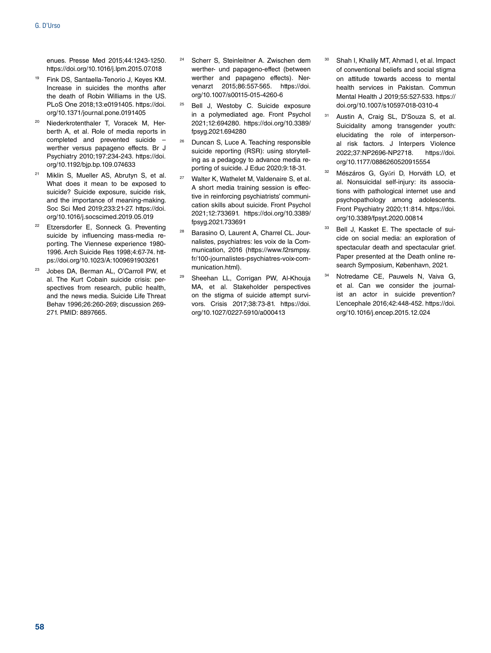enues. Presse Med 2015;44:1243-1250. <https://doi.org/10.1016/j.lpm.2015.07.018>

- <sup>19</sup> Fink DS, Santaella-Tenorio J, Keyes KM. Increase in suicides the months after the death of Robin Williams in the US. PLoS One 2018;13:e0191405. [https://doi.](https://doi.org/10.1371/journal.pone.0191405) [org/10.1371/journal.pone.0191405](https://doi.org/10.1371/journal.pone.0191405)
- Niederkrotenthaler T, Voracek M, Herberth A, et al. Role of media reports in completed and prevented suicide – werther versus papageno effects. Br J Psychiatry 2010;197:234-243. [https://doi.](https://doi.org/10.1192/bjp.bp.109.074633) [org/10.1192/bjp.bp.109.074633](https://doi.org/10.1192/bjp.bp.109.074633)
- <sup>21</sup> Miklin S, Mueller AS, Abrutyn S, et al. What does it mean to be exposed to suicide? Suicide exposure, suicide risk, and the importance of meaning-making. Soc Sci Med 2019;233:21-27. [https://doi.](https://doi.org/10.1016/j.socscimed.2019.05.019) [org/10.1016/j.socscimed.2019.05.019](https://doi.org/10.1016/j.socscimed.2019.05.019)
- <sup>22</sup> Etzersdorfer E, Sonneck G. Preventing suicide by influencing mass-media reporting. The Viennese experience 1980- 1996. Arch Suicide Res 1998;4:67-74. [htt](https://doi.org/10.1023/A)[ps://doi.org/10.1023/A:](https://doi.org/10.1023/A)1009691903261
- <sup>23</sup> Jobes DA, Berman AL, O'Carroll PW, et al. The Kurt Cobain suicide crisis: perspectives from research, public health, and the news media. Suicide Life Threat Behav 1996;26:260-269; discussion 269- 271. PMID: 8897665.
- Scherr S, Steinleitner A. Zwischen dem werther- und papageno-effect (between werther and papageno effects). Nervenarzt 2015;86:557-565. [https://doi.](https://doi.org/10.1007/s00115-015-4260-6) [org/10.1007/s00115-015-4260-6](https://doi.org/10.1007/s00115-015-4260-6)
- Bell J, Westoby C. Suicide exposure in a polymediated age. Front Psychol 2021;12:694280. [https://doi.org/10.3389/](https://doi.org/10.3389/fpsyg.2021.694280) [fpsyg.2021.694280](https://doi.org/10.3389/fpsyg.2021.694280)
- <sup>26</sup> Duncan S, Luce A. Teaching responsible suicide reporting (RSR): using storytelling as a pedagogy to advance media reporting of suicide. J Educ 2020;9:18-31.
- <sup>27</sup> Walter K, Wathelet M, Valdenaire S, et al. A short media training session is effective in reinforcing psychiatrists' communication skills about suicide. Front Psychol 2021;12:733691. [https://doi.org/10.3389/](https://doi.org/10.3389/fpsyg.2021.733691) [fpsyg.2021.733691](https://doi.org/10.3389/fpsyg.2021.733691)
- <sup>28</sup> Barasino O, Laurent A, Charrel CL. Journalistes, psychiatres: les voix de la Communication, 2016 ([https://www.f2rsmpsy.](https://www.f2rsmpsy.fr/100-journalistes-psychiatres-voix-communication.html) [fr/100-journalistes-psychiatres-voix-com](https://www.f2rsmpsy.fr/100-journalistes-psychiatres-voix-communication.html)[munication.html](https://www.f2rsmpsy.fr/100-journalistes-psychiatres-voix-communication.html)).
- Sheehan LL, Corrigan PW, Al-Khouja MA, et al. Stakeholder perspectives on the stigma of suicide attempt survivors. Crisis 2017;38:73-81. [https://doi.](https://doi.org/10.1027/0227-5910/a000413) [org/10.1027/0227-5910/a000413](https://doi.org/10.1027/0227-5910/a000413)
- <sup>30</sup> Shah I, Khalily MT, Ahmad I, et al. Impact of conventional beliefs and social stigma on attitude towards access to mental health services in Pakistan. Commun Mental Health J 2019;55:527-533. [https://](https://doi.org/10.1007/s10597-018-0310-4) [doi.org/10.1007/s10597-018-0310-4](https://doi.org/10.1007/s10597-018-0310-4)
- <sup>31</sup> Austin A, Craig SL, D'Souza S, et al. Suicidality among transgender youth: elucidating the role of interpersonal risk factors. J Interpers Violence 2022;37:NP2696-NP2718. [https://doi.](https://doi.org/10.1177/0886260520915554) [org/10.1177/0886260520915554](https://doi.org/10.1177/0886260520915554)
- <sup>32</sup> Mészáros G, Győri D, Horváth LO, et al. Nonsuicidal self-injury: its associations with pathological internet use and psychopathology among adolescents. Front Psychiatry 2020;11:814. [https://doi.](https://doi.org/10.3389/fpsyt.2020.00814) [org/10.3389/fpsyt.2020.00814](https://doi.org/10.3389/fpsyt.2020.00814)
- 33 Bell J, Kasket E. The spectacle of suicide on social media: an exploration of spectacular death and spectacular grief. Paper presented at the Death online research Symposium, København, 2021.
- Notredame CE, Pauwels N, Vaiva G, et al. Can we consider the journalist an actor in suicide prevention? L'encephale 2016;42:448-452. [https://doi.](https://doi.org/10.1016/j.encep.2015.12.024) [org/10.1016/j.encep.2015.12.024](https://doi.org/10.1016/j.encep.2015.12.024)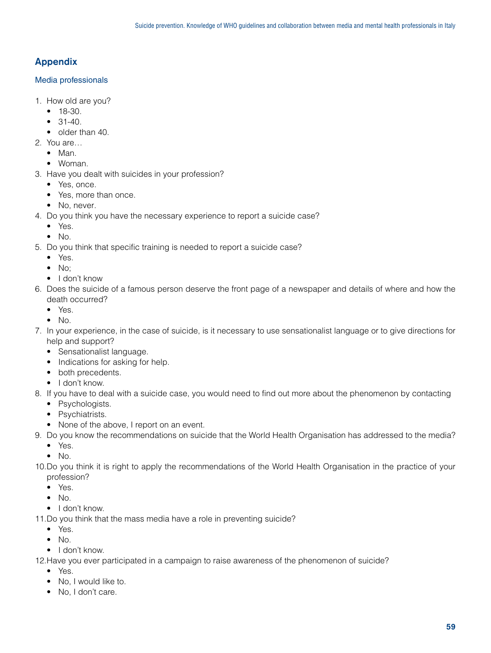# Appendix

# Media professionals

- 1. How old are you?
	- 18-30.
	- $31-40.$
	- older than 40.
- 2. You are…
	- Man.
	- Woman.
- 3. Have you dealt with suicides in your profession?
	- Yes, once.
	- Yes, more than once.
	- No, never.
- 4. Do you think you have the necessary experience to report a suicide case?
	- Yes.
	- $\bullet$  No.
- 5. Do you think that specific training is needed to report a suicide case?
	- Yes.
	- $\bullet$  No:
	- I don't know
- 6. Does the suicide of a famous person deserve the front page of a newspaper and details of where and how the death occurred?
	- Yes.
	- $\bullet$  No.
- 7. In your experience, in the case of suicide, is it necessary to use sensationalist language or to give directions for help and support?
	- Sensationalist language.
	- Indications for asking for help.
	- both precedents.
	- I don't know.
- 8. If you have to deal with a suicide case, you would need to find out more about the phenomenon by contacting
	- Psychologists.
	- Psychiatrists.
	- None of the above, I report on an event.
- 9. Do you know the recommendations on suicide that the World Health Organisation has addressed to the media?
	- Yes.
	- $\bullet$  No.
- 10.Do you think it is right to apply the recommendations of the World Health Organisation in the practice of your profession?
	- Yes.
	- $\bullet$  No.
	- I don't know.
- 11.Do you think that the mass media have a role in preventing suicide?
	- Yes.
	- $\bullet$  No.
	- I don't know.

12.Have you ever participated in a campaign to raise awareness of the phenomenon of suicide?

- Yes.
- No, I would like to.
- No, I don't care.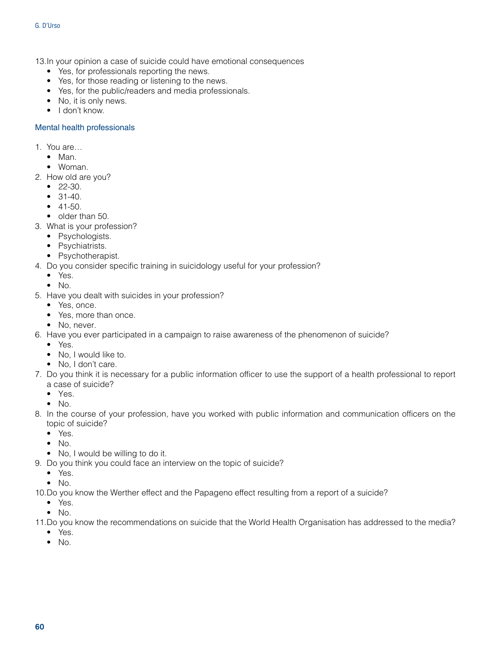13.In your opinion a case of suicide could have emotional consequences

- Yes, for professionals reporting the news.
- Yes, for those reading or listening to the news.
- Yes, for the public/readers and media professionals.
- No, it is only news.
- I don't know.

# Mental health professionals

- 1. You are…
	- Man.
	- Woman.
- 2. How old are you?
	- 22-30.
	- 31-40.
	- $41 50.$
	- older than 50.
- 3. What is your profession?
	- Psychologists.
	- Psychiatrists.
	- Psychotherapist.
- 4. Do you consider specific training in suicidology useful for your profession?
	- Yes.
	- $\bullet$  No.
- 5. Have you dealt with suicides in your profession?
	- Yes, once.
	- Yes, more than once.
	- No, never.
- 6. Have you ever participated in a campaign to raise awareness of the phenomenon of suicide?
	- Yes.
	- No. I would like to.
	- No, I don't care.
- 7. Do you think it is necessary for a public information officer to use the support of a health professional to report a case of suicide?
	- Yes.
	- No.
- 8. In the course of your profession, have you worked with public information and communication officers on the topic of suicide?
	- Yes.
	- No.
	- No, I would be willing to do it.
- 9. Do you think you could face an interview on the topic of suicide?
	- Yes.
	- No.
- 10.Do you know the Werther effect and the Papageno effect resulting from a report of a suicide?
	- Yes.
	- No.
- 11.Do you know the recommendations on suicide that the World Health Organisation has addressed to the media?
	- Yes.
	- No.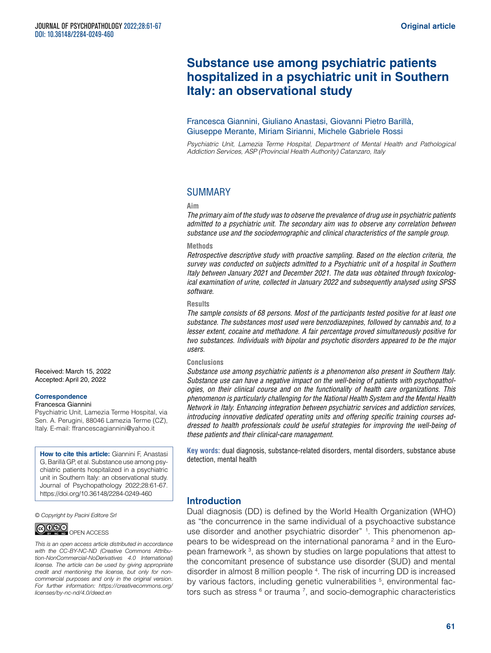# **Substance use among psychiatric patients hospitalized in a psychiatric unit in Southern Italy: an observational study**

#### Francesca Giannini, Giuliano Anastasi, Giovanni Pietro Barillà, Giuseppe Merante, Miriam Sirianni, Michele Gabriele Rossi

*Psychiatric Unit, Lamezia Terme Hospital, Department of Mental Health and Pathological Addiction Services, ASP (Provincial Health Authority) Catanzaro, Italy*

# SUMMARY

#### **Aim**

*The primary aim of the study was to observe the prevalence of drug use in psychiatric patients admitted to a psychiatric unit. The secondary aim was to observe any correlation between substance use and the sociodemographic and clinical characteristics of the sample group.*

#### **Methods**

*Retrospective descriptive study with proactive sampling. Based on the election criteria, the survey was conducted on subjects admitted to a Psychiatric unit of a hospital in Southern Italy between January 2021 and December 2021. The data was obtained through toxicological examination of urine, collected in January 2022 and subsequently analysed using SPSS software.*

#### **Results**

*The sample consists of 68 persons. Most of the participants tested positive for at least one substance. The substances most used were benzodiazepines, followed by cannabis and, to a lesser extent, cocaine and methadone. A fair percentage proved simultaneously positive for two substances. Individuals with bipolar and psychotic disorders appeared to be the major users.*

#### **Conclusions**

*Substance use among psychiatric patients is a phenomenon also present in Southern Italy. Substance use can have a negative impact on the well-being of patients with psychopathologies, on their clinical course and on the functionality of health care organizations. This phenomenon is particularly challenging for the National Health System and the Mental Health Network in Italy. Enhancing integration between psychiatric services and addiction services, introducing innovative dedicated operating units and offering specific training courses addressed to health professionals could be useful strategies for improving the well-being of these patients and their clinical-care management.*

**Key words:** dual diagnosis, substance-related disorders, mental disorders, substance abuse detection, mental health

# Introduction

Dual diagnosis (DD) is defined by the World Health Organization (WHO) as "the concurrence in the same individual of a psychoactive substance use disorder and another psychiatric disorder" <sup>1</sup>. This phenomenon appears to be widespread on the international panorama  $2$  and in the European framework 3 , as shown by studies on large populations that attest to the concomitant presence of substance use disorder (SUD) and mental disorder in almost 8 million people 4 . The risk of incurring DD is increased by various factors, including genetic vulnerabilities <sup>5</sup>, environmental factors such as stress  $6$  or trauma  $7$ , and socio-demographic characteristics

Received: March 15, 2022 Accepted: April 20, 2022

#### **Correspondence**

#### Francesca Giannini

Psychiatric Unit, Lamezia Terme Hospital, via Sen. A. Perugini, 88046 Lamezia Terme (CZ), Italy. E-mail: [ffrancescagiannini@yahoo.it](mailto:ffrancescagiannini@yahoo.it)

**How to cite this article:** Giannini F, Anastasi G, Barillà GP, et al. Substance use among psychiatric patients hospitalized in a psychiatric unit in Southern Italy: an observational study. Journal of Psychopathology 2022;28:61-67. <https://doi.org/10.36148/2284-0249-460>

*© Copyright by Pacini Editore Srl*



*This is an open access article distributed in accordance with the CC-BY-NC-ND (Creative Commons Attribution-NonCommercial-NoDerivatives 4.0 International) license. The article can be used by giving appropriate credit and mentioning the license, but only for noncommercial purposes and only in the original version. For further information: [https://creativecommons.org/](https://creativecommons.org/licenses/by-nc-nd/4.0/deed.en) [licenses/by-nc-nd/4.0/deed.en](https://creativecommons.org/licenses/by-nc-nd/4.0/deed.en)*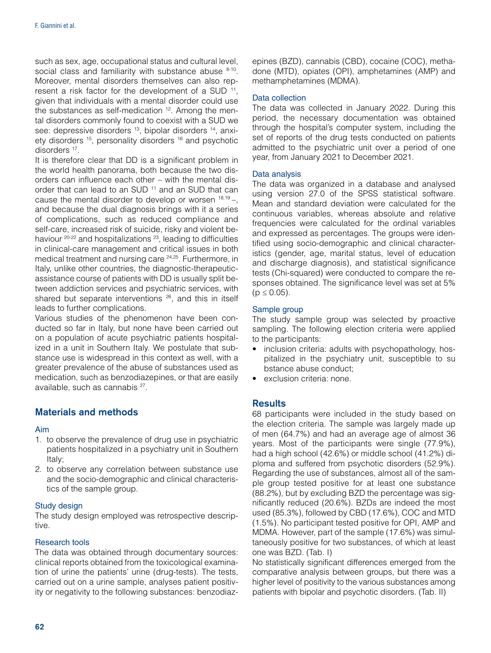such as sex, age, occupational status and cultural level, social class and familiarity with substance abuse 8-10. Moreover, mental disorders themselves can also represent a risk factor for the development of a SUD <sup>11</sup>, given that individuals with a mental disorder could use the substances as self-medication <sup>12</sup>. Among the mental disorders commonly found to coexist with a SUD we see: depressive disorders <sup>13</sup>, bipolar disorders <sup>14</sup>, anxiety disorders 15, personality disorders 16 and psychotic disorders 17.

It is therefore clear that DD is a significant problem in the world health panorama, both because the two disorders can influence each other – with the mental disorder that can lead to an SUD<sup>11</sup> and an SUD that can cause the mental disorder to develop or worsen  $18,19 -$ , and because the dual diagnosis brings with it a series of complications, such as reduced compliance and self-care, increased risk of suicide, risky and violent behaviour 20-22 and hospitalizations 23, leading to difficulties in clinical-care management and critical issues in both medical treatment and nursing care 24,25. Furthermore, in Italy, unlike other countries, the diagnostic-therapeuticassistance course of patients with DD is usually split between addiction services and psychiatric services, with shared but separate interventions <sup>26</sup>, and this in itself leads to further complications.

Various studies of the phenomenon have been conducted so far in Italy, but none have been carried out on a population of acute psychiatric patients hospitalized in a unit in Southern Italy. We postulate that substance use is widespread in this context as well, with a greater prevalence of the abuse of substances used as medication, such as benzodiazepines, or that are easily available, such as cannabis 27.

# Materials and methods

#### Aim

- 1. to observe the prevalence of drug use in psychiatric patients hospitalized in a psychiatry unit in Southern Italy;
- 2. to observe any correlation between substance use and the socio-demographic and clinical characteristics of the sample group.

#### Study design

The study design employed was retrospective descriptive.

#### Research tools

The data was obtained through documentary sources: clinical reports obtained from the toxicological examination of urine the patients' urine (drug-tests). The tests, carried out on a urine sample, analyses patient positivity or negativity to the following substances: benzodiazepines (BZD), cannabis (CBD), cocaine (COC), methadone (MTD), opiates (OPI), amphetamines (AMP) and methamphetamines (MDMA).

#### Data collection

The data was collected in January 2022. During this period, the necessary documentation was obtained through the hospital's computer system, including the set of reports of the drug tests conducted on patients admitted to the psychiatric unit over a period of one year, from January 2021 to December 2021.

#### Data analysis

The data was organized in a database and analysed using version 27.0 of the SPSS statistical software. Mean and standard deviation were calculated for the continuous variables, whereas absolute and relative frequencies were calculated for the ordinal variables and expressed as percentages. The groups were identified using socio-demographic and clinical characteristics (gender, age, marital status, level of education and discharge diagnosis), and statistical significance tests (Chi-squared) were conducted to compare the responses obtained. The significance level was set at 5%  $(p \le 0.05)$ .

#### Sample group

The study sample group was selected by proactive sampling. The following election criteria were applied to the participants:

- inclusion criteria: adults with psychopathology, hospitalized in the psychiatry unit, susceptible to su bstance abuse conduct;
- exclusion criteria: none.

# **Results**

68 participants were included in the study based on the election criteria. The sample was largely made up of men (64.7%) and had an average age of almost 36 years. Most of the participants were single (77.9%), had a high school (42.6%) or middle school (41.2%) diploma and suffered from psychotic disorders (52.9%). Regarding the use of substances, almost all of the sample group tested positive for at least one substance (88.2%), but by excluding BZD the percentage was significantly reduced (20.6%). BZDs are indeed the most used (85.3%), followed by CBD (17.6%), COC and MTD (1.5%). No participant tested positive for OPI, AMP and MDMA. However, part of the sample (17.6%) was simultaneously positive for two substances, of which at least one was BZD. (Tab. I)

No statistically significant differences emerged from the comparative analysis between groups, but there was a higher level of positivity to the various substances among patients with bipolar and psychotic disorders. (Tab. II)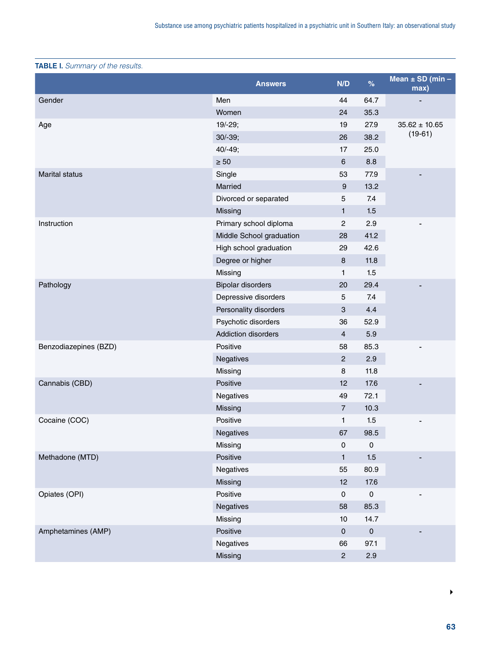# TABLE I. *Summary of the results.*

|                       | <b>Answers</b>           | N/D            | $\%$                | Mean $\pm$ SD (min $-$<br>max) |
|-----------------------|--------------------------|----------------|---------------------|--------------------------------|
| Gender                | Men                      | 44             | 64.7                |                                |
|                       | Women                    | 24             | 35.3                |                                |
| Age                   | $19/-29;$                | 19             | 27.9                | $35.62 \pm 10.65$              |
|                       | $30/-39;$                | 26             | 38.2                | $(19-61)$                      |
|                       | $40/-49;$                | 17             | 25.0                |                                |
|                       | $\geq 50$                | 6              | 8.8                 |                                |
| <b>Marital status</b> | Single                   | 53             | 77.9                |                                |
|                       | Married                  | 9              | 13.2                |                                |
|                       | Divorced or separated    | 5              | 7.4                 |                                |
|                       | Missing                  | 1              | 1.5                 |                                |
| Instruction           | Primary school diploma   | $\overline{c}$ | 2.9                 |                                |
|                       | Middle School graduation | 28             | 41.2                |                                |
|                       | High school graduation   | 29             | 42.6                |                                |
|                       | Degree or higher         | 8              | 11.8                |                                |
|                       | Missing                  | 1              | 1.5                 |                                |
| Pathology             | <b>Bipolar disorders</b> | 20             | 29.4                |                                |
|                       | Depressive disorders     | 5              | 7.4                 |                                |
|                       | Personality disorders    | 3              | 4.4                 |                                |
|                       | Psychotic disorders      | 36             | 52.9                |                                |
|                       | Addiction disorders      | $\overline{4}$ | 5.9                 |                                |
| Benzodiazepines (BZD) | Positive                 | 58             | 85.3                |                                |
|                       | Negatives                | $\overline{c}$ | 2.9                 |                                |
|                       | Missing                  | 8              | 11.8                |                                |
| Cannabis (CBD)        | Positive                 | 12             | 17.6                |                                |
|                       | Negatives                | 49             | 72.1                |                                |
|                       | Missing                  | $\overline{7}$ | 10.3                |                                |
| Cocaine (COC)         | Positive                 | 1              | 1.5                 | $\qquad \qquad \blacksquare$   |
|                       | Negatives                | 67             | 98.5                |                                |
|                       | Missing                  | $\mathsf 0$    | $\mathsf{O}\xspace$ |                                |
| Methadone (MTD)       | Positive                 | $\mathbf{1}$   | 1.5                 |                                |
|                       | Negatives                | 55             | 80.9                |                                |
|                       | Missing                  | 12             | 17.6                |                                |
| Opiates (OPI)         | Positive                 | $\pmb{0}$      | $\mathsf 0$         | $\overline{\phantom{m}}$       |
|                       | Negatives                | 58             | 85.3                |                                |
|                       | Missing                  | 10             | 14.7                |                                |
| Amphetamines (AMP)    | Positive                 | $\pmb{0}$      | ${\bf 0}$           |                                |
|                       | Negatives                | 66             | 97.1                |                                |
|                       | Missing                  | $\sqrt{2}$     | 2.9                 |                                |

 $\blacktriangleright$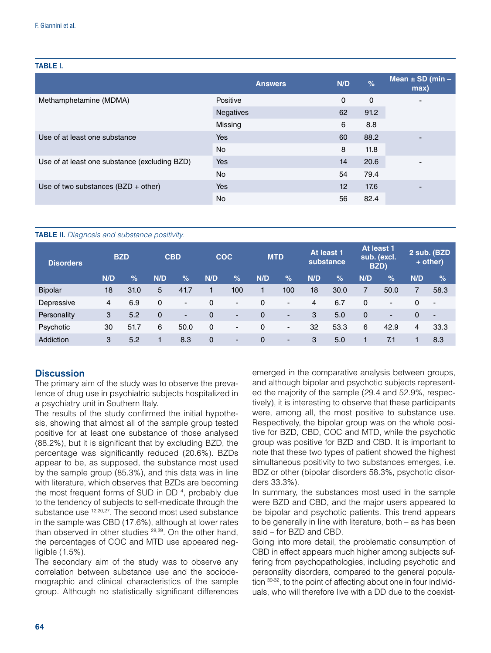#### TABLE I.

|                                               | <b>Answers</b>   | N/D      | $\frac{9}{6}$ | Mean $\pm$ SD (min –<br>max) |
|-----------------------------------------------|------------------|----------|---------------|------------------------------|
| Methamphetamine (MDMA)                        | Positive         | $\Omega$ | $\mathbf 0$   | $\blacksquare$               |
|                                               | <b>Negatives</b> | 62       | 91.2          |                              |
|                                               | Missing          | 6        | 8.8           |                              |
| Use of at least one substance                 | Yes              | 60       | 88.2          |                              |
|                                               | <b>No</b>        | 8        | 11.8          |                              |
| Use of at least one substance (excluding BZD) | Yes              | 14       | 20.6          |                              |
|                                               | <b>No</b>        | 54       | 79.4          |                              |
| Use of two substances $(BZD + other)$         | Yes              | 12       | 17.6          | $\blacksquare$               |
|                                               | No               | 56       | 82.4          |                              |

#### TABLE II. *Diagnosis and substance positivity.*

| <b>Disorders</b> | <b>BZD</b> |      |             | <b>CBD</b>               | <b>COC</b> |      | <b>MTD</b> |                          |     | At least 1<br>substance |             | At least 1<br>sub. (excl.<br>BZD) |     | 2 sub. (BZD<br>$+$ other) |
|------------------|------------|------|-------------|--------------------------|------------|------|------------|--------------------------|-----|-------------------------|-------------|-----------------------------------|-----|---------------------------|
|                  | N/D        | $\%$ | N/D         | %                        | N/D        | $\%$ | N/D        | $\%$                     | N/D | $\%$                    | N/D         | $\%$                              | N/D | $\%$                      |
| <b>Bipolar</b>   | 18         | 31.0 | 5           | 41.7                     |            | 100  |            | 100                      | 18  | 30.0                    |             | 50.0                              | 7   | 58.3                      |
| Depressive       | 4          | 6.9  | 0           | $\overline{\phantom{0}}$ | 0          | ۰    | 0          | $\overline{\phantom{a}}$ | 4   | 6.7                     | 0           | $\blacksquare$                    | 0   | $\overline{\phantom{a}}$  |
| Personality      | 3          | 5.2  | $\mathbf 0$ | ٠                        | 0          | -    | 0          | $\overline{\phantom{a}}$ | 3   | 5.0                     | $\mathbf 0$ | -                                 | 0   | $\overline{\phantom{a}}$  |
| Psychotic        | 30         | 51.7 | 6           | 50.0                     | $\Omega$   | -    | 0          | $\overline{\phantom{a}}$ | 32  | 53.3                    | 6           | 42.9                              | 4   | 33.3                      |
| Addiction        | 3          | 5.2  |             | 8.3                      | 0          | ۰    | 0          | $\overline{\phantom{a}}$ | 3   | 5.0                     |             | 7.1                               |     | 8.3                       |

#### **Discussion**

The primary aim of the study was to observe the prevalence of drug use in psychiatric subjects hospitalized in a psychiatry unit in Southern Italy.

The results of the study confirmed the initial hypothesis, showing that almost all of the sample group tested positive for at least one substance of those analysed (88.2%), but it is significant that by excluding BZD, the percentage was significantly reduced (20.6%). BZDs appear to be, as supposed, the substance most used by the sample group (85.3%), and this data was in line with literature, which observes that BZDs are becoming the most frequent forms of SUD in DD<sup>4</sup>, probably due to the tendency of subjects to self-medicate through the substance use 12,20,27. The second most used substance in the sample was CBD (17.6%), although at lower rates than observed in other studies <sup>28,29</sup>. On the other hand, the percentages of COC and MTD use appeared negligible (1.5%).

The secondary aim of the study was to observe any correlation between substance use and the sociodemographic and clinical characteristics of the sample group. Although no statistically significant differences

emerged in the comparative analysis between groups, and although bipolar and psychotic subjects represented the majority of the sample (29.4 and 52.9%, respectively), it is interesting to observe that these participants were, among all, the most positive to substance use. Respectively, the bipolar group was on the whole positive for BZD, CBD, COC and MTD, while the psychotic group was positive for BZD and CBD. It is important to note that these two types of patient showed the highest simultaneous positivity to two substances emerges, i.e. BDZ or other (bipolar disorders 58.3%, psychotic disorders 33.3%).

In summary, the substances most used in the sample were BZD and CBD, and the major users appeared to be bipolar and psychotic patients. This trend appears to be generally in line with literature, both – as has been said – for BZD and CBD.

Going into more detail, the problematic consumption of CBD in effect appears much higher among subjects suffering from psychopathologies, including psychotic and personality disorders, compared to the general population 30-32, to the point of affecting about one in four individuals, who will therefore live with a DD due to the coexist-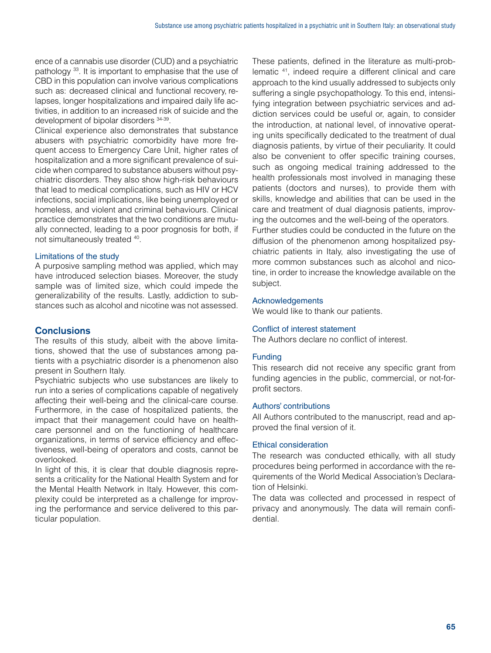ence of a cannabis use disorder (CUD) and a psychiatric pathology 33. It is important to emphasise that the use of CBD in this population can involve various complications such as: decreased clinical and functional recovery, relapses, longer hospitalizations and impaired daily life activities, in addition to an increased risk of suicide and the development of bipolar disorders 34-39.

Clinical experience also demonstrates that substance abusers with psychiatric comorbidity have more frequent access to Emergency Care Unit, higher rates of hospitalization and a more significant prevalence of suicide when compared to substance abusers without psychiatric disorders. They also show high-risk behaviours that lead to medical complications, such as HIV or HCV infections, social implications, like being unemployed or homeless, and violent and criminal behaviours. Clinical practice demonstrates that the two conditions are mutually connected, leading to a poor prognosis for both, if not simultaneously treated 40.

# Limitations of the study

A purposive sampling method was applied, which may have introduced selection biases. Moreover, the study sample was of limited size, which could impede the generalizability of the results. Lastly, addiction to substances such as alcohol and nicotine was not assessed.

# **Conclusions**

The results of this study, albeit with the above limitations, showed that the use of substances among patients with a psychiatric disorder is a phenomenon also present in Southern Italy.

Psychiatric subjects who use substances are likely to run into a series of complications capable of negatively affecting their well-being and the clinical-care course. Furthermore, in the case of hospitalized patients, the impact that their management could have on healthcare personnel and on the functioning of healthcare organizations, in terms of service efficiency and effectiveness, well-being of operators and costs, cannot be overlooked.

In light of this, it is clear that double diagnosis represents a criticality for the National Health System and for the Mental Health Network in Italy. However, this complexity could be interpreted as a challenge for improving the performance and service delivered to this particular population.

These patients, defined in the literature as multi-problematic 41, indeed require a different clinical and care approach to the kind usually addressed to subjects only suffering a single psychopathology. To this end, intensifying integration between psychiatric services and addiction services could be useful or, again, to consider the introduction, at national level, of innovative operating units specifically dedicated to the treatment of dual diagnosis patients, by virtue of their peculiarity. It could also be convenient to offer specific training courses, such as ongoing medical training addressed to the health professionals most involved in managing these patients (doctors and nurses), to provide them with skills, knowledge and abilities that can be used in the care and treatment of dual diagnosis patients, improving the outcomes and the well-being of the operators.

Further studies could be conducted in the future on the diffusion of the phenomenon among hospitalized psychiatric patients in Italy, also investigating the use of more common substances such as alcohol and nicotine, in order to increase the knowledge available on the subject.

#### Acknowledgements

We would like to thank our patients.

#### Conflict of interest statement

The Authors declare no conflict of interest.

## **Funding**

This research did not receive any specific grant from funding agencies in the public, commercial, or not-forprofit sectors.

#### Authors' contributions

All Authors contributed to the manuscript, read and approved the final version of it.

#### Ethical consideration

The research was conducted ethically, with all study procedures being performed in accordance with the requirements of the World Medical Association's Declaration of Helsinki.

The data was collected and processed in respect of privacy and anonymously. The data will remain confidential.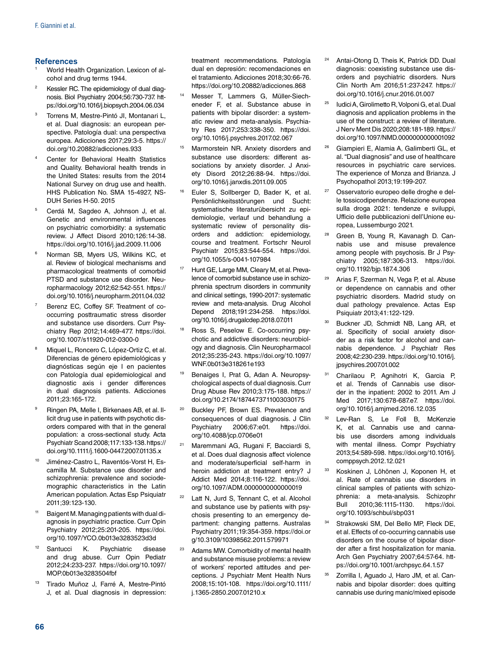#### **References**

- World Health Organization. Lexicon of alcohol and drug terms 1944.
- Kessler RC. The epidemiology of dual diagnosis. Biol Psychiatry 2004;56:730-737. [htt](https://doi.org/10.1016/j.biopsych.2004.06.034)[ps://doi.org/10.1016/j.biopsych.2004.06.034](https://doi.org/10.1016/j.biopsych.2004.06.034)
- <sup>3</sup> Torrens M, Mestre-Pintó JI, Montanari L, et al. Dual diagnosis: an european perspective. Patología dual: una perspectiva europea. Adicciones 2017;29:3-5. [https://](https://doi.org/10.20882/adicciones.933) [doi.org/10.20882/adicciones.933](https://doi.org/10.20882/adicciones.933)
- Center for Behavioral Health Statistics and Quality. Behavioral health trends in the United States: results from the 2014 National Survey on drug use and health. HHS Publication No. SMA 15-4927, NS-DUH Series H-50. 2015
- <sup>5</sup> Cerdá M, Sagdeo A, Johnson J, et al. Genetic and environmental influences on psychiatric comorbidity: a systematic review. J Affect Disord 2010;126:14-38. <https://doi.org/10.1016/j.jad.2009.11.006>
- <sup>6</sup> Norman SB, Myers US, Wilkins KC, et al. Review of biological mechanisms and pharmacological treatments of comorbid PTSD and substance use disorder. Neuropharmacology 2012;62:542-551. [https://](https://doi.org/10.1016/j.neuropharm.2011.04.032) [doi.org/10.1016/j.neuropharm.2011.04.032](https://doi.org/10.1016/j.neuropharm.2011.04.032)
- Berenz EC, Coffey SF. Treatment of cooccurring posttraumatic stress disorder and substance use disorders. Curr Psychiatry Rep 2012;14:469-477. [https://doi.](https://doi.org/10.1007/s11920-012-0300-0) [org/10.1007/s11920-012-0300-0](https://doi.org/10.1007/s11920-012-0300-0)
- Miquel L, Roncero C, López-Ortiz C, et al. Diferencias de género epidemiológicas y diagnósticas según eje I en pacientes con Patología dual epidemiological and diagnostic axis i gender differences in dual diagnosis patients. Adicciones 2011;23:165-172.
- <sup>9</sup> Ringen PA, Melle I, Birkenaes AB, et al. Illicit drug use in patients with psychotic disorders compared with that in the general population: a cross-sectional study. Acta Psychiatr Scand 2008;117:133-138. [https://](https://doi.org/10.1111/j.1600-0447.2007.01135.x) [doi.org/10.1111/j.1600-0447.2007.01135.x](https://doi.org/10.1111/j.1600-0447.2007.01135.x)
- <sup>10</sup> Jiménez-Castro L, Raventós-Vorst H, Escamilla M. Substance use disorder and schizophrenia: prevalence and sociodemographic characteristics in the Latin American population. Actas Esp Psiquiatr 2011;39:123-130.
- <sup>11</sup> Baigent M. Managing patients with dual diagnosis in psychiatric practice. Curr Opin Psychiatry 2012;25:201-205. [https://doi.](https://doi.org/10.1097/YCO.0b013e3283523d3d) [org/10.1097/YCO.0b013e3283523d3d](https://doi.org/10.1097/YCO.0b013e3283523d3d)
- <sup>12</sup> Santucci K. Psychiatric disease and drug abuse. Curr Opin Pediatr 2012;24:233-237. [https://doi.org/10.1097/](https://doi.org/10.1097/MOP.0b013e3283504fbf) [MOP.0b013e3283504fbf](https://doi.org/10.1097/MOP.0b013e3283504fbf)
- <sup>13</sup> Tirado Muñoz J, Farré A, Mestre-Pintó J, et al. Dual diagnosis in depression:

treatment recommendations. Patología dual en depresión: recomendaciones en el tratamiento. Adicciones 2018;30:66-76. <https://doi.org/10.20882/adicciones.868>

- <sup>14</sup> Messer T, Lammers G, Müller-Siecheneder F, et al. Substance abuse in patients with bipolar disorder: a systematic review and meta-analysis. Psychiatry Res 2017;253:338-350. [https://doi.](https://doi.org/10.1016/j.psychres.2017.02.067) [org/10.1016/j.psychres.2017.02.067](https://doi.org/10.1016/j.psychres.2017.02.067)
- <sup>15</sup> Marmorstein NR. Anxiety disorders and substance use disorders: different associations by anxiety disorder. J Anxiety Disord 2012;26:88-94. [https://doi.](https://doi.org/10.1016/j.janxdis.2011.09.005) [org/10.1016/j.janxdis.2011.09.005](https://doi.org/10.1016/j.janxdis.2011.09.005)
- Euler S, Sollberger D, Bader K, et al. Persönlichkeitsstörungen und Sucht: systematische literaturübersicht zu epidemiologie, verlauf und behandlung a systematic review of personality disorders and addiction: epidemiology, course and treatment. Fortschr Neurol Psychiatr 2015;83:544-554. [https://doi.](https://doi.org/10.1055/s-0041-107984) [org/10.1055/s-0041-107984](https://doi.org/10.1055/s-0041-107984)
- <sup>17</sup> Hunt GE, Large MM, Cleary M, et al. Prevalence of comorbid substance use in schizophrenia spectrum disorders in community and clinical settings, 1990-2017: systematic review and meta-analysis. Drug Alcohol Depend 2018;191:234-258. [https://doi.](https://doi.org/10.1016/j.drugalcdep.2018.07.011) [org/10.1016/j.drugalcdep.2018.07.011](https://doi.org/10.1016/j.drugalcdep.2018.07.011)
- Ross S, Peselow E. Co-occurring psychotic and addictive disorders: neurobiology and diagnosis. Clin Neuropharmacol 2012;35:235-243. [https://doi.org/10.1097/](https://doi.org/10.1097/WNF.0b013e318261e193) [WNF.0b013e318261e193](https://doi.org/10.1097/WNF.0b013e318261e193)
- <sup>19</sup> Benaiges I, Prat G, Adan A. Neuropsychological aspects of dual diagnosis. Curr Drug Abuse Rev 2010;3:175-188. [https://](https://doi.org/10.2174/1874473711003030175) [doi.org/10.2174/1874473711003030175](https://doi.org/10.2174/1874473711003030175)
- <sup>20</sup> Buckley PF, Brown ES. Prevalence and consequences of dual diagnosis. J Clin Psychiatry 2006;67:e01. [https://doi.](https://doi.org/10.4088/jcp.0706e01) [org/10.4088/jcp.0706e01](https://doi.org/10.4088/jcp.0706e01)
- <sup>21</sup> Maremmani AG, Rugani F, Bacciardi S, et al. Does dual diagnosis affect violence and moderate/superficial self-harm in heroin addiction at treatment entry? J Addict Med 2014;8:116-122. [https://doi.](https://doi.org/10.1097/ADM.0000000000000019) [org/10.1097/ADM.0000000000000019](https://doi.org/10.1097/ADM.0000000000000019)
- <sup>22</sup> Latt N, Jurd S, Tennant C, et al. Alcohol and substance use by patients with psychosis presenting to an emergency department: changing patterns. Australas Psychiatry 2011;19:354-359. [https://doi.or](https://doi.org/10.3109/10398562.2011.579971) [g/10.3109/10398562.2011.579971](https://doi.org/10.3109/10398562.2011.579971)
- <sup>23</sup> Adams MW. Comorbidity of mental health and substance misuse problems: a review of workers' reported attitudes and perceptions. J Psychiatr Ment Health Nurs 2008;15:101-108. [https://doi.org/10.1111/](https://doi.org/10.1111/j.1365-2850.2007.01210.x) [j.1365-2850.2007.01210.x](https://doi.org/10.1111/j.1365-2850.2007.01210.x)
- <sup>24</sup> Antai-Otong D, Theis K, Patrick DD. Dual diagnosis: coexisting substance use disorders and psychiatric disorders. Nurs Clin North Am 2016;51:237-247. [https://](https://doi.org/10.1016/j.cnur.2016.01.007) [doi.org/10.1016/j.cnur.2016.01.007](https://doi.org/10.1016/j.cnur.2016.01.007)
- <sup>25</sup> Iudici A, Girolimetto R, Volponi G, et al. Dual diagnosis and application problems in the use of the construct: a review of literature. J Nerv Ment Dis 2020;208:181-189. [https://](https://doi.org/10.1097/NMD.0000000000001092) [doi.org/10.1097/NMD.0000000000001092](https://doi.org/10.1097/NMD.0000000000001092)
- <sup>26</sup> Giampieri E, Alamia A, Galimberti GL, et al. "Dual diagnosis" and use of healthcare resources in psychiatric care services. The experience of Monza and Brianza. J Psychopathol 2013;19:199-207.
- <sup>27</sup> Osservatorio europeo delle droghe e delle tossicodipendenze. Relazione europea sulla droga 2021: tendenze e sviluppi, Ufficio delle pubblicazioni dell'Unione europea, Lussemburgo 2021.
- <sup>28</sup> Green B, Young R, Kavanagh D. Cannabis use and misuse prevalence among people with psychosis. Br J Psychiatry 2005;187:306-313. [https://doi.](https://doi.org/10.1192/bjp.187.4.306) [org/10.1192/bjp.187.4.306](https://doi.org/10.1192/bjp.187.4.306)
- <sup>29</sup> Arias F, Szerman N, Vega P, et al. Abuse or dependence on cannabis and other psychiatric disorders. Madrid study on dual pathology prevalence. Actas Esp Psiquiatr 2013;41:122-129.
- <sup>30</sup> Buckner JD, Schmidt NB, Lang AR, et al. Specificity of social anxiety disorder as a risk factor for alcohol and cannabis dependence. J Psychiatr Res 2008;42:230-239. [https://doi.org/10.1016/j.](https://doi.org/10.1016/j.jpsychires.2007.01.002) [jpsychires.2007.01.002](https://doi.org/10.1016/j.jpsychires.2007.01.002)
- Charilaou P, Agnihotri K, Garcia P, et al. Trends of Cannabis use disorder in the inpatient: 2002 to 2011. Am J Med 2017;130:678-687.e7. [https://doi.](https://doi.org/10.1016/j.amjmed.2016.12.035) [org/10.1016/j.amjmed.2016.12.035](https://doi.org/10.1016/j.amjmed.2016.12.035)
- Lev-Ran S, Le Foll B, McKenzie K, et al. Cannabis use and cannabis use disorders among individuals with mental illness. Compr Psychiatry 2013;54:589-598. [https://doi.org/10.1016/j.](https://doi.org/10.1016/j.comppsych.2012.12.021) [comppsych.2012.12.021](https://doi.org/10.1016/j.comppsych.2012.12.021)
- <sup>33</sup> Koskinen J, Löhönen J, Koponen H, et al. Rate of cannabis use disorders in clinical samples of patients with schizophrenia: a meta-analysis. Schizophr Bull 2010;36:1115-1130. [https://doi.](https://doi.org/10.1093/schbul/sbp031) [org/10.1093/schbul/sbp031](https://doi.org/10.1093/schbul/sbp031)
- Strakowski SM, Del Bello MP, Fleck DE, et al. Effects of co-occurring cannabis use disorders on the course of bipolar disorder after a first hospitalization for mania. Arch Gen Psychiatry 2007;64:57-64. [htt](https://doi.org/10.1001/archpsyc.64.1.57)[ps://doi.org/10.1001/archpsyc.64.1.57](https://doi.org/10.1001/archpsyc.64.1.57)
- <sup>35</sup> Zorrilla I, Aguado J, Haro JM, et al. Cannabis and bipolar disorder: does quitting cannabis use during manic/mixed episode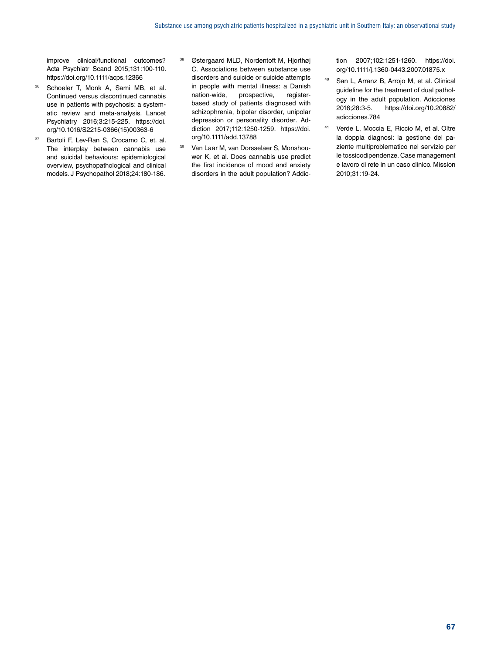improve clinical/functional outcomes? Acta Psychiatr Scand 2015;131:100-110. <https://doi.org/10.1111/acps.12366>

- 36 Schoeler T, Monk A, Sami MB, et al. Continued versus discontinued cannabis use in patients with psychosis: a systematic review and meta-analysis. Lancet Psychiatry 2016;3:215-225. [https://doi.](https://doi.org/10.1016/S2215-0366(15)00363-6) [org/10.1016/S2215-0366\(15\)00363-6](https://doi.org/10.1016/S2215-0366(15)00363-6)
- <sup>37</sup> Bartoli F, Lev-Ran S, Crocamo C, et. al. The interplay between cannabis use and suicidal behaviours: epidemiological overview, psychopathological and clinical models. J Psychopathol 2018;24:180-186.
- <sup>38</sup> Østergaard MLD, Nordentoft M, Hjorthøj C. Associations between substance use disorders and suicide or suicide attempts in people with mental illness: a Danish nation-wide, prospective, registerbased study of patients diagnosed with schizophrenia, bipolar disorder, unipolar depression or personality disorder. Addiction 2017;112:1250-1259. [https://doi.](https://doi.org/10.1111/add.13788) [org/10.1111/add.13788](https://doi.org/10.1111/add.13788)
- <sup>39</sup> Van Laar M, van Dorsselaer S, Monshouwer K, et al. Does cannabis use predict the first incidence of mood and anxiety disorders in the adult population? Addic-

tion 2007;102:1251-1260. [https://doi.](https://doi.org/10.1111/j.1360-0443.2007.01875.x) [org/10.1111/j.1360-0443.2007.01875.x](https://doi.org/10.1111/j.1360-0443.2007.01875.x)

- <sup>40</sup> San L, Arranz B, Arrojo M, et al. Clinical guideline for the treatment of dual pathology in the adult population. Adicciones 2016;28:3-5. [https://doi.org/10.20882/](https://doi.org/10.20882/adicciones.784) [adicciones.784](https://doi.org/10.20882/adicciones.784)
- <sup>41</sup> Verde L, Moccia E, Riccio M, et al. Oltre la doppia diagnosi: la gestione del paziente multiproblematico nel servizio per le tossicodipendenze. Case management e lavoro di rete in un caso clinico. Mission 2010;31:19-24.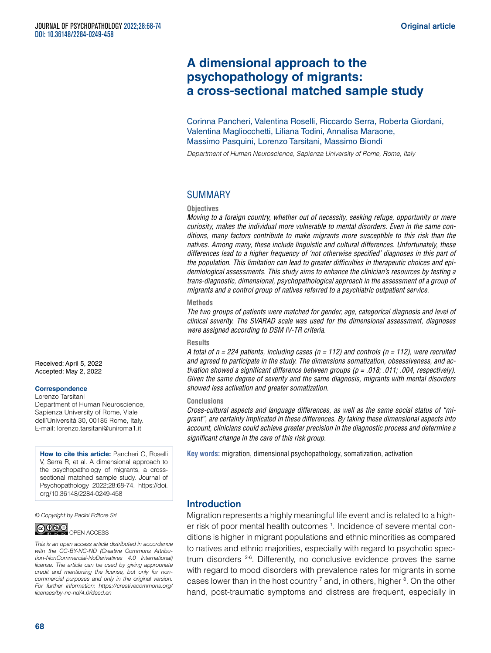# **A dimensional approach to the psychopathology of migrants: a cross-sectional matched sample study**

Corinna Pancheri, Valentina Roselli, Riccardo Serra, Roberta Giordani, Valentina Magliocchetti, Liliana Todini, Annalisa Maraone, Massimo Pasquini, Lorenzo Tarsitani, Massimo Biondi

*Department of Human Neuroscience, Sapienza University of Rome, Rome, Italy*

# SUMMARY

#### **Objectives**

*Moving to a foreign country, whether out of necessity, seeking refuge, opportunity or mere curiosity, makes the individual more vulnerable to mental disorders. Even in the same conditions, many factors contribute to make migrants more susceptible to this risk than the natives. Among many, these include linguistic and cultural differences. Unfortunately, these differences lead to a higher frequency of 'not otherwise specified' diagnoses in this part of the population. This limitation can lead to greater difficulties in therapeutic choices and epidemiological assessments. This study aims to enhance the clinician's resources by testing a trans-diagnostic, dimensional, psychopathological approach in the assessment of a group of migrants and a control group of natives referred to a psychiatric outpatient service.*

#### **Methods**

*The two groups of patients were matched for gender, age, categorical diagnosis and level of clinical severity. The SVARAD scale was used for the dimensional assessment, diagnoses were assigned according to DSM IV-TR criteria.*

#### **Results**

*A total of n = 224 patients, including cases (n = 112) and controls (n = 112), were recruited and agreed to participate in the study. The dimensions somatization, obsessiveness, and activation showed a significant difference between groups (p = .018; .011; .004, respectively). Given the same degree of severity and the same diagnosis, migrants with mental disorders showed less activation and greater somatization.* 

#### **Conclusions**

*Cross-cultural aspects and language differences, as well as the same social status of "migrant", are certainly implicated in these differences. By taking these dimensional aspects into account, clinicians could achieve greater precision in the diagnostic process and determine a significant change in the care of this risk group.*

**Key words:** migration, dimensional psychopathology, somatization, activation

#### Introduction

Migration represents a highly meaningful life event and is related to a higher risk of poor mental health outcomes <sup>1</sup>. Incidence of severe mental conditions is higher in migrant populations and ethnic minorities as compared to natives and ethnic majorities, especially with regard to psychotic spectrum disorders <sup>2-6</sup>. Differently, no conclusive evidence proves the same with regard to mood disorders with prevalence rates for migrants in some cases lower than in the host country  $^7$  and, in others, higher  $^8$ . On the other hand, post-traumatic symptoms and distress are frequent, especially in

Received: April 5, 2022 Accepted: May 2, 2022

#### **Correspondence**

Lorenzo Tarsitani Department of Human Neuroscience, Sapienza University of Rome, Viale dell'Università 30, 00185 Rome, Italy. E-mail: [lorenzo.tarsitani@uniroma1.it](mailto:lorenzo.tarsitani@uniroma1.it)

**How to cite this article:** Pancheri C, Roselli V, Serra R, et al. A dimensional approach to the psychopathology of migrants, a crosssectional matched sample study. Journal of Psychopathology 2022;28:68-74. [https://doi.](https://doi.org/10.36148/2284-0249-443) [org/10.36148/2284-0249-4](https://doi.org/10.36148/2284-0249-443)58

*© Copyright by Pacini Editore Srl*



*This is an open access article distributed in accordance with the CC-BY-NC-ND (Creative Commons Attribution-NonCommercial-NoDerivatives 4.0 International) license. The article can be used by giving appropriate credit and mentioning the license, but only for noncommercial purposes and only in the original version. For further information: [https://creativecommons.org/](https://creativecommons.org/licenses/by-nc-nd/4.0/deed.en) [licenses/by-nc-nd/4.0/deed.en](https://creativecommons.org/licenses/by-nc-nd/4.0/deed.en)*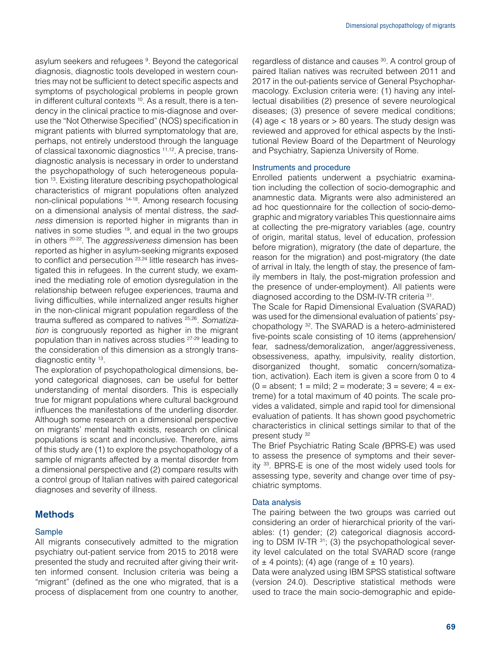asylum seekers and refugees <sup>9</sup>. Beyond the categorical diagnosis, diagnostic tools developed in western countries may not be sufficient to detect specific aspects and symptoms of psychological problems in people grown in different cultural contexts <sup>10</sup>. As a result, there is a tendency in the clinical practice to mis-diagnose and overuse the "Not Otherwise Specified" (NOS) specification in migrant patients with blurred symptomatology that are, perhaps, not entirely understood through the language of classical taxonomic diagnostics 11,12. A precise, transdiagnostic analysis is necessary in order to understand the psychopathology of such heterogeneous population 13. Existing literature describing psychopathological characteristics of migrant populations often analyzed non-clinical populations 14-18. Among research focusing on a dimensional analysis of mental distress, the *sadness* dimension is reported higher in migrants than in natives in some studies 19, and equal in the two groups in others 20-22. The *aggressiveness* dimension has been reported as higher in asylum-seeking migrants exposed to conflict and persecution <sup>23,24</sup> little research has investigated this in refugees. In the current study, we examined the mediating role of emotion dysregulation in the relationship between refugee experiences, trauma and living difficulties, while internalized anger results higher in the non-clinical migrant population regardless of the trauma suffered as compared to natives 25,26. *Somatization* is congruously reported as higher in the migrant population than in natives across studies 27-29 leading to the consideration of this dimension as a strongly transdiagnostic entity 13.

The exploration of psychopathological dimensions, beyond categorical diagnoses, can be useful for better understanding of mental disorders. This is especially true for migrant populations where cultural background influences the manifestations of the underling disorder. Although some research on a dimensional perspective on migrants' mental health exists, research on clinical populations is scant and inconclusive. Therefore, aims of this study are (1) to explore the psychopathology of a sample of migrants affected by a mental disorder from a dimensional perspective and (2) compare results with a control group of Italian natives with paired categorical diagnoses and severity of illness.

# Methods

# Sample

All migrants consecutively admitted to the migration psychiatry out-patient service from 2015 to 2018 were presented the study and recruited after giving their written informed consent. Inclusion criteria was being a "migrant" (defined as the one who migrated, that is a process of displacement from one country to another, regardless of distance and causes 30. A control group of paired Italian natives was recruited between 2011 and 2017 in the out-patients service of General Psychopharmacology. Exclusion criteria were: (1) having any intellectual disabilities (2) presence of severe neurological diseases; (3) presence of severe medical conditions; (4) age  $<$  18 years or  $> 80$  years. The study design was reviewed and approved for ethical aspects by the Institutional Review Board of the Department of Neurology and Psychiatry, Sapienza University of Rome.

#### Instruments and procedure

Enrolled patients underwent a psychiatric examination including the collection of socio-demographic and anamnestic data. Migrants were also administered an ad hoc questionnaire for the collection of socio-demographic and migratory variables This questionnaire aims at collecting the pre-migratory variables (age, country of origin, marital status, level of education, profession before migration), migratory (the date of departure, the reason for the migration) and post-migratory (the date of arrival in Italy, the length of stay, the presence of family members in Italy, the post-migration profession and the presence of under-employment). All patients were diagnosed according to the DSM-IV-TR criteria 31.

The Scale for Rapid Dimensional Evaluation (SVARAD) was used for the dimensional evaluation of patients' psychopathology 32. The SVARAD is a hetero-administered five-points scale consisting of 10 items (apprehension/ fear, sadness/demoralization, anger/aggressiveness, obsessiveness, apathy, impulsivity, reality distortion, disorganized thought, somatic concern/somatization, activation). Each item is given a score from 0 to 4  $(0 =$  absent;  $1 =$  mild;  $2 =$  moderate;  $3 =$  severe;  $4 =$  extreme) for a total maximum of 40 points. The scale provides a validated, simple and rapid tool for dimensional evaluation of patients. It has shown good psychometric characteristics in clinical settings similar to that of the present study 32

The Brief Psychiatric Rating Scale *(*BPRS-E) was used to assess the presence of symptoms and their severity 33. BPRS-E is one of the most widely used tools for assessing type, severity and change over time of psychiatric symptoms.

# Data analysis

The pairing between the two groups was carried out considering an order of hierarchical priority of the variables: (1) gender; (2) categorical diagnosis according to DSM IV-TR  $31$ ; (3) the psychopathological severity level calculated on the total SVARAD score (range of  $\pm$  4 points); (4) age (range of  $\pm$  10 years).

Data were analyzed using IBM SPSS statistical software (version 24.0). Descriptive statistical methods were used to trace the main socio-demographic and epide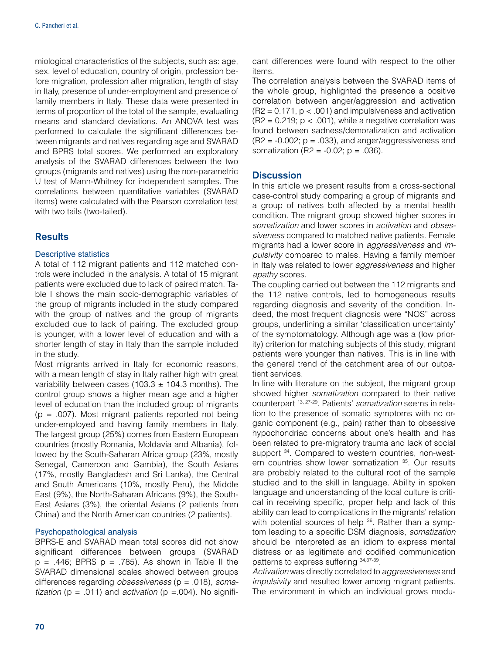miological characteristics of the subjects, such as: age, sex, level of education, country of origin, profession before migration, profession after migration, length of stay in Italy, presence of under-employment and presence of family members in Italy. These data were presented in terms of proportion of the total of the sample, evaluating means and standard deviations. An ANOVA test was performed to calculate the significant differences between migrants and natives regarding age and SVARAD and BPRS total scores. We performed an exploratory analysis of the SVARAD differences between the two groups (migrants and natives) using the non-parametric U test of Mann-Whitney for independent samples. The correlations between quantitative variables (SVARAD items) were calculated with the Pearson correlation test with two tails (two-tailed).

# **Results**

#### Descriptive statistics

A total of 112 migrant patients and 112 matched controls were included in the analysis. A total of 15 migrant patients were excluded due to lack of paired match. Table I shows the main socio-demographic variables of the group of migrants included in the study compared with the group of natives and the group of migrants excluded due to lack of pairing. The excluded group is younger, with a lower level of education and with a shorter length of stay in Italy than the sample included in the study.

Most migrants arrived in Italy for economic reasons, with a mean length of stay in Italy rather high with great variability between cases (103.3  $\pm$  104.3 months). The control group shows a higher mean age and a higher level of education than the included group of migrants  $(p = .007)$ . Most migrant patients reported not being under-employed and having family members in Italy. The largest group (25%) comes from Eastern European countries (mostly Romania, Moldavia and Albania), followed by the South-Saharan Africa group (23%, mostly Senegal, Cameroon and Gambia), the South Asians (17%, mostly Bangladesh and Sri Lanka), the Central and South Americans (10%, mostly Peru), the Middle East (9%), the North-Saharan Africans (9%), the South-East Asians (3%), the oriental Asians (2 patients from China) and the North American countries (2 patients).

#### Psychopathological analysis

BPRS-E and SVARAD mean total scores did not show significant differences between groups (SVARAD  $p = .446$ ; BPRS  $p = .785$ ). As shown in Table II the SVARAD dimensional scales showed between groups differences regarding *obsessiveness* (p = .018), *soma* $tization$  ( $p = .011$ ) and *activation* ( $p = .004$ ). No significant differences were found with respect to the other items.

The correlation analysis between the SVARAD items of the whole group, highlighted the presence a positive correlation between anger/aggression and activation  $(R2 = 0.171, p < .001)$  and impulsiveness and activation  $(R2 = 0.219; p < .001)$ , while a negative correlation was found between sadness/demoralization and activation  $(R2 = -0.002; p = .033)$ , and anger/aggressiveness and somatization (R2 =  $-0.02$ ; p = .036).

# **Discussion**

In this article we present results from a cross-sectional case-control study comparing a group of migrants and a group of natives both affected by a mental health condition. The migrant group showed higher scores in *somatization* and lower scores in *activation* and *obsessiveness* compared to matched native patients. Female migrants had a lower score in *aggressiveness* and *impulsivity* compared to males. Having a family member in Italy was related to lower *aggressiveness* and higher *apathy* scores.

The coupling carried out between the 112 migrants and the 112 native controls, led to homogeneous results regarding diagnosis and severity of the condition. Indeed, the most frequent diagnosis were "NOS" across groups, underlining a similar 'classification uncertainty' of the symptomatology. Although age was a (low priority) criterion for matching subjects of this study, migrant patients were younger than natives. This is in line with the general trend of the catchment area of our outpatient services.

In line with literature on the subject, the migrant group showed higher *somatization* compared to their native counterpart 13, 27-29. Patients' *somatization* seems in relation to the presence of somatic symptoms with no organic component (e.g., pain) rather than to obsessive hypochondriac concerns about one's health and has been related to pre-migratory trauma and lack of social support <sup>34</sup>. Compared to western countries, non-western countries show lower somatization <sup>35</sup>. Our results are probably related to the cultural root of the sample studied and to the skill in language. Ability in spoken language and understanding of the local culture is critical in receiving specific, proper help and lack of this ability can lead to complications in the migrants' relation with potential sources of help <sup>36</sup>. Rather than a symptom leading to a specific DSM diagnosis, *somatization* should be interpreted as an idiom to express mental distress or as legitimate and codified communication patterns to express suffering 34,37-39.

*Activation* was directly correlated to *aggressiveness* and *impulsivity* and resulted lower among migrant patients. The environment in which an individual grows modu-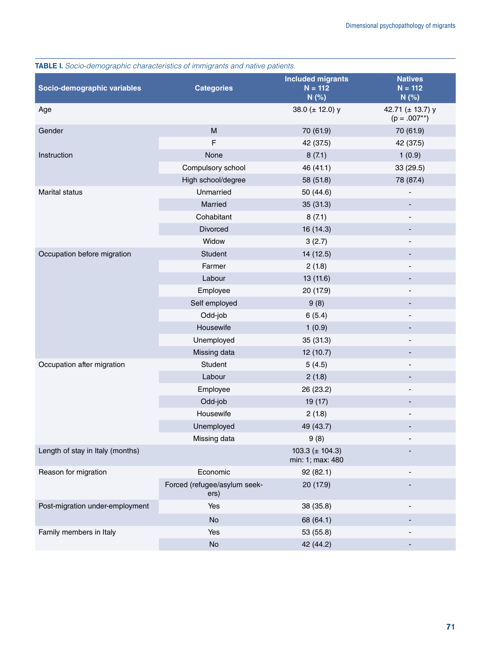| <b>INDEE I.</b> OUGO-GERROGRAPHIC CHARACteristics Of immingrants and hanve panerits. |                                                                                       | <b>Included migrants</b>                 | <b>Natives</b>                        |
|--------------------------------------------------------------------------------------|---------------------------------------------------------------------------------------|------------------------------------------|---------------------------------------|
| Socio-demographic variables                                                          | <b>Categories</b>                                                                     | $N = 112$                                | $N = 112$                             |
|                                                                                      |                                                                                       | N(%)                                     | N(%)                                  |
| Age                                                                                  |                                                                                       | 38.0 $(\pm 12.0)$ y                      | 42.71 ( $\pm$ 13.7) y<br>$(p=.007**)$ |
| Gender                                                                               | $\mathsf{M}% _{T}=\mathsf{M}_{T}\!\left( a,b\right) ,\ \mathsf{M}_{T}=\mathsf{M}_{T}$ | 70 (61.9)                                | 70 (61.9)                             |
|                                                                                      | F                                                                                     | 42 (37.5)                                | 42 (37.5)                             |
| Instruction                                                                          | None                                                                                  | 8(7.1)                                   | 1(0.9)                                |
|                                                                                      | Compulsory school                                                                     | 46 (41.1)                                | 33 (29.5)                             |
|                                                                                      | High school/degree                                                                    | 58 (51.8)                                | 78 (87.4)                             |
| Marital status                                                                       | Unmarried                                                                             | 50 (44.6)                                |                                       |
|                                                                                      | Married                                                                               | 35 (31.3)                                |                                       |
|                                                                                      | Cohabitant                                                                            | 8(7.1)                                   | $\overline{\phantom{a}}$              |
|                                                                                      | Divorced                                                                              | 16 (14.3)                                |                                       |
|                                                                                      | Widow                                                                                 | 3(2.7)                                   |                                       |
| Occupation before migration                                                          | Student                                                                               | 14(12.5)                                 |                                       |
|                                                                                      | Farmer                                                                                | 2(1.8)                                   | ٠                                     |
|                                                                                      | Labour                                                                                | 13 (11.6)                                |                                       |
|                                                                                      | Employee                                                                              | 20 (17.9)                                |                                       |
|                                                                                      | Self employed                                                                         | 9(8)                                     |                                       |
|                                                                                      | Odd-job                                                                               | 6(5.4)                                   | $\overline{\phantom{a}}$              |
|                                                                                      | Housewife                                                                             | 1(0.9)                                   |                                       |
|                                                                                      | Unemployed                                                                            | 35 (31.3)                                |                                       |
|                                                                                      | Missing data                                                                          | 12(10.7)                                 |                                       |
| Occupation after migration                                                           | Student                                                                               | 5(4.5)                                   | $\overline{a}$                        |
|                                                                                      | Labour                                                                                | 2(1.8)                                   |                                       |
|                                                                                      | Employee                                                                              | 26 (23.2)                                |                                       |
|                                                                                      | Odd-job                                                                               | 19(17)                                   |                                       |
|                                                                                      | Housewife                                                                             | 2(1.8)                                   |                                       |
|                                                                                      | Unemployed                                                                            | 49 (43.7)                                |                                       |
|                                                                                      | Missing data                                                                          | 9(8)                                     |                                       |
| Length of stay in Italy (months)                                                     |                                                                                       | 103.3 ( $\pm$ 104.3)<br>min: 1; max: 480 |                                       |
| Reason for migration                                                                 | Economic                                                                              | 92(82.1)                                 |                                       |
|                                                                                      | Forced (refugee/asylum seek-<br>ers)                                                  | 20 (17.9)                                |                                       |
| Post-migration under-employment                                                      | Yes                                                                                   | 38 (35.8)                                |                                       |
|                                                                                      | No                                                                                    | 68 (64.1)                                |                                       |
| Family members in Italy                                                              | Yes                                                                                   | 53 (55.8)                                |                                       |
|                                                                                      | No                                                                                    | 42 (44.2)                                |                                       |

TABLE I. *Socio-demographic characteristics of immigrants and native patients.*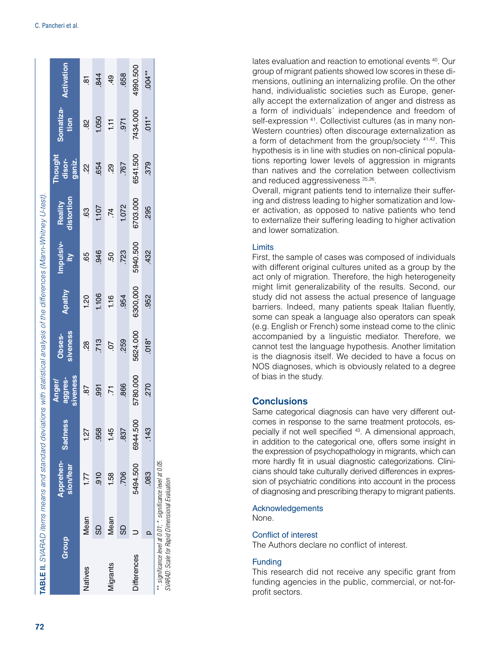| Group                                                                                                            |      | Apprehen-<br>sion/fear | <b>Sadness</b> | siveness<br>aggres-<br><b>Anger/</b> | siveness<br>Obses- | Apathy   | Impulsiv- | distortion<br>Reality | Thought<br>disor-<br>ganiz. | Somatiza-<br>tion | <b>Activation</b> |
|------------------------------------------------------------------------------------------------------------------|------|------------------------|----------------|--------------------------------------|--------------------|----------|-----------|-----------------------|-----------------------------|-------------------|-------------------|
| Natives                                                                                                          | Mean | 1.77                   | 1.27           | 29                                   | $\frac{8}{2}$      | 1.20     | 65        | $\overline{63}$       | ģ                           | 82                | $\overline{8}$    |
|                                                                                                                  | 69   | .910                   | 958            | .991                                 | .713               | 1.106    | .946      | 1.107                 | .654                        | 1.050             | $^{844}$          |
| Migrants                                                                                                         | Mean | 1.58                   | 1.45           | $\overline{5}$                       | $\overline{C}$     | 1.16     | SQ.       | Ķ                     | 8ġ                          | $\frac{1}{1}$     | $6b$ .            |
|                                                                                                                  | 69   | 706                    | 837            | .866                                 | .259               | .954     | .723      | 1.072                 | <b>767</b>                  | .971              | .658              |
| <b>Differences</b>                                                                                               |      | 5494.500               | 6944.500       | 5780.000                             | 5624.000           | 6300,000 | 5940.500  | 6703.000              | 6541.500                    | 7434.000          | 4990.500          |
|                                                                                                                  |      | .083                   | .143           | .270                                 | $.018*$            | .952     | .432      | .295                  | .379                        | $\overline{0}$    | $.004**$          |
| **. significance level at 0.01; *. significance level at 0.05.<br>SVARAD: Scale for Rapid Dimensional Evaluation |      |                        |                |                                      |                    |          |           |                       |                             |                   |                   |

lates evaluation and reaction to emotional events 40. Our group of migrant patients showed low scores in these di mensions, outlining an internalizing profile. On the other hand, individualistic societies such as Europe, gener ally accept the externalization of anger and distress as a form of individuals´ independence and freedom of self-expression <sup>41</sup>. Collectivist cultures (as in many non-Western countries) often discourage externalization as a form of detachment from the group/society 41,42. This hypothesis is in line with studies on non-clinical popula tions reporting lower levels of aggression in migrants than natives and the correlation between collectivism and reduced aggressiveness <sup>25,26</sup>.

Overall, migrant patients tend to internalize their suffer ing and distress leading to higher somatization and low er activation, as opposed to native patients who tend to externalize their suffering leading to higher activation and lower somatization.

#### Limits

First, the sample of cases was composed of individuals with different original cultures united as a group by the act only of migration. Therefore, the high heterogeneity might limit generalizability of the results. Second, our study did not assess the actual presence of language barriers. Indeed, many patients speak Italian fluently, some can speak a language also operators can speak (e.g. English or French) some instead come to the clinic accompanied by a linguistic mediator. Therefore, we cannot test the language hypothesis. Another limitation is the diagnosis itself. We decided to have a focus on NOS diagnoses, which is obviously related to a degree of bias in the study.

# **Conclusions**

Same categorical diagnosis can have very different out comes in response to the same treatment protocols, es pecially if not well specified 43. A dimensional approach, in addition to the categorical one, offers some insight in the expression of psychopathology in migrants, which can more hardly fit in usual diagnostic categorizations. Clini cians should take culturally derived differences in expres sion of psychiatric conditions into account in the process of diagnosing and prescribing therapy to migrant patients.

#### Acknowledgements

None.

#### Conflict of interest

The Authors declare no conflict of interest.

#### Funding

This research did not receive any specific grant from funding agencies in the public, commercial, or not-forprofit sectors.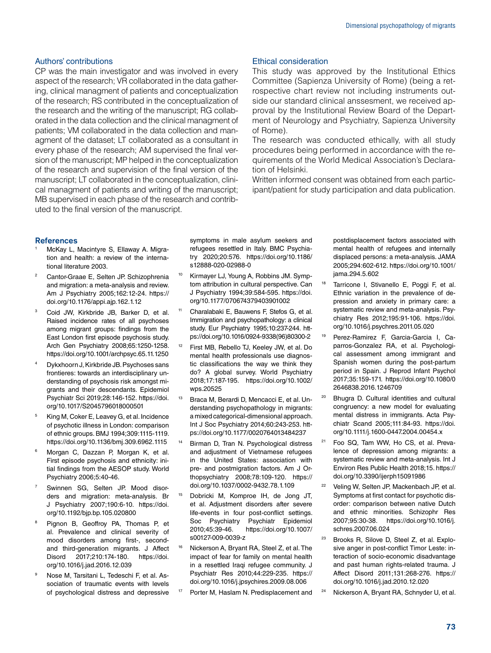#### Authors' contributions

CP was the main investigator and was involved in every aspect of the research; VR collaborated in the data gathering, clinical managment of patients and conceptualization of the research; RS contributed in the conceptualization of the research and the writing of the manuscript; RG collaborated in the data collection and the clinical managment of patients; VM collaborated in the data collection and managment of the dataset; LT collaborated as a consultant in every phase of the research; AM supervised the final version of the manuscript; MP helped in the conceptualization of the research and supervision of the final version of the manuscript; LT collaborated in the conceptualization, clinical managment of patients and writing of the manuscript; MB supervised in each phase of the research and contributed to the final version of the manuscript.

#### Ethical consideration

This study was approved by the Institutional Ethics Committee (Sapienza University of Rome) (being a retrospective chart review not including instruments outside our standard clinical anssesment, we received approval by the Institutional Review Board of the Department of Neurology and Psychiatry, Sapienza University of Rome).

The research was conducted ethically, with all study procedures being performed in accordance with the requirements of the World Medical Association's Declaration of Helsinki.

Written informed consent was obtained from each participant/patient for study participation and data publication.

#### **References**

- McKay L, Macintyre S, Ellaway A. Migration and health: a review of the international literature 2003.
- <sup>2</sup> Cantor-Graae E, Selten JP. Schizophrenia and migration: a meta-analysis and review. Am J Psychiatry 2005;162:12-24. [https://](https://doi.org/10.1176/appi.ajp.162.1.12) [doi.org/10.1176/appi.ajp.162.1.12](https://doi.org/10.1176/appi.ajp.162.1.12)
- Coid JW, Kirkbride JB, Barker D, et al. Raised incidence rates of all psychoses among migrant groups: findings from the East London first episode psychosis study. Arch Gen Psychiatry 2008;65:1250-1258. <https://doi.org/10.1001/archpsyc.65.11.1250>
- Dykxhoorn J, Kirkbride JB. Psychoses sans frontieres: towards an interdisciplinary understanding of psychosis risk amongst migrants and their descendants. Epidemiol Psychiatr Sci 2019;28:146-152. [https://doi.](https://doi.org/10.1017/S2045796018000501) [org/10.1017/S2045796018000501](https://doi.org/10.1017/S2045796018000501)
- King M, Coker E, Leavey G, et al. Incidence of psychotic illness in London: comparison of ethnic groups. BMJ 1994;309:1115-1119. <https://doi.org/10.1136/bmj.309.6962.1115>
- Morgan C, Dazzan P, Morgan K, et al. First episode psychosis and ethnicity: initial findings from the AESOP study. World Psychiatry 2006;5:40-46.
- <sup>7</sup> Swinnen SG, Selten JP. Mood disorders and migration: meta-analysis. Br J Psychiatry 2007;190:6-10. [https://doi.](https://doi.org/10.1192/bjp.bp.105.020800) [org/10.1192/bjp.bp.105.020800](https://doi.org/10.1192/bjp.bp.105.020800)
- Pignon B, Geoffroy PA, Thomas P, et al. Prevalence and clinical severity of mood disorders among first-, secondand third-generation migrants. J Affect Disord 2017;210:174-180. [https://doi.](https://doi.org/10.1016/j.jad.2016.12.039) [org/10.1016/j.jad.2016.12.039](https://doi.org/10.1016/j.jad.2016.12.039)
- <sup>9</sup> Nose M, Tarsitani L, Tedeschi F, et al. Association of traumatic events with levels of psychological distress and depressive

symptoms in male asylum seekers and refugees resettled in Italy. BMC Psychiatry 2020;20:576. [https://doi.org/10.1186/](https://doi.org/10.1186/s12888-020-02988-0) [s12888-020-02988-0](https://doi.org/10.1186/s12888-020-02988-0)

- Kirmayer LJ, Young A, Robbins JM. Symptom attribution in cultural perspective. Can J Psychiatry 1994;39:584-595. [https://doi.](https://doi.org/10.1177/070674379403901002) [org/10.1177/070674379403901002](https://doi.org/10.1177/070674379403901002)
- Charalabaki E, Bauwens F, Stefos G, et al. Immigration and psychopathology: a clinical study. Eur Psychiatry 1995;10:237-244. [htt](https://doi.org/10.1016/0924-9338(96)80300-2)[ps://doi.org/10.1016/0924-9338\(96\)80300-2](https://doi.org/10.1016/0924-9338(96)80300-2)
- First MB, Rebello TJ, Keeley JW, et al. Do mental health professionals use diagnostic classifications the way we think they do? A global survey. World Psychiatry 2018;17:187-195. [https://doi.org/10.1002/](https://doi.org/10.1002/wps.20525) [wps.20525](https://doi.org/10.1002/wps.20525)
- Braca M, Berardi D, Mencacci E, et al. Understanding psychopathology in migrants: a mixed categorical-dimensional approach. Int J Soc Psychiatry 2014;60:243-253. [htt](https://doi.org/10.1177/0020764013484237)[ps://doi.org/10.1177/0020764013484237](https://doi.org/10.1177/0020764013484237)
- Birman D, Tran N. Psychological distress and adjustment of Vietnamese refugees in the United States: association with pre- and postmigration factors. Am J Orthopsychiatry 2008;78:109-120. [https://](https://doi.org/10.1037/0002-9432.78.1.109) [doi.org/10.1037/0002-9432.78.1.109](https://doi.org/10.1037/0002-9432.78.1.109)
- <sup>15</sup> Dobricki M, Komproe IH, de Jong JT, et al. Adjustment disorders after severe life-events in four post-conflict settings. Soc Psychiatry Psychiatr Epidemiol 2010;45:39-46. [https://doi.org/10.1007/](https://doi.org/10.1007/s00127-009-0039-z) [s00127-009-0039-z](https://doi.org/10.1007/s00127-009-0039-z)
- <sup>16</sup> Nickerson A, Bryant RA, Steel Z, et al. The impact of fear for family on mental health in a resettled Iraqi refugee community. J Psychiatr Res 2010;44:229-235. [https://](https://doi.org/10.1016/j.jpsychires.2009.08.006) [doi.org/10.1016/j.jpsychires.2009.08.006](https://doi.org/10.1016/j.jpsychires.2009.08.006)
- Porter M, Haslam N. Predisplacement and

postdisplacement factors associated with mental health of refugees and internally displaced persons: a meta-analysis. JAMA 2005;294:602-612. [https://doi.org/10.1001/](https://doi.org/10.1001/jama.294.5.602) [jama.294.5.602](https://doi.org/10.1001/jama.294.5.602)

- <sup>18</sup> Tarricone I, Stivanello E, Poggi F, et al. Ethnic variation in the prevalence of depression and anxiety in primary care: a systematic review and meta-analysis. Psychiatry Res 2012;195:91-106. [https://doi.](https://doi.org/10.1016/j.psychres.2011.05.020) [org/10.1016/j.psychres.2011.05.020](https://doi.org/10.1016/j.psychres.2011.05.020)
- <sup>19</sup> Perez-Ramirez F, Garcia-Garcia I, Caparros-Gonzalez RA, et al. Psychological assessment among immigrant and Spanish women during the post-partum period in Spain. J Reprod Infant Psychol 2017;35:159-171. [https://doi.org/10.1080/0](https://doi.org/10.1080/02646838.2016.1246709) [2646838.2016.1246709](https://doi.org/10.1080/02646838.2016.1246709)
- Bhugra D. Cultural identities and cultural congruency: a new model for evaluating mental distress in immigrants. Acta Psychiatr Scand 2005;111:84-93. [https://doi.](https://doi.org/10.1111/j.1600-0447.2004.00454.x) [org/10.1111/j.1600-0447.2004.00454.x](https://doi.org/10.1111/j.1600-0447.2004.00454.x)
- Foo SQ, Tam WW, Ho CS, et al. Prevalence of depression among migrants: a systematic review and meta-analysis. Int J Environ Res Public Health 2018;15. [https://](https://doi.org/10.3390/ijerph15091986) [doi.org/10.3390/ijerph15091986](https://doi.org/10.3390/ijerph15091986)
- <sup>22</sup> Veling W, Selten JP, Mackenbach JP, et al. Symptoms at first contact for psychotic disorder: comparison between native Dutch and ethnic minorities. Schizophr Res 2007;95:30-38. [https://doi.org/10.1016/j.](https://doi.org/10.1016/j.schres.2007.06.024) [schres.2007.06.024](https://doi.org/10.1016/j.schres.2007.06.024)
- <sup>23</sup> Brooks R, Silove D, Steel Z, et al. Explosive anger in post-conflict Timor Leste: interaction of socio-economic disadvantage and past human rights-related trauma. J Affect Disord 2011;131:268-276. [https://](https://doi.org/10.1016/j.jad.2010.12.020) [doi.org/10.1016/j.jad.2010.12.020](https://doi.org/10.1016/j.jad.2010.12.020)
- Nickerson A, Bryant RA, Schnyder U, et al.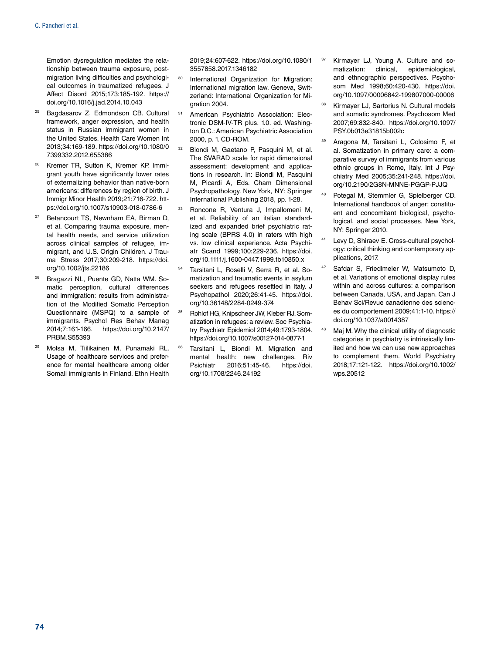Emotion dysregulation mediates the relationship between trauma exposure, postmigration living difficulties and psychological outcomes in traumatized refugees. J Affect Disord 2015;173:185-192. [https://](https://doi.org/10.1016/j.jad.2014.10.043) [doi.org/10.1016/j.jad.2014.10.043](https://doi.org/10.1016/j.jad.2014.10.043)

- <sup>25</sup> Bagdasarov Z, Edmondson CB, Cultural framework, anger expression, and health status in Russian immigrant women in the United States. Health Care Women Int 2013;34:169-189. https://doi.org/10.1080/0 7399332.2012.655386
- <sup>26</sup> Kremer TR, Sutton K, Kremer KP, Immigrant youth have significantly lower rates of externalizing behavior than native-born americans: differences by region of birth. J Immigr Minor Health 2019;21:716-722. [htt](https://doi.org/10.1007/s10903-018-0786-6)[ps://doi.org/10.1007/s10903-018-0786-6](https://doi.org/10.1007/s10903-018-0786-6)
- <sup>27</sup> Betancourt TS, Newnham EA, Birman D, et al. Comparing trauma exposure, mental health needs, and service utilization across clinical samples of refugee, immigrant, and U.S. Origin Children. J Trauma Stress 2017;30:209-218. [https://doi.](https://doi.org/10.1002/jts.22186) [org/10.1002/jts.22186](https://doi.org/10.1002/jts.22186)
- Bragazzi NL, Puente GD, Natta WM. Somatic perception, cultural differences and immigration: results from administration of the Modified Somatic Perception Questionnaire (MSPQ) to a sample of immigrants. Psychol Res Behav Manag 2014;7:161-166. [https://doi.org/10.2147/](https://doi.org/10.2147/PRBM.S55393) [PRBM.S55393](https://doi.org/10.2147/PRBM.S55393)
- <sup>29</sup> Molsa M, Tiilikainen M, Punamaki RL. Usage of healthcare services and preference for mental healthcare among older Somali immigrants in Finland. Ethn Health

2019;24:607-622. [https://doi.org/10.1080/1](https://doi.org/10.1080/13557858.2017.1346182) [3557858.2017.1346182](https://doi.org/10.1080/13557858.2017.1346182)

- <sup>30</sup> International Organization for Migration: International migration law. Geneva, Switzerland: International Organization for Migration 2004.
- American Psychiatric Association: Electronic DSM-IV-TR plus. 1.0. ed. Washington D.C.: American Psychiatric Association 2000, p. 1. CD-ROM.
- Biondi M, Gaetano P, Pasquini M, et al. The SVARAD scale for rapid dimensional assessment: development and applications in research. In: Biondi M, Pasquini M, Picardi A, Eds. Cham Dimensional Psychopathology. New York, NY: Springer International Publishing 2018, pp. 1-28.
- <sup>33</sup> Roncone R, Ventura J, Impallomeni M, et al. Reliability of an italian standardized and expanded brief psychiatric rating scale (BPRS 4.0) in raters with high vs. low clinical experience. Acta Psychiatr Scand 1999;100:229-236. [https://doi.](https://doi.org/10.1111/j.1600-0447.1999.tb10850.x) [org/10.1111/j.1600-0447.1999.tb10850.x](https://doi.org/10.1111/j.1600-0447.1999.tb10850.x)
- <sup>34</sup> Tarsitani L, Roselli V, Serra R, et al. Somatization and traumatic events in asylum seekers and refugees resettled in Italy. J Psychopathol 2020;26:41-45. [https://doi.](https://doi.org/10.36148/2284-0249-374) [org/10.36148/2284-0249-374](https://doi.org/10.36148/2284-0249-374)
- <sup>35</sup> Rohlof HG, Knipscheer JW, Kleber RJ. Somatization in refugees: a review. Soc Psychiatry Psychiatr Epidemiol 2014;49:1793-1804. <https://doi.org/10.1007/s00127-014-0877-1>
- Tarsitani L, Biondi M. Migration and mental health: new challenges. Riv Psichiatr 2016;51:45-46. [https://doi.](https://doi.org/10.1708/2246.24192) [org/10.1708/2246.24192](https://doi.org/10.1708/2246.24192)
- Kirmayer LJ, Young A. Culture and somatization: clinical, epidemiological, and ethnographic perspectives. Psychosom Med 1998;60:420-430. [https://doi.](https://doi.org/10.1097/00006842-199807000-00006) [org/10.1097/00006842-199807000-00006](https://doi.org/10.1097/00006842-199807000-00006)
- <sup>38</sup> Kirmayer LJ, Sartorius N. Cultural models and somatic syndromes. Psychosom Med 2007;69:832-840. [https://doi.org/10.1097/](https://doi.org/10.1097/PSY.0b013e31815b002c) [PSY.0b013e31815b002c](https://doi.org/10.1097/PSY.0b013e31815b002c)
- <sup>39</sup> Aragona M, Tarsitani L, Colosimo F, et al. Somatization in primary care: a comparative survey of immigrants from various ethnic groups in Rome, Italy. Int J Psychiatry Med 2005;35:241-248. [https://doi.](https://doi.org/10.2190/2G8N-MNNE-PGGP-PJJQ) [org/10.2190/2G8N-MNNE-PGGP-PJJQ](https://doi.org/10.2190/2G8N-MNNE-PGGP-PJJQ)
- <sup>40</sup> Potegal M, Stemmler G, Spielberger CD. International handbook of anger: constituent and concomitant biological, psychological, and social processes. New York, NY: Springer 2010.
- <sup>41</sup> Levy D, Shiraev E. Cross-cultural psychology: critical thinking and contemporary applications, 2017.
- <sup>42</sup> Safdar S, Friedlmeier W, Matsumoto D, et al. Variations of emotional display rules within and across cultures: a comparison between Canada, USA, and Japan. Can J Behav Sci/Revue canadienne des sciences du comportement 2009;41:1-10. [https://](https://doi.org/10.1037/a0014387) [doi.org/10.1037/a0014387](https://doi.org/10.1037/a0014387)
- 43 Maj M. Why the clinical utility of diagnostic categories in psychiatry is intrinsically limited and how we can use new approaches to complement them. World Psychiatry 2018;17:121-122. [https://doi.org/10.1002/](https://doi.org/10.1002/wps.20512) [wps.20512](https://doi.org/10.1002/wps.20512)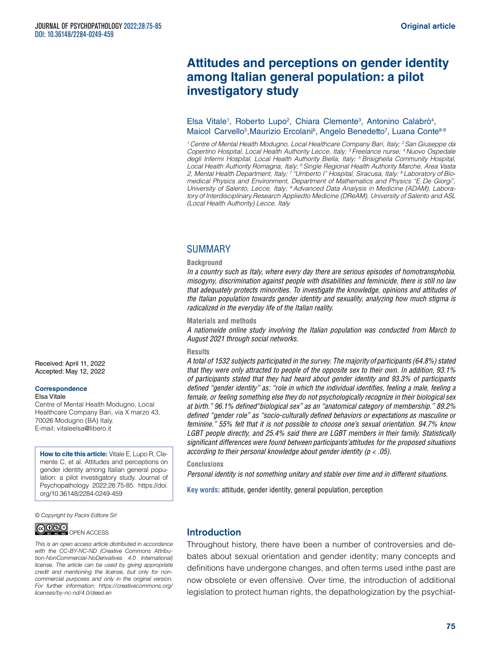# **Attitudes and perceptions on gender identity among Italian general population: a pilot investigatory study**

## Elsa Vitale<sup>1</sup>, Roberto Lupo<sup>2</sup>, Chiara Clemente<sup>3</sup>, Antonino Calabrò<sup>4</sup>, Maicol Carvello<sup>5</sup>, Maurizio Ercolani<sup>6</sup>, Angelo Benedetto<sup>7</sup>, Luana Conte<sup>8-9</sup>

*1 Centre of Mental Health Modugno, Local Healthcare Company Bari, Italy; 2 San Giuseppe da Copertino Hospital, Local Health Authority Lecce, Italy; 3 Freelance nurse; 4 Nuovo Ospedale degli Infermi Hospital, Local Health Authority Biella, Italy; 5 Brisighella Community Hospital, Local Health Authority Romagna, Italy; 6 Single Regional Health Authority Marche, Area Vasta 2, Mental Health Department, Italy; 7 "Umberto I" Hospital, Siracusa, Italy; 8 Laboratory of Biomedical Physics and Environment, Department of Mathematics and Physics "E. De Giorgi", University of Salento, Lecce, Italy; 9 Advanced Data Analysis in Medicine (ADAM), Labora*tory of Interdisciplinary Research Applied to Medicine (DReAM), University of Salento and ASL *(Local Health Authority) Lecce, Italy*

#### SUMMARY

#### **Background**

*In a country such as Italy, where every day there are serious episodes of homotransphobia, misogyny, discrimination against people with disabilities and feminicide, there is still no law that adequately protects minorities. To investigate the knowledge, opinions and attitudes of the Italian population towards gender identity and sexuality, analyzing how much stigma is radicalized in the everyday life of the Italian reality.*

#### **Materials and methods**

*A nationwide online study involving the Italian population was conducted from March to August 2021 through social networks.*

#### **Results**

*A total of 1532 subjects participated in the survey. The majority of participants (64.8%) stated that they were only attracted to people of the opposite sex to their own. In addition, 93.1% of participants stated that they had heard about gender identity and 93.3% of participants defined "gender identity" as: "role in which the individual identifies, feeling a male, feeling a female, or feeling something else they do not psychologically recognize in their biological sex at birth." 96.1% defined"biological sex" as an "anatomical category of membership." 89.2% defined "gender role" as "socio- culturally defined behaviors or expectations as masculine or feminine." 55% felt that it is not possible to choose one's sexual orientation. 94.7% know LGBT people directly, and 25.4% said there are LGBT members in their family. Statistically significant differences were found between participants'attitudes for the proposed situations according to their personal knowledge about gender identity (p < .05).*

#### **Conclusions**

*Personal identity is not something unitary and stable over time and in different situations.*

**Key words:** attitude, gender identity, general population, perception

*© Copyright by Pacini Editore Srl*



*This is an open access article distributed in accordance with the CC-BY-NC-ND (Creative Commons Attribution-NonCommercial-NoDerivatives 4.0 International) license. The article can be used by giving appropriate credit and mentioning the license, but only for noncommercial purposes and only in the original version. For further information: [https://creativecommons.org/](https://creativecommons.org/licenses/by-nc-nd/4.0/deed.en) [licenses/by-nc-nd/4.0/deed.en](https://creativecommons.org/licenses/by-nc-nd/4.0/deed.en)*

# **Introduction**

Throughout history, there have been a number of controversies and debates about sexual orientation and gender identity; many concepts and definitions have undergone changes, and often terms used inthe past are now obsolete or even offensive. Over time, the introduction of additional legislation to protect human rights, the depathologization by the psychiat-

Received: April 11, 2022 Accepted: May 12, 2022

#### **Correspondence**

Elsa Vitale

Centre of Mental Health Modugno, Local Healthcare Company Bari, via X marzo 43, 70026 Modugno (BA) Italy. E-mail: [vitaleelsa@libero.it](mailto:vitaleelsa@libero.it)

**How to cite this article:** Vitale E, Lupo R, Clemente C, et al. Attitudes and perceptions on gender identity among Italian general population: a pilot investigatory study. Journal of Psychopathology 2022;28:75-85. [https://doi.](https://doi.org/10.36148/2284-0249-459) [org/10.36148/2284-0249-459](https://doi.org/10.36148/2284-0249-459)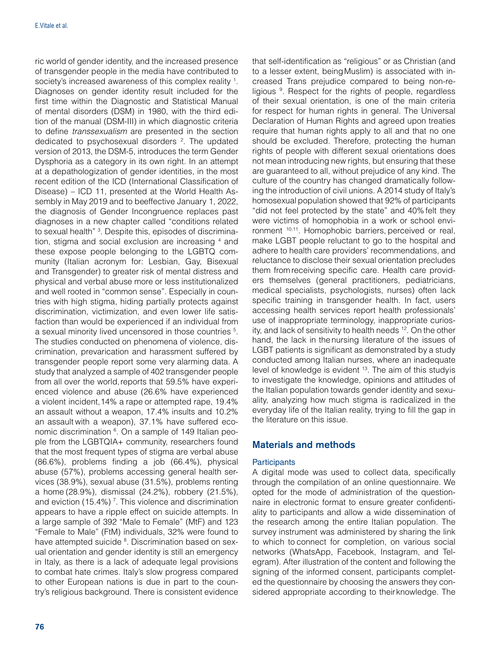ric world of gender identity, and the increased presence of transgender people in the media have contributed to society's increased awareness of this complex reality 1. Diagnoses on gender identity result included for the first time within the Diagnostic and Statistical Manual of mental disorders (DSM) in 1980, with the third edition of the manual (DSM-III) in which diagnostic criteria to define *transsexualism* are presented in the section dedicated to psychosexual disorders <sup>2</sup> . The updated version of 2013, the DSM-5, introduces the term Gender Dysphoria as a category in its own right. In an attempt at a depathologization of gender identities, in the most recent edition of the ICD (International Classification of Disease) – ICD 11, presented at the World Health Assembly in May 2019 and to beeffective January 1, 2022, the diagnosis of Gender Incongruence replaces past diagnoses in a new chapter called "conditions related to sexual health" <sup>3</sup>. Despite this, episodes of discrimination, stigma and social exclusion are increasing <sup>4</sup> and these expose people belonging to the LGBTQ community (Italian acronym for: Lesbian, Gay, Bisexual and Transgender) to greater risk of mental distress and physical and verbal abuse more or less institutionalized and well rooted in "common sense". Especially in countries with high stigma, hiding partially protects against discrimination, victimization, and even lower life satisfaction than would be experienced if an individual from a sexual minority lived uncensored in those countries <sup>5</sup>. The studies conducted on phenomena of violence, discrimination, prevarication and harassment suffered by transgender people report some very alarming data. A study that analyzed a sample of 402 transgender people from all over the world, reports that 59.5% have experienced violence and abuse (26.6% have experienced a violent incident, 14% a rape or attempted rape, 19.4% an assault without a weapon, 17.4% insults and 10.2% an assault with a weapon), 37.1% have suffered economic discrimination <sup>6</sup>. On a sample of 149 Italian people from the LGBTQIA+ community, researchers found that the most frequent types of stigma are verbal abuse (86.6%), problems finding a job (66.4%), physical abuse (57%), problems accessing general health services (38.9%), sexual abuse (31.5%), problems renting a home (28.9%), dismissal (24.2%), robbery (21.5%), and eviction (15.4%)<sup>7</sup>. This violence and discrimination appears to have a ripple effect on suicide attempts. In a large sample of 392 "Male to Female" (MtF) and 123 "Female to Male" (FtM) individuals, 32% were found to have attempted suicide <sup>8</sup>. Discrimination based on sexual orientation and gender identity is still an emergency in Italy, as there is a lack of adequate legal provisions to combat hate crimes. Italy's slow progress compared to other European nations is due in part to the country's religious background. There is consistent evidence

that self-identification as "religious" or as Christian (and to a lesser extent, beingMuslim) is associated with increased Trans prejudice compared to being non-religious <sup>9</sup>. Respect for the rights of people, regardless of their sexual orientation, is one of the main criteria for respect for human rights in general. The Universal Declaration of Human Rights and agreed upon treaties require that human rights apply to all and that no one should be excluded. Therefore, protecting the human rights of people with different sexual orientations does not mean introducing new rights, but ensuring that these are guaranteed to all, without prejudice of any kind. The culture of the country has changed dramatically following the introduction of civil unions. A 2014 study of Italy's homosexual population showed that 92% of participants "did not feel protected by the state" and 40% felt they were victims of homophobia in a work or school environment 10,11. Homophobic barriers, perceived or real, make LGBT people reluctant to go to the hospital and adhere to health care providers' recommendations, and reluctance to disclose their sexual orientation precludes them from receiving specific care. Health care providers themselves (general practitioners, pediatricians, medical specialists, psychologists, nurses) often lack specific training in transgender health. In fact, users accessing health services report health professionals' use of inappropriate terminology, inappropriate curiosity, and lack of sensitivity to health needs 12. On the other hand, the lack in thenursing literature of the issues of LGBT patients is significant as demonstrated by a study conducted among Italian nurses, where an inadequate level of knowledge is evident 13. The aim of this studyis to investigate the knowledge, opinions and attitudes of the Italian population towards gender identity and sexuality, analyzing how much stigma is radicalized in the everyday life of the Italian reality, trying to fill the gap in the literature on this issue.

# Materials and methods

#### **Participants**

A digital mode was used to collect data, specifically through the compilation of an online questionnaire. We opted for the mode of administration of the questionnaire in electronic format to ensure greater confidentiality to participants and allow a wide dissemination of the research among the entire Italian population. The survey instrument was administered by sharing the link to which to connect for completion, on various social networks (WhatsApp, Facebook, Instagram, and Telegram). After illustration of the content and following the signing of the informed consent, participants completed the questionnaire by choosing the answers they considered appropriate according to theirknowledge. The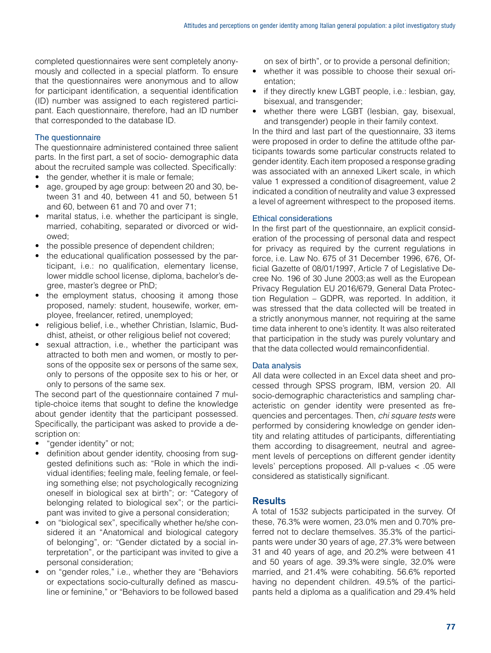completed questionnaires were sent completely anonymously and collected in a special platform. To ensure that the questionnaires were anonymous and to allow for participant identification, a sequential identification (ID) number was assigned to each registered participant. Each questionnaire, therefore, had an ID number that corresponded to the database ID.

# The questionnaire

The questionnaire administered contained three salient parts. In the first part, a set of socio- demographic data about the recruited sample was collected. Specifically:

- the gender, whether it is male or female;
- age, grouped by age group: between 20 and 30, between 31 and 40, between 41 and 50, between 51 and 60, between 61 and 70 and over 71;
- marital status, i.e. whether the participant is single, married, cohabiting, separated or divorced or widowed;
- the possible presence of dependent children;
- the educational qualification possessed by the participant, i.e.: no qualification, elementary license, lower middle school license, diploma, bachelor's degree, master's degree or PhD;
- the employment status, choosing it among those proposed, namely: student, housewife, worker, employee, freelancer, retired, unemployed;
- religious belief, i.e., whether Christian, Islamic, Buddhist, atheist, or other religious belief not covered;
- sexual attraction, i.e., whether the participant was attracted to both men and women, or mostly to persons of the opposite sex or persons of the same sex, only to persons of the opposite sex to his or her, or only to persons of the same sex.

The second part of the questionnaire contained 7 multiple-choice items that sought to define the knowledge about gender identity that the participant possessed. Specifically, the participant was asked to provide a description on:

- "gender identity" or not;
- definition about gender identity, choosing from suggested definitions such as: "Role in which the individual identifies; feeling male, feeling female, or feeling something else; not psychologically recognizing oneself in biological sex at birth"; or: "Category of belonging related to biological sex"; or the participant was invited to give a personal consideration;
- on "biological sex", specifically whether he/she considered it an "Anatomical and biological category of belonging", or: "Gender dictated by a social interpretation", or the participant was invited to give a personal consideration;
- on "gender roles," i.e., whether they are "Behaviors or expectations socio-culturally defined as masculine or feminine," or "Behaviors to be followed based

on sex of birth", or to provide a personal definition;

- whether it was possible to choose their sexual orientation;
- if they directly knew LGBT people, i.e.: lesbian, gay, bisexual, and transgender;
- whether there were LGBT (lesbian, gay, bisexual, and transgender) people in their family context.

In the third and last part of the questionnaire, 33 items were proposed in order to define the attitude ofthe participants towards some particular constructs related to gender identity. Each item proposed a response grading was associated with an annexed Likert scale, in which value 1 expressed a condition of disagreement, value 2 indicated a condition of neutrality and value 3 expressed a level of agreement with respect to the proposed items.

#### Ethical considerations

In the first part of the questionnaire, an explicit consideration of the processing of personal data and respect for privacy as required by the current regulations in force, i.e. Law No. 675 of 31 December 1996, 676, Official Gazette of 08/01/1997, Article 7 of Legislative Decree No. 196 of 30 June 2003;as well as the European Privacy Regulation EU 2016/679, General Data Protection Regulation – GDPR, was reported. In addition, it was stressed that the data collected will be treated in a strictly anonymous manner, not requiring at the same time data inherent to one's identity. It was also reiterated that participation in the study was purely voluntary and that the data collected would remainconfidential.

# Data analysis

All data were collected in an Excel data sheet and processed through SPSS program, IBM, version 20. All socio-demographic characteristics and sampling characteristic on gender identity were presented as frequencies and percentages. Then, *chi square tests* were performed by considering knowledge on gender identity and relating attitudes of participants, differentiating them according to disagreement, neutral and agreement levels of perceptions on different gender identity levels' perceptions proposed. All p-values < .05 were considered as statistically significant.

# **Results**

A total of 1532 subjects participated in the survey. Of these, 76.3% were women, 23.0% men and 0.70% preferred not to declare themselves. 35.3% of the participants were under 30 years of age, 27.3% were between 31 and 40 years of age, and 20.2% were between 41 and 50 years of age. 39.3% were single, 32.0% were married, and 21.4% were cohabiting. 56.6% reported having no dependent children. 49.5% of the participants held a diploma as a qualification and 29.4% held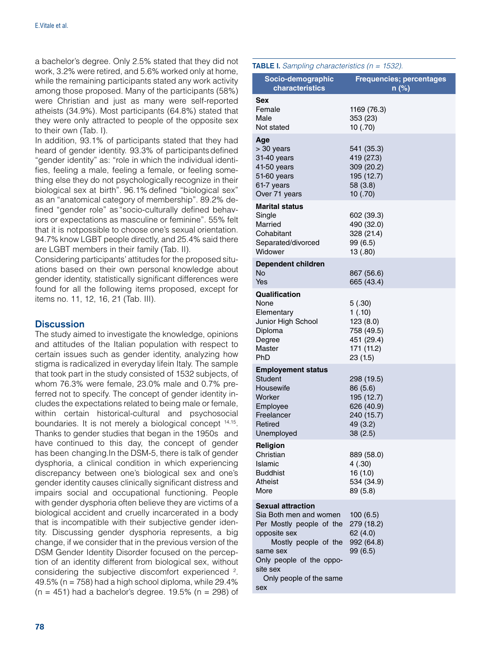a bachelor's degree. Only 2.5% stated that they did not work, 3.2% were retired, and 5.6% worked only at home, while the remaining participants stated any work activity among those proposed. Many of the participants (58%) were Christian and just as many were self-reported atheists (34.9%). Most participants (64.8%) stated that they were only attracted to people of the opposite sex to their own (Tab. I).

In addition, 93.1% of participants stated that they had heard of gender identity. 93.3% of participants defined "gender identity" as: "role in which the individual identifies, feeling a male, feeling a female, or feeling something else they do not psychologically recognize in their biological sex at birth". 96.1% defined "biological sex" as an "anatomical category of membership". 89.2% defined "gender role" as "socio-culturally defined behaviors or expectations as masculine or feminine". 55% felt that it is not possible to choose one's sexual orientation. 94.7% know LGBT people directly, and 25.4% said there are LGBT members in their family (Tab. II).

Considering participants' attitudes for the proposed situations based on their own personal knowledge about gender identity, statistically significant differences were found for all the following items proposed, except for items no. 11, 12, 16, 21 (Tab. III).

# **Discussion**

The study aimed to investigate the knowledge, opinions and attitudes of the Italian population with respect to certain issues such as gender identity, analyzing how stigma is radicalized in everyday lifein Italy. The sample that took part in the study consisted of 1532 subjects, of whom 76.3% were female, 23.0% male and 0.7% preferred not to specify. The concept of gender identity includes the expectations related to being male or female, within certain historical-cultural and psychosocial boundaries. It is not merely a biological concept 14,15. Thanks to gender studies that began in the 1950s and have continued to this day, the concept of gender has been changing.In the DSM-5, there is talk of gender dysphoria, a clinical condition in which experiencing discrepancy between one's biological sex and one's gender identity causes clinically significant distress and impairs social and occupational functioning. People with gender dysphoria often believe they are victims of a biological accident and cruelly incarcerated in a body that is incompatible with their subjective gender identity. Discussing gender dysphoria represents, a big change, if we consider that in the previous version of the DSM Gender Identity Disorder focused on the perception of an identity different from biological sex, without considering the subjective discomfort experienced <sup>2</sup>. 49.5% ( $n = 758$ ) had a high school diploma, while 29.4%  $(n = 451)$  had a bachelor's degree. 19.5%  $(n = 298)$  of TABLE I. *Sampling characteristics (n = 1532).*

| Socio-demographic<br>characteristics                                                                                                                                                                         | <b>Frequencies; percentages</b><br>n (%)                                                 |
|--------------------------------------------------------------------------------------------------------------------------------------------------------------------------------------------------------------|------------------------------------------------------------------------------------------|
| Sex<br>Female<br>Male<br>Not stated                                                                                                                                                                          | 1169 (76.3)<br>353 (23)<br>10 (.70)                                                      |
| Age<br>> 30 years<br>31-40 years<br>41-50 years<br>51-60 years<br>61-7 years<br>Over 71 years                                                                                                                | 541 (35.3)<br>419 (27.3)<br>309 (20.2)<br>195 (12.7)<br>58 (3.8)<br>10(.70)              |
| <b>Marital status</b><br>Single<br>Married<br>Cohabitant<br>Separated/divorced<br>Widower                                                                                                                    | 602 (39.3)<br>490 (32.0)<br>328 (21.4)<br>99 (6.5)<br>13 (.80)                           |
| <b>Dependent children</b><br>No<br>Yes                                                                                                                                                                       | 867 (56.6)<br>665 (43.4)                                                                 |
| Qualification<br>None<br>Elementary<br>Junior High School<br>Diploma<br>Degree<br>Master<br>PhD                                                                                                              | 5(.30)<br>1(.10)<br>123 (8.0)<br>758 (49.5)<br>451 (29.4)<br>171 (11.2)<br>23 (1.5)      |
| <b>Employement status</b><br>Student<br>Housewife<br>Worker<br>Employee<br>Freelancer<br>Retired<br>Unemployed                                                                                               | 298 (19.5)<br>86 (5.6)<br>195 (12.7)<br>626 (40.9)<br>240 (15.7)<br>49 (3.2)<br>38 (2.5) |
| Religion<br>Christian<br>Islamic<br><b>Buddhist</b><br>Atheist<br>More                                                                                                                                       | 889 (58.0)<br>4(.30)<br>16 (1.0)<br>534 (34.9)<br>89 (5.8)                               |
| <b>Sexual attraction</b><br>Sia Both men and women<br>Per Mostly people of the<br>opposite sex<br>Mostly people of the<br>same sex<br>Only people of the oppo-<br>site sex<br>Only people of the same<br>sex | 100(6.5)<br>279 (18.2)<br>62 (4.0)<br>992 (64.8)<br>99 (6.5)                             |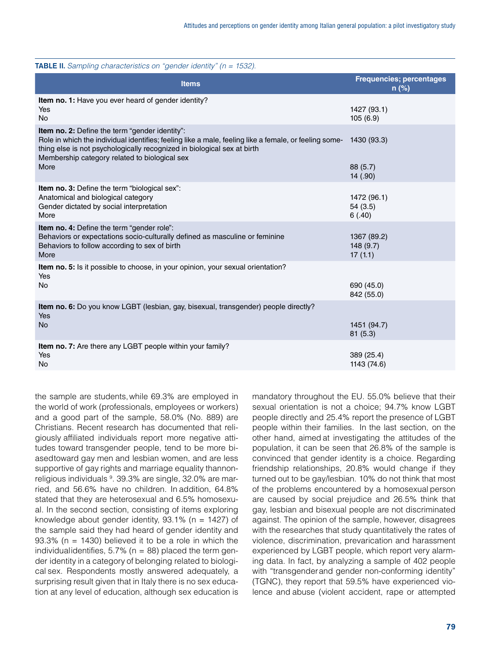| <b>TABLE II.</b> Sampling characteristics on "gender identity" (n = 1532).                                                                                                                                                                                                          |                                            |
|-------------------------------------------------------------------------------------------------------------------------------------------------------------------------------------------------------------------------------------------------------------------------------------|--------------------------------------------|
| <b>Items</b>                                                                                                                                                                                                                                                                        | <b>Frequencies; percentages</b><br>$n$ (%) |
| Item no. 1: Have you ever heard of gender identity?<br>Yes<br>No.                                                                                                                                                                                                                   | 1427 (93.1)<br>105(6.9)                    |
| Item no. 2: Define the term "gender identity":<br>Role in which the individual identifies; feeling like a male, feeling like a female, or feeling some-<br>thing else is not psychologically recognized in biological sex at birth<br>Membership category related to biological sex | 1430 (93.3)                                |
| More                                                                                                                                                                                                                                                                                | 88 (5.7)<br>14 (.90)                       |
| <b>Item no. 3:</b> Define the term "biological sex":<br>Anatomical and biological category<br>Gender dictated by social interpretation<br>More                                                                                                                                      | 1472 (96.1)<br>54(3.5)<br>6(.40)           |
| Item no. 4: Define the term "gender role":<br>Behaviors or expectations socio-culturally defined as masculine or feminine<br>Behaviors to follow according to sex of birth<br>More                                                                                                  | 1367 (89.2)<br>148 (9.7)<br>17(1.1)        |
| Item no. 5: Is it possible to choose, in your opinion, your sexual orientation?<br>Yes                                                                                                                                                                                              |                                            |
| No                                                                                                                                                                                                                                                                                  | 690 (45.0)<br>842 (55.0)                   |
| Item no. 6: Do you know LGBT (lesbian, gay, bisexual, transgender) people directly?<br><b>Yes</b>                                                                                                                                                                                   |                                            |
| No                                                                                                                                                                                                                                                                                  | 1451 (94.7)<br>81(5.3)                     |
| Item no. 7: Are there any LGBT people within your family?<br>Yes<br>No                                                                                                                                                                                                              | 389 (25.4)<br>1143 (74.6)                  |
|                                                                                                                                                                                                                                                                                     |                                            |

the sample are students,while 69.3% are employed in the world of work (professionals, employees or workers) and a good part of the sample, 58.0% (No. 889) are Christians. Recent research has documented that religiously affiliated individuals report more negative attitudes toward transgender people, tend to be more biasedtoward gay men and lesbian women, and are less supportive of gay rights and marriage equality thannonreligious individuals <sup>9</sup>. 39.3% are single, 32.0% are married, and 56.6% have no children. In addition, 64.8% stated that they are heterosexual and 6.5% homosexual. In the second section, consisting of items exploring knowledge about gender identity,  $93.1\%$  (n = 1427) of the sample said they had heard of gender identity and 93.3% ( $n = 1430$ ) believed it to be a role in which the individual identifies,  $5.7\%$  (n = 88) placed the term gender identity in a category of belonging related to biological sex. Respondents mostly answered adequately, a surprising result given that in Italy there is no sex education at any level of education, although sex education is

mandatory throughout the EU. 55.0% believe that their sexual orientation is not a choice; 94.7% know LGBT people directly and 25.4% report the presence of LGBT people within their families. In the last section, on the other hand, aimed at investigating the attitudes of the population, it can be seen that 26.8% of the sample is convinced that gender identity is a choice. Regarding friendship relationships, 20.8% would change if they turned out to be gay/lesbian. 10% do not think that most of the problems encountered by a homosexual person are caused by social prejudice and 26.5% think that gay, lesbian and bisexual people are not discriminated against. The opinion of the sample, however, disagrees with the researches that study quantitatively the rates of violence, discrimination, prevarication and harassment experienced by LGBT people, which report very alarming data. In fact, by analyzing a sample of 402 people with "transgender and gender non-conforming identity" (TGNC), they report that 59.5% have experienced violence and abuse (violent accident, rape or attempted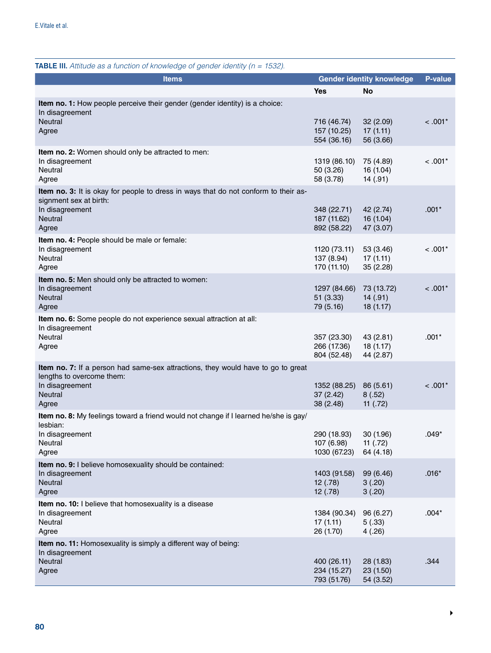| <b>TABLE III.</b> Attitude as a function of knowledge of gender identity ( $n = 1532$ ).                                                                    |                                           |                                      |           |  |  |  |
|-------------------------------------------------------------------------------------------------------------------------------------------------------------|-------------------------------------------|--------------------------------------|-----------|--|--|--|
| <b>Items</b>                                                                                                                                                | <b>Gender identity knowledge</b>          | P-value                              |           |  |  |  |
|                                                                                                                                                             | Yes                                       | <b>No</b>                            |           |  |  |  |
| Item no. 1: How people perceive their gender (gender identity) is a choice:<br>In disagreement<br>Neutral<br>Agree                                          | 716 (46.74)<br>157 (10.25)<br>554 (36.16) | 32 (2.09)<br>17(1.11)<br>56 (3.66)   | $< .001*$ |  |  |  |
| Item no. 2: Women should only be attracted to men:<br>In disagreement<br>Neutral<br>Agree                                                                   | 1319 (86.10)<br>50 (3.26)<br>58 (3.78)    | 75 (4.89)<br>16 (1.04)<br>14(.91)    | $< .001*$ |  |  |  |
| Item no. 3: It is okay for people to dress in ways that do not conform to their as-<br>signment sex at birth:<br>In disagreement<br><b>Neutral</b><br>Agree | 348 (22.71)<br>187 (11.62)<br>892 (58.22) | 42 (2.74)<br>16(1.04)<br>47 (3.07)   | $.001*$   |  |  |  |
| Item no. 4: People should be male or female:<br>In disagreement<br>Neutral<br>Agree                                                                         | 1120 (73.11)<br>137 (8.94)<br>170 (11.10) | 53 (3.46)<br>17(1.11)<br>35 (2.28)   | $< .001*$ |  |  |  |
| Item no. 5: Men should only be attracted to women:<br>In disagreement<br>Neutral<br>Agree                                                                   | 1297 (84.66)<br>51 (3.33)<br>79 (5.16)    | 73 (13.72)<br>14(.91)<br>18(1.17)    | $< .001*$ |  |  |  |
| Item no. 6: Some people do not experience sexual attraction at all:<br>In disagreement<br>Neutral<br>Agree                                                  | 357 (23.30)<br>266 (17.36)<br>804 (52.48) | 43 (2.81)<br>18(1.17)<br>44 (2.87)   | $.001*$   |  |  |  |
| Item no. 7: If a person had same-sex attractions, they would have to go to great<br>lengths to overcome them:<br>In disagreement<br><b>Neutral</b><br>Agree | 1352 (88.25)<br>37 (2.42)<br>38 (2.48)    | 86 (5.61)<br>8(.52)<br>11 $(.72)$    | $< .001*$ |  |  |  |
| Item no. 8: My feelings toward a friend would not change if I learned he/she is gay/<br>lesbian:<br>In disagreement<br>Neutral<br>Agree                     | 290 (18.93)<br>107 (6.98)<br>1030 (67.23) | 30 (1.96)<br>11 $(.72)$<br>64 (4.18) | $.049*$   |  |  |  |
| Item no. 9: I believe homosexuality should be contained:<br>In disagreement<br><b>Neutral</b><br>Agree                                                      | 1403 (91.58)<br>12(.78)<br>12(.78)        | 99 (6.46)<br>3(.20)<br>3(.20)        | $.016*$   |  |  |  |
| Item no. 10: I believe that homosexuality is a disease<br>In disagreement<br>Neutral<br>Agree                                                               | 1384 (90.34)<br>17(1.11)<br>26 (1.70)     | 96 (6.27)<br>5(.33)<br>4(.26)        | $.004*$   |  |  |  |
| Item no. 11: Homosexuality is simply a different way of being:<br>In disagreement<br>Neutral<br>Agree                                                       | 400 (26.11)<br>234 (15.27)<br>793 (51.76) | 28 (1.83)<br>23(1.50)<br>54 (3.52)   | .344      |  |  |  |

 $\blacktriangleright$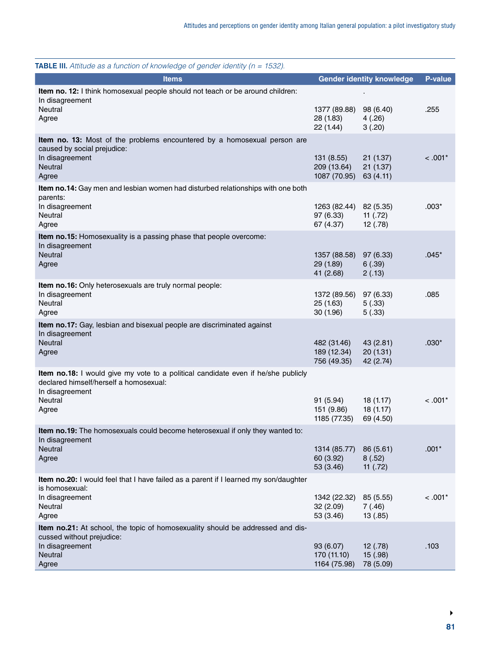| <b>Items</b>                                                                                                                                   |                                                  | <b>Gender identity knowledge</b>   | <b>P-value</b> |
|------------------------------------------------------------------------------------------------------------------------------------------------|--------------------------------------------------|------------------------------------|----------------|
| Item no. 12: I think homosexual people should not teach or be around children:<br>In disagreement                                              |                                                  |                                    |                |
| Neutral<br>Agree                                                                                                                               | 1377 (89.88)<br>28 (1.83)<br>22 (1.44)           | 98 (6.40)<br>4(.26)<br>3(.20)      | .255           |
| <b>Item no. 13:</b> Most of the problems encountered by a homosexual person are<br>caused by social prejudice:                                 |                                                  |                                    |                |
| In disagreement<br>Neutral<br>Agree                                                                                                            | 131(8.55)<br>209 (13.64)<br>1087 (70.95)         | 21(1.37)<br>21(1.37)<br>63(4.11)   | $< .001*$      |
| Item no.14: Gay men and lesbian women had disturbed relationships with one both<br>parents:                                                    |                                                  |                                    |                |
| In disagreement<br>Neutral<br>Agree                                                                                                            | 1263 (82.44) 82 (5.35)<br>97 (6.33)<br>67 (4.37) | 11 $(.72)$<br>12(.78)              | $.003*$        |
| Item no.15: Homosexuality is a passing phase that people overcome:<br>In disagreement                                                          |                                                  |                                    |                |
| Neutral<br>Agree                                                                                                                               | 1357 (88.58)<br>29 (1.89)<br>41 (2.68)           | 97 (6.33)<br>6(.39)<br>2(.13)      | $.045*$        |
| Item no.16: Only heterosexuals are truly normal people:<br>In disagreement<br>Neutral<br>Agree                                                 | 1372 (89.56)<br>25 (1.63)<br>30(1.96)            | 97 (6.33)<br>5(.33)<br>5(.33)      | .085           |
| Item no.17: Gay, lesbian and bisexual people are discriminated against<br>In disagreement                                                      |                                                  |                                    |                |
| Neutral<br>Agree                                                                                                                               | 482 (31.46)<br>189 (12.34)<br>756 (49.35)        | 43 (2.81)<br>20(1.31)<br>42 (2.74) | $.030*$        |
| Item no.18: I would give my vote to a political candidate even if he/she publicly<br>declared himself/herself a homosexual:<br>In disagreement |                                                  |                                    |                |
| Neutral<br>Agree                                                                                                                               | 91 (5.94)<br>151 (9.86)<br>1185 (77.35)          | 18(1.17)<br>18(1.17)<br>69 (4.50)  | $< 0.001*$     |
| Item no.19: The homosexuals could become heterosexual if only they wanted to:<br>In disagreement                                               |                                                  |                                    |                |
| <b>Neutral</b><br>Agree                                                                                                                        | 1314 (85.77)<br>60 (3.92)<br>53 (3.46)           | 86 (5.61)<br>8(.52)<br>11 $(.72)$  | $.001*$        |
| Item no.20: I would feel that I have failed as a parent if I learned my son/daughter<br>is homosexual:                                         |                                                  |                                    |                |
| In disagreement<br>Neutral<br>Agree                                                                                                            | 1342 (22.32)<br>32(2.09)<br>53 (3.46)            | 85 (5.55)<br>7(.46)<br>13(.85)     | $< .001*$      |
| Item no.21: At school, the topic of homosexuality should be addressed and dis-<br>cussed without prejudice:                                    |                                                  |                                    |                |
| In disagreement<br>Neutral<br>Agree                                                                                                            | 93 (6.07)<br>170 (11.10)<br>1164 (75.98)         | 12(.78)<br>15(.98)<br>78 (5.09)    | .103           |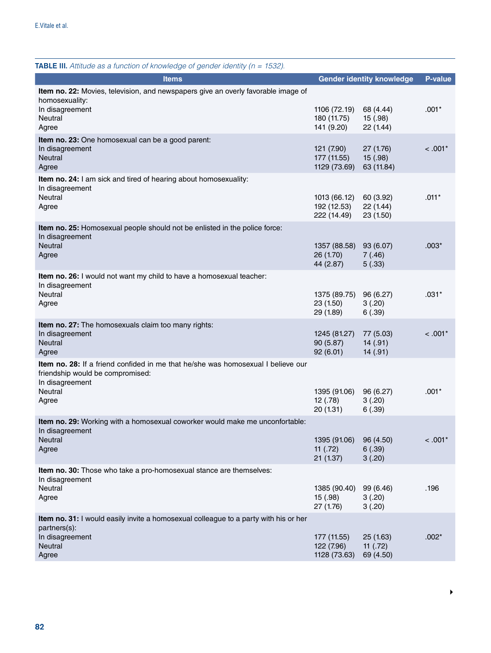| <b>TABLE III.</b> Attitude as a function of knowledge of gender identity ( $n = 1532$ ).                                                |                                            |                                     |            |
|-----------------------------------------------------------------------------------------------------------------------------------------|--------------------------------------------|-------------------------------------|------------|
| <b>Items</b>                                                                                                                            |                                            | <b>Gender identity knowledge</b>    | P-value    |
| Item no. 22: Movies, television, and newspapers give an overly favorable image of<br>homosexuality:<br>In disagreement                  | 1106 (72.19)                               | 68 (4.44)                           | $.001*$    |
| Neutral<br>Agree                                                                                                                        | 180 (11.75)<br>141 (9.20)                  | 15(.98)<br>22 (1.44)                |            |
| Item no. 23: One homosexual can be a good parent:<br>In disagreement<br><b>Neutral</b><br>Agree                                         | 121 (7.90)<br>177 (11.55)<br>1129 (73.69)  | 27 (1.76)<br>15(.98)<br>63 (11.84)  | $< .001*$  |
| Item no. 24: I am sick and tired of hearing about homosexuality:<br>In disagreement                                                     |                                            |                                     |            |
| Neutral<br>Agree                                                                                                                        | 1013 (66.12)<br>192 (12.53)<br>222 (14.49) | 60 (3.92)<br>22(1.44)<br>23 (1.50)  | $.011*$    |
| Item no. 25: Homosexual people should not be enlisted in the police force:<br>In disagreement                                           |                                            |                                     |            |
| Neutral<br>Agree                                                                                                                        | 1357 (88.58)<br>26 (1.70)<br>44 (2.87)     | 93 (6.07)<br>7(.46)<br>5(.33)       | $.003*$    |
| Item no. 26: I would not want my child to have a homosexual teacher:<br>In disagreement                                                 |                                            |                                     |            |
| <b>Neutral</b><br>Agree                                                                                                                 | 1375 (89.75)<br>23 (1.50)<br>29 (1.89)     | 96 (6.27)<br>3(.20)<br>6(.39)       | .031*      |
| Item no. 27: The homosexuals claim too many rights:<br>In disagreement<br>Neutral<br>Agree                                              | 1245 (81.27)<br>90 (5.87)<br>92(6.01)      | 77 (5.03)<br>14(.91)<br>14(.91)     | $< 0.001*$ |
| Item no. 28: If a friend confided in me that he/she was homosexual I believe our<br>friendship would be compromised:<br>In disagreement |                                            |                                     |            |
| Neutral<br>Agree                                                                                                                        | 1395 (91.06)<br>12(.78)<br>20 (1.31)       | 96 (6.27)<br>3(.20)<br>6(.39)       | $.001*$    |
| Item no. 29: Working with a homosexual coworker would make me unconfortable:<br>In disagreement                                         |                                            |                                     |            |
| <b>Neutral</b><br>Agree                                                                                                                 | 1395 (91.06)<br>11 $(.72)$<br>21(1.37)     | 96 (4.50)<br>6(.39)<br>3(.20)       | $< .001*$  |
| Item no. 30: Those who take a pro-homosexual stance are themselves:                                                                     |                                            |                                     |            |
| In disagreement<br>Neutral<br>Agree                                                                                                     | 1385 (90.40)<br>15(.98)<br>27 (1.76)       | 99 (6.46)<br>3(.20)<br>3(.20)       | .196       |
| Item no. 31: I would easily invite a homosexual colleague to a party with his or her<br>partners(s):                                    |                                            |                                     |            |
| In disagreement<br>Neutral<br>Agree                                                                                                     | 177 (11.55)<br>122 (7.96)<br>1128 (73.63)  | 25(1.63)<br>11 $(.72)$<br>69 (4.50) | $.002*$    |

 $\blacktriangleright$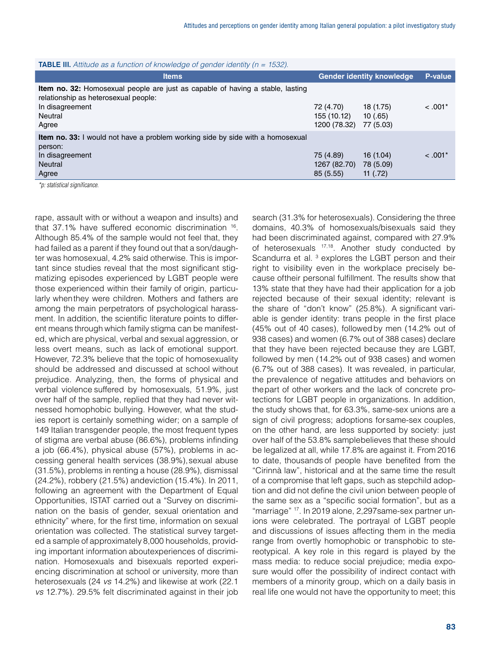| <b>TABLE III.</b> Attitude as a function of knowledge of gender identity ( $n = 1532$ ).                                                                             |                                          |                                     |                |
|----------------------------------------------------------------------------------------------------------------------------------------------------------------------|------------------------------------------|-------------------------------------|----------------|
| <b>Items</b>                                                                                                                                                         |                                          | <b>Gender identity knowledge</b>    | <b>P-value</b> |
| <b>Item no. 32:</b> Homosexual people are just as capable of having a stable, lasting<br>relationship as heterosexual people:<br>In disagreement<br>Neutral<br>Agree | 72 (4.70)<br>155 (10.12)<br>1200 (78.32) | 18 (1.75)<br>10(.65)<br>77 (5.03)   | $< 0.01*$      |
| <b>Item no. 33:</b> I would not have a problem working side by side with a homosexual<br>person:<br>In disagreement<br><b>Neutral</b><br>Agree<br>.                  | 75 (4.89)<br>1267 (82.70)<br>85(5.55)    | 16(1.04)<br>78 (5.09)<br>11 $(.72)$ | $< 0.01*$      |

*\*p: statistical significance.*

rape, assault with or without a weapon and insults) and that 37.1% have suffered economic discrimination 16. Although 85.4% of the sample would not feel that, they had failed as a parent if they found out that a son/daughter was homosexual, 4.2% said otherwise. This is important since studies reveal that the most significant stigmatizing episodes experienced by LGBT people were those experienced within their family of origin, particularly whenthey were children. Mothers and fathers are among the main perpetrators of psychological harassment. In addition, the scientific literature points to different means through which family stigma can be manifested, which are physical, verbal and sexual aggression, or less overt means, such as lack of emotional support. However, 72.3% believe that the topic of homosexuality should be addressed and discussed at school without prejudice. Analyzing, then, the forms of physical and verbal violence suffered by homosexuals, 51.9%, just over half of the sample, replied that they had never witnessed homophobic bullying. However, what the studies report is certainly something wider; on a sample of 149 Italian transgender people, the most frequent types of stigma are verbal abuse (86.6%), problems infinding a job (66.4%), physical abuse (57%), problems in accessing general health services (38.9%), sexual abuse (31.5%), problems in renting a house (28.9%), dismissal (24.2%), robbery (21.5%) andeviction (15.4%). In 2011, following an agreement with the Department of Equal Opportunities, ISTAT carried out a "Survey on discrimination on the basis of gender, sexual orientation and ethnicity" where, for the first time, information on sexual orientation was collected. The statistical survey targeted a sample of approximately 8,000 households, providing important information aboutexperiences of discrimination. Homosexuals and bisexuals reported experiencing discrimination at school or university, more than heterosexuals (24 *vs* 14.2%) and likewise at work (22.1 *vs* 12.7%). 29.5% felt discriminated against in their job

search (31.3% for heterosexuals). Considering the three domains, 40.3% of homosexuals/bisexuals said they had been discriminated against, compared with 27.9% of heterosexuals 17,18. Another study conducted by Scandurra et al.<sup>3</sup> explores the LGBT person and their right to visibility even in the workplace precisely because oftheir personal fulfillment. The results show that 13% state that they have had their application for a job rejected because of their sexual identity; relevant is the share of "don't know" (25.8%). A significant variable is gender identity: trans people in the first place (45% out of 40 cases), followedby men (14.2% out of 938 cases) and women (6.7% out of 388 cases) declare that they have been rejected because they are LGBT, followed by men (14.2% out of 938 cases) and women (6.7% out of 388 cases). It was revealed, in particular, the prevalence of negative attitudes and behaviors on thepart of other workers and the lack of concrete protections for LGBT people in organizations. In addition, the study shows that, for 63.3%, same-sex unions are a sign of civil progress; adoptions for same-sex couples, on the other hand, are less supported by society: just over half of the 53.8% samplebelieves that these should be legalized at all, while 17.8% are against it. From 2016 to date, thousands of people have benefited from the "Cirinnà law", historical and at the same time the result of a compromise that left gaps, such as stepchild adoption and did not define the civil union between people of the same sex as a "specific social formation", but as a "marriage" 17. In 2019 alone, 2,297same-sex partner unions were celebrated. The portrayal of LGBT people and discussions of issues affecting them in the media range from overtly homophobic or transphobic to stereotypical. A key role in this regard is played by the mass media: to reduce social prejudice; media exposure would offer the possibility of indirect contact with members of a minority group, which on a daily basis in real life one would not have the opportunity to meet; this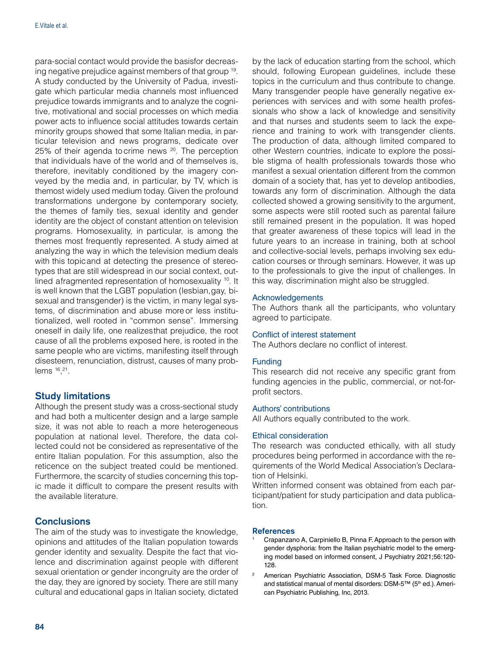para-social contact would provide the basisfor decreasing negative prejudice against members of that group 19. A study conducted by the University of Padua, investigate which particular media channels most influenced prejudice towards immigrants and to analyze the cognitive, motivational and social processes on which media power acts to influence social attitudes towards certain minority groups showed that some Italian media, in particular television and news programs, dedicate over 25% of their agenda to crime news <sup>20</sup>. The perception that individuals have of the world and of themselves is, therefore, inevitably conditioned by the imagery conveyed by the media and, in particular, by TV, which is themost widely used medium today. Given the profound transformations undergone by contemporary society, the themes of family ties, sexual identity and gender identity are the object of constant attention on television programs. Homosexuality, in particular, is among the themes most frequently represented. A study aimed at analyzing the way in which the television medium deals with this topic and at detecting the presence of stereotypes that are still widespread in our social context, outlined a fragmented representation of homosexuality <sup>10</sup>. It is well known that the LGBT population (lesbian, gay, bisexual and transgender) is the victim, in many legal systems, of discrimination and abuse more or less institutionalized, well rooted in "common sense". Immersing oneself in daily life, one realizesthat prejudice, the root cause of all the problems exposed here, is rooted in the same people who are victims, manifesting itself through disesteem, renunciation, distrust, causes of many problems 16, 21.

# Study limitations

Although the present study was a cross-sectional study and had both a multicenter design and a large sample size, it was not able to reach a more heterogeneous population at national level. Therefore, the data collected could not be considered as representative of the entire Italian population. For this assumption, also the reticence on the subject treated could be mentioned. Furthermore, the scarcity of studies concerning this topic made it difficult to compare the present results with the available literature.

#### **Conclusions**

The aim of the study was to investigate the knowledge, opinions and attitudes of the Italian population towards gender identity and sexuality. Despite the fact that violence and discrimination against people with different sexual orientation or gender incongruity are the order of the day, they are ignored by society. There are still many cultural and educational gaps in Italian society, dictated

by the lack of education starting from the school, which should, following European guidelines, include these topics in the curriculum and thus contribute to change. Many transgender people have generally negative experiences with services and with some health professionals who show a lack of knowledge and sensitivity and that nurses and students seem to lack the experience and training to work with transgender clients. The production of data, although limited compared to other Western countries, indicate to explore the possible stigma of health professionals towards those who manifest a sexual orientation different from the common domain of a society that, has yet to develop antibodies, towards any form of discrimination. Although the data collected showed a growing sensitivity to the argument, some aspects were still rooted such as parental failure still remained present in the population. It was hoped that greater awareness of these topics will lead in the future years to an increase in training, both at school and collective-social levels, perhaps involving sex education courses or through seminars. However, it was up to the professionals to give the input of challenges. In this way, discrimination might also be struggled.

#### Acknowledgements

The Authors thank all the participants, who voluntary agreed to participate.

#### Conflict of interest statement

The Authors declare no conflict of interest.

#### Funding

This research did not receive any specific grant from funding agencies in the public, commercial, or not-forprofit sectors.

#### Authors' contributions

All Authors equally contributed to the work.

#### Ethical consideration

The research was conducted ethically, with all study procedures being performed in accordance with the requirements of the World Medical Association's Declaration of Helsinki.

Written informed consent was obtained from each participant/patient for study participation and data publication.

#### **References**

- <sup>1</sup> Crapanzano A, Carpiniello B, Pinna F. Approach to the person with gender dysphoria: from the Italian psychiatric model to the emerging model based on informed consent, J Psychiatry 2021;56:120- 128.
- <sup>2</sup> American Psychiatric Association, DSM-5 Task Force. Diagnostic and statistical manual of mental disorders: DSM-5™ (5<sup>th</sup> ed.). American Psychiatric Publishing, Inc, 2013.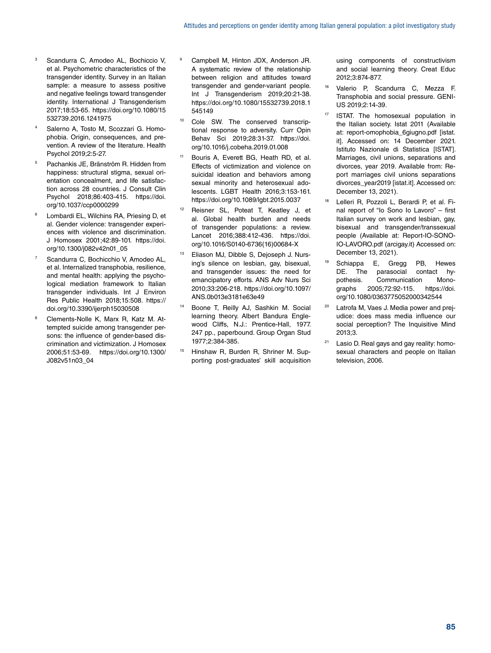- Scandurra C, Amodeo AL, Bochiccio V, et al. Psychometric characteristics of the transgender identity. Survey in an Italian sample: a measure to assess positive and negative feelings toward transgender identity. International J Transgenderism 2017;18:53-65. [https://doi.org/10.1080/15](https://doi.org/10.1080/15532739.2016.1241975) [532739.2016.1241975](https://doi.org/10.1080/15532739.2016.1241975)
- Salerno A, Tosto M, Scozzari G, Homophobia. Origin, consequences, and prevention. A review of the literature. Health Psychol 2019;2:5-27.
- <sup>5</sup> Pachankis JE, Bränström R. Hidden from happiness: structural stigma, sexual orientation concealment, and life satisfaction across 28 countries. J Consult Clin Psychol 2018;86:403-415. [https://doi.](https://doi.org/10.1037/ccp0000299) [org/10.1037/ccp0000299](https://doi.org/10.1037/ccp0000299)
- <sup>6</sup> Lombardi EL, Wilchins RA, Priesing D, et al. Gender violence: transgender experiences with violence and discrimination. J Homosex 2001;42:89-101. [https://doi.](https://doi.org/10.1300/j082v42n01_05) [org/10.1300/j082v42n01\\_05](https://doi.org/10.1300/j082v42n01_05)
- Scandurra C, Bochicchio V, Amodeo AL, et al. Internalized transphobia, resilience, and mental health: applying the psychological mediation framework to Italian transgender individuals. Int J Environ Res Public Health 2018;15:508. [https://](https://doi.org/10.3390/ijerph15030508) [doi.org/10.3390/ijerph15030508](https://doi.org/10.3390/ijerph15030508)
- <sup>8</sup> Clements-Nolle K, Marx R, Katz M. Attempted suicide among transgender persons: the influence of gender-based discrimination and victimization. J Homosex 2006;51:53-69. [https://doi.org/10.1300/](https://doi.org/10.1300/J082v51n03_04) [J082v51n03\\_04](https://doi.org/10.1300/J082v51n03_04)
- <sup>9</sup> Campbell M, Hinton JDX, Anderson JR. A systematic review of the relationship between religion and attitudes toward transgender and gender-variant people. Int J Transgenderism 2019:20:21-38. [https://doi.org/10.1080/15532739.2018.1](https://doi.org/10.1080/15532739.2018.1545149) [545149](https://doi.org/10.1080/15532739.2018.1545149)
- <sup>10</sup> Cole SW. The conserved transcriptional response to adversity. Curr Opin Behav Sci 2019;28:31-37. [https://doi.](https://doi.org/10.1016/j.cobeha.2019.01.008) [org/10.1016/j.cobeha.2019.01.008](https://doi.org/10.1016/j.cobeha.2019.01.008)
- Bouris A, Everett BG, Heath RD, et al. Effects of victimization and violence on suicidal ideation and behaviors among sexual minority and heterosexual adolescents. LGBT Health 2016;3:153-161. <https://doi.org/10.1089/lgbt.2015.0037>
- Reisner SL, Poteat T, Keatley J, et al. Global health burden and needs of transgender populations: a review. Lancet 2016;388:412-436. [https://doi.](https://doi.org/10.1016/S0140-6736(16)00684-X) [org/10.1016/S0140-6736\(16\)00684-X](https://doi.org/10.1016/S0140-6736(16)00684-X)
- <sup>13</sup> Eliason MJ, Dibble S, Dejoseph J. Nursing's silence on lesbian, gay, bisexual, and transgender issues: the need for emancipatory efforts. ANS Adv Nurs Sci 2010;33:206-218. [https://doi.org/10.1097/](https://doi.org/10.1097/ANS.0b013e3181e63e49) [ANS.0b013e3181e63e49](https://doi.org/10.1097/ANS.0b013e3181e63e49)
- <sup>14</sup> Boone T, Reilly AJ, Sashkin M. Social learning theory. Albert Bandura Englewood Cliffs, N.J.: Prentice-Hall, 1977. 247 pp., paperbound. Group Organ Stud 1977;2:384-385.
- Hinshaw R, Burden R, Shriner M. Supporting post-graduates' skill acquisition

using components of constructivism and social learning theory. Creat Educ 2012;3:874-877.

- Valerio P, Scandurra C, Mezza F. Transphobia and social pressure. GENI-US 2019;2:14-39.
- ISTAT. The homosexual population in the Italian society. Istat 2011 (Available at: report-omophobia\_6giugno.pdf [[istat.](http://istat.it) [it](http://istat.it)]. Accessed on: 14 December 2021. Istituto Nazionale di Statistica [ISTAT]. Marriages, civil unions, separations and divorces, year 2019. Available from: Report marriages civil unions separations divorces\_vear2019 [[istat.it\]](http://istat.it). Accessed on: December 13, 2021).
- <sup>18</sup> Lelleri R, Pozzoli L, Berardi P, et al. Final report of "Io Sono Io Lavoro" – first Italian survey on work and lesbian, gay, bisexual and transgender/transsexual people (Available at: Report-IO-SONO-IO-LAVORO.pdf ([arcigay.it](http://arcigay.it)) Accessed on: December 13, 2021).
- <sup>19</sup> Schiappa E, Gregg PB, Hewes DE. The parasocial contact hypothesis. Communication Monographs 2005;72:92-115. [https://doi.](https://doi.org/10.1080/0363775052000342544) [org/10.1080/0363775052000342544](https://doi.org/10.1080/0363775052000342544)
- <sup>20</sup> Latrofa M, Vaes J. Media power and prejudice: does mass media influence our social perception? The Inquisitive Mind 2013;3.
- Lasio D. Real gays and gay reality: homosexual characters and people on Italian television, 2006.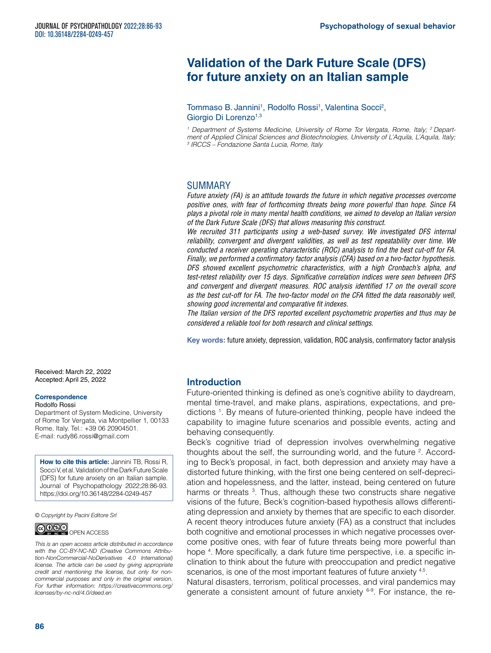# **Validation of the Dark Future Scale (DFS) for future anxiety on an Italian sample**

Tommaso B. Jannini<sup>1</sup>, Rodolfo Rossi<sup>1</sup>, Valentina Socci<sup>2</sup>, Giorgio Di Lorenzo<sup>1,3</sup>

<sup>1</sup> Department of Systems Medicine, University of Rome Tor Vergata, Rome, Italy; <sup>2</sup> Depart*ment of Applied Clinical Sciences and Biotechnologies, University of L'Aquila, L'Aquila, Italy; 3 IRCCS – Fondazione Santa Lucia, Rome, Italy*

# SUMMARY

*Future anxiety (FA) is an attitude towards the future in which negative processes overcome positive ones, with fear of forthcoming threats being more powerful than hope. Since FA plays a pivotal role in many mental health conditions, we aimed to develop an Italian version of the Dark Future Scale (DFS) that allows measuring this construct.*

We recruited 311 participants using a web-based survey. We investigated DFS internal *reliability, convergent and divergent validities, as well as test repeatability over time. We conducted a receiver operating characteristic (ROC) analysis to find the best cut-off for FA. Finally, we performed a confirmatory factor analysis (CFA) based on a two-factor hypothesis. DFS showed excellent psychometric characteristics, with a high Cronbach's alpha, and test-retest reliability over 15 days. Significative correlation indices were seen between DFS and convergent and divergent measures. ROC analysis identified 17 on the overall score as the best cut-off for FA. The two-factor model on the CFA fitted the data reasonably well, showing good incremental and comparative fit indexes.*

*The Italian version of the DFS reported excellent psychometric properties and thus may be considered a reliable tool for both research and clinical settings.* 

**Key words:** future anxiety, depression, validation, ROC analysis, confirmatory factor analysis

Received: March 22, 2022 Accepted: April 25, 2022

#### **Correspondence**

#### Rodolfo Rossi

Department of System Medicine, University of Rome Tor Vergata, via Montpellier 1, 00133 Rome, Italy. Tel.: +39 06 20904501. E-mail: [rudy86.rossi@gmail.com](mailto:rudy86.rossi@gmail.com)

**How to cite this article:** Jannini TB, Rossi R, Socci V, et al. Validation of the Dark Future Scale (DFS) for future anxiety on an Italian sample. Journal of Psychopathology 2022;28:86-93. <https://doi.org/10.36148/2284-0249-457>

*© Copyright by Pacini Editore Srl*



*This is an open access article distributed in accordance with the CC-BY-NC-ND (Creative Commons Attribution-NonCommercial-NoDerivatives 4.0 International) license. The article can be used by giving appropriate* 

*credit and mentioning the license, but only for noncommercial purposes and only in the original version. For further information: [https://creativecommons.org/](https://creativecommons.org/licenses/by-nc-nd/4.0/deed.en) [licenses/by-nc-nd/4.0/deed.en](https://creativecommons.org/licenses/by-nc-nd/4.0/deed.en)*

# **Introduction**

Future-oriented thinking is defined as one's cognitive ability to daydream, mental time-travel, and make plans, aspirations, expectations, and predictions 1 . By means of future-oriented thinking, people have indeed the capability to imagine future scenarios and possible events, acting and behaving consequently.

Beck's cognitive triad of depression involves overwhelming negative thoughts about the self, the surrounding world, and the future  $2$ . According to Beck's proposal, in fact, both depression and anxiety may have a distorted future thinking, with the first one being centered on self-depreciation and hopelessness, and the latter, instead, being centered on future harms or threats <sup>3</sup>. Thus, although these two constructs share negative visions of the future, Beck's cognition-based hypothesis allows differentiating depression and anxiety by themes that are specific to each disorder. A recent theory introduces future anxiety (FA) as a construct that includes both cognitive and emotional processes in which negative processes overcome positive ones, with fear of future threats being more powerful than hope <sup>4</sup>. More specifically, a dark future time perspective, i.e. a specific inclination to think about the future with preoccupation and predict negative scenarios, is one of the most important features of future anxiety 4,5.

Natural disasters, terrorism, political processes, and viral pandemics may generate a consistent amount of future anxiety <sup>6-9</sup>. For instance, the re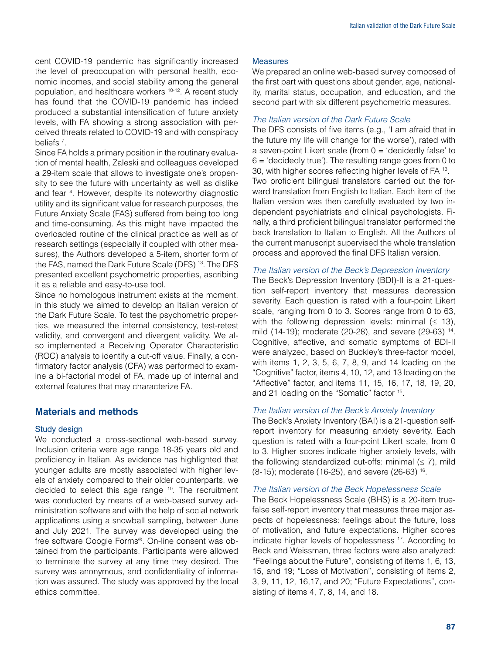cent COVID-19 pandemic has significantly increased the level of preoccupation with personal health, economic incomes, and social stability among the general population, and healthcare workers 10-12. A recent study has found that the COVID-19 pandemic has indeed produced a substantial intensification of future anxiety levels, with FA showing a strong association with perceived threats related to COVID-19 and with conspiracy beliefs<sup>7</sup>.

Since FA holds a primary position in the routinary evaluation of mental health, Zaleski and colleagues developed a 29-item scale that allows to investigate one's propensity to see the future with uncertainty as well as dislike and fear <sup>4</sup> . However, despite its noteworthy diagnostic utility and its significant value for research purposes, the Future Anxiety Scale (FAS) suffered from being too long and time-consuming. As this might have impacted the overloaded routine of the clinical practice as well as of research settings (especially if coupled with other measures), the Authors developed a 5-item, shorter form of the FAS, named the Dark Future Scale (DFS) 13. The DFS presented excellent psychometric properties, ascribing it as a reliable and easy-to-use tool.

Since no homologous instrument exists at the moment, in this study we aimed to develop an Italian version of the Dark Future Scale. To test the psychometric properties, we measured the internal consistency, test-retest validity, and convergent and divergent validity. We also implemented a Receiving Operator Characteristic (ROC) analysis to identify a cut-off value. Finally, a confirmatory factor analysis (CFA) was performed to examine a bi-factorial model of FA, made up of internal and external features that may characterize FA.

# Materials and methods

#### Study design

We conducted a cross-sectional web-based survey. Inclusion criteria were age range 18-35 years old and proficiency in Italian. As evidence has highlighted that younger adults are mostly associated with higher levels of anxiety compared to their older counterparts, we decided to select this age range <sup>10</sup>. The recruitment was conducted by means of a web-based survey administration software and with the help of social network applications using a snowball sampling, between June and July 2021. The survey was developed using the free software Google Forms®. On-line consent was obtained from the participants. Participants were allowed to terminate the survey at any time they desired. The survey was anonymous, and confidentiality of information was assured. The study was approved by the local ethics committee.

#### Measures

We prepared an online web-based survey composed of the first part with questions about gender, age, nationality, marital status, occupation, and education, and the second part with six different psychometric measures.

#### *The Italian version of the Dark Future Scale*

The DFS consists of five items (e.g., 'I am afraid that in the future my life will change for the worse'), rated with a seven-point Likert scale (from  $0 = 'decidedly false'$  to  $6 = 6$  decidedly true'). The resulting range goes from 0 to 30, with higher scores reflecting higher levels of FA 13. Two proficient bilingual translators carried out the forward translation from English to Italian. Each item of the Italian version was then carefully evaluated by two independent psychiatrists and clinical psychologists. Finally, a third proficient bilingual translator performed the back translation to Italian to English. All the Authors of the current manuscript supervised the whole translation process and approved the final DFS Italian version.

# *The Italian version of the Beck's Depression Inventory*

The Beck's Depression Inventory (BDI)-II is a 21-question self-report inventory that measures depression severity. Each question is rated with a four-point Likert scale, ranging from 0 to 3. Scores range from 0 to 63, with the following depression levels: minimal  $( \leq 13)$ , mild (14-19); moderate (20-28), and severe (29-63) 14. Cognitive, affective, and somatic symptoms of BDI-II were analyzed, based on Buckley's three-factor model, with items 1, 2, 3, 5, 6, 7, 8, 9, and 14 loading on the "Cognitive" factor, items 4, 10, 12, and 13 loading on the "Affective" factor, and items 11, 15, 16, 17, 18, 19, 20, and 21 loading on the "Somatic" factor 15.

#### *The Italian version of the Beck's Anxiety Inventory*

The Beck's Anxiety Inventory (BAI) is a 21-question selfreport inventory for measuring anxiety severity. Each question is rated with a four-point Likert scale, from 0 to 3. Higher scores indicate higher anxiety levels, with the following standardized cut-offs: minimal  $(≤ 7)$ , mild (8-15); moderate (16-25), and severe (26-63) 16.

#### *The Italian version of the Beck Hopelessness Scale*

The Beck Hopelessness Scale (BHS) is a 20-item truefalse self-report inventory that measures three major aspects of hopelessness: feelings about the future, loss of motivation, and future expectations. Higher scores indicate higher levels of hopelessness 17. According to Beck and Weissman, three factors were also analyzed: "Feelings about the Future", consisting of items 1, 6, 13, 15, and 19; "Loss of Motivation", consisting of items 2, 3, 9, 11, 12, 16,17, and 20; "Future Expectations", consisting of items 4, 7, 8, 14, and 18.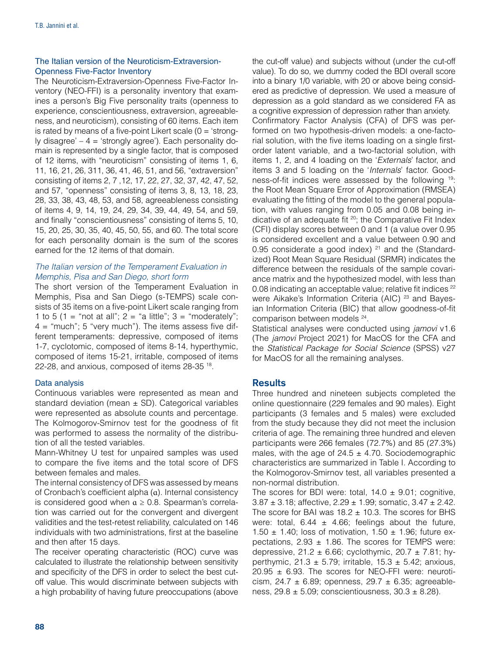# The Italian version of the Neuroticism-Extraversion-Openness Five-Factor Inventory

The Neuroticism-Extraversion-Openness Five-Factor Inventory (NEO-FFI) is a personality inventory that examines a person's Big Five personality traits (openness to experience, conscientiousness, extraversion, agreeableness, and neuroticism), consisting of 60 items. Each item is rated by means of a five-point Likert scale  $(0 = 'strong-)$ ly disagree'  $-4$  = 'strongly agree'). Each personality domain is represented by a single factor, that is composed of 12 items, with "neuroticism" consisting of items 1, 6, 11, 16, 21, 26, 311, 36, 41, 46, 51, and 56, "extraversion" consisting of items 2, 7 ,12, 17, 22, 27, 32, 37, 42, 47, 52, and 57, "openness" consisting of items 3, 8, 13, 18, 23, 28, 33, 38, 43, 48, 53, and 58, agreeableness consisting of items 4, 9, 14, 19, 24, 29, 34, 39, 44, 49, 54, and 59, and finally "conscientiousness" consisting of items 5, 10, 15, 20, 25, 30, 35, 40, 45, 50, 55, and 60. The total score for each personality domain is the sum of the scores earned for the 12 items of that domain.

# *The Italian version of the Temperament Evaluation in Memphis, Pisa and San Diego, short form*

The short version of the Temperament Evaluation in Memphis, Pisa and San Diego (s-TEMPS) scale consists of 35 items on a five-point Likert scale ranging from 1 to 5 (1 = "not at all";  $2 =$  "a little";  $3 =$  "moderately";  $4 =$  "much"; 5 "very much"). The items assess five different temperaments: depressive, composed of items 1-7, cyclotomic, composed of items 8-14, hyperthymic, composed of items 15-21, irritable, composed of items 22-28, and anxious, composed of items 28-35 18.

# Data analysis

Continuous variables were represented as mean and standard deviation (mean  $\pm$  SD). Categorical variables were represented as absolute counts and percentage. The Kolmogorov-Smirnov test for the goodness of fit was performed to assess the normality of the distribution of all the tested variables.

Mann-Whitney U test for unpaired samples was used to compare the five items and the total score of DFS between females and males.

The internal consistency of DFS was assessed by means of Cronbach's coefficient alpha (ɑ). Internal consistency is considered good when  $a \geq 0.8$ . Spearman's correlation was carried out for the convergent and divergent validities and the test-retest reliability, calculated on 146 individuals with two administrations, first at the baseline and then after 15 days.

The receiver operating characteristic (ROC) curve was calculated to illustrate the relationship between sensitivity and specificity of the DFS in order to select the best cutoff value. This would discriminate between subjects with a high probability of having future preoccupations (above

the cut-off value) and subjects without (under the cut-off value). To do so, we dummy coded the BDI overall score into a binary 1/0 variable, with 20 or above being considered as predictive of depression. We used a measure of depression as a gold standard as we considered FA as a cognitive expression of depression rather than anxiety. Confirmatory Factor Analysis (CFA) of DFS was performed on two hypothesis-driven models: a one-factorial solution, with the five items loading on a single firstorder latent variable, and a two-factorial solution, with items 1, 2, and 4 loading on the '*Externals*' factor, and items 3 and 5 loading on the '*Internals*' factor. Goodness-of-fit indices were assessed by the following 19: the Root Mean Square Error of Approximation (RMSEA) evaluating the fitting of the model to the general population, with values ranging from 0.05 and 0.08 being indicative of an adequate fit 20; the Comparative Fit Index (CFI) display scores between 0 and 1 (a value over 0.95 is considered excellent and a value between 0.90 and 0.95 considerate a good index)  $21$  and the (Standardized) Root Mean Square Residual (SRMR) indicates the difference between the residuals of the sample covariance matrix and the hypothesized model, with less than 0.08 indicating an acceptable value; relative fit indices <sup>22</sup> were Aikake's Information Criteria (AIC)<sup>23</sup> and Bayesian Information Criteria (BIC) that allow goodness-of-fit comparison between models 24.

Statistical analyses were conducted using *jamovi* v1.6 (The *jamovi* Project 2021) for MacOS for the CFA and the *Statistical Package for Social Science* (SPSS) v27 for MacOS for all the remaining analyses.

# **Results**

Three hundred and nineteen subjects completed the online questionnaire (229 females and 90 males). Eight participants (3 females and 5 males) were excluded from the study because they did not meet the inclusion criteria of age. The remaining three hundred and eleven participants were 266 females (72.7%) and 85 (27.3%) males, with the age of  $24.5 \pm 4.70$ . Sociodemographic characteristics are summarized in Table I. According to the Kolmogorov-Smirnov test, all variables presented a non-normal distribution.

The scores for BDI were: total,  $14.0 \pm 9.01$ ; cognitive, 3.87 ± 3.18; affective, 2.29 ± 1.99; somatic, 3.47 ± 2.42. The score for BAI was  $18.2 \pm 10.3$ . The scores for BHS were: total,  $6.44 \pm 4.66$ ; feelings about the future, 1.50  $\pm$  1.40; loss of motivation, 1.50  $\pm$  1.96; future expectations,  $2.93 \pm 1.86$ . The scores for TEMPS were: depressive,  $21.2 \pm 6.66$ ; cyclothymic,  $20.7 \pm 7.81$ ; hyperthymic,  $21.3 \pm 5.79$ ; irritable,  $15.3 \pm 5.42$ ; anxious,  $20.95 \pm 6.93$ . The scores for NEO-FFI were: neuroticism, 24.7  $\pm$  6.89; openness, 29.7  $\pm$  6.35; agreeableness,  $29.8 \pm 5.09$ ; conscientiousness,  $30.3 \pm 8.28$ ).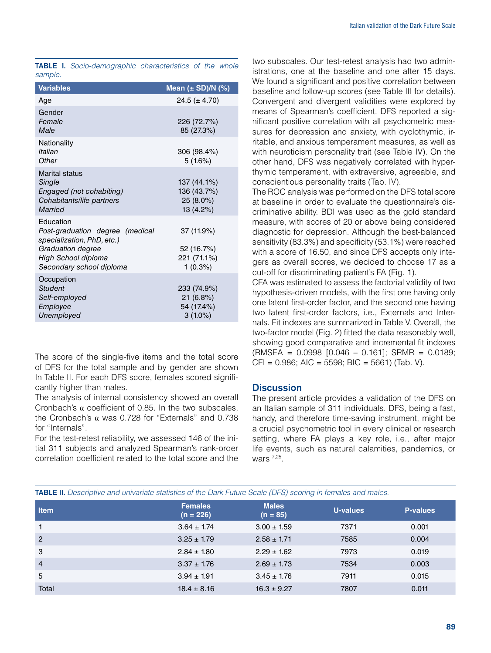|         | <b>TABLE I.</b> Socio-demographic characteristics of the whole |  |  |
|---------|----------------------------------------------------------------|--|--|
| sample. |                                                                |  |  |

| <b>Variables</b>                                                                                                                                   | Mean $(\pm SD)/N$ (%)                                |
|----------------------------------------------------------------------------------------------------------------------------------------------------|------------------------------------------------------|
| Age                                                                                                                                                | 24.5 ( $\pm$ 4.70)                                   |
| Gender<br>Female<br>Male                                                                                                                           | 226 (72.7%)<br>85 (27.3%)                            |
| Nationality<br>Italian<br>Other                                                                                                                    | 306 (98.4%)<br>5(1.6%)                               |
| <b>Marital status</b><br>Single<br>Engaged (not cohabiting)<br>Cohabitants/life partners<br>Married                                                | 137 (44.1%)<br>136 (43.7%)<br>25 (8.0%)<br>13 (4.2%) |
| Education<br>Post-graduation degree (medical<br>specialization, PhD, etc.)<br>Graduation degree<br>High School diploma<br>Secondary school diploma | 37 (11.9%)<br>52 (16.7%)<br>221 (71.1%)<br>1(0.3%)   |
| Occupation<br>Student<br>Self-employed<br>Employee<br>Unemployed                                                                                   | 233 (74.9%)<br>21(6.8%)<br>54 (17.4%)<br>$3(1.0\%)$  |

The score of the single-five items and the total score of DFS for the total sample and by gender are shown In Table II. For each DFS score, females scored significantly higher than males.

The analysis of internal consistency showed an overall Cronbach's  $\alpha$  coefficient of 0.85. In the two subscales, the Cronbach's α was 0.728 for "Externals" and 0.738 for "Internals".

For the test-retest reliability, we assessed 146 of the initial 311 subjects and analyzed Spearman's rank-order correlation coefficient related to the total score and the two subscales. Our test-retest analysis had two administrations, one at the baseline and one after 15 days. We found a significant and positive correlation between baseline and follow-up scores (see Table III for details). Convergent and divergent validities were explored by means of Spearman's coefficient. DFS reported a significant positive correlation with all psychometric measures for depression and anxiety, with cyclothymic, irritable, and anxious temperament measures, as well as with neuroticism personality trait (see Table IV). On the other hand, DFS was negatively correlated with hyperthymic temperament, with extraversive, agreeable, and conscientious personality traits (Tab. IV).

The ROC analysis was performed on the DFS total score at baseline in order to evaluate the questionnaire's discriminative ability. BDI was used as the gold standard measure, with scores of 20 or above being considered diagnostic for depression. Although the best-balanced sensitivity (83.3%) and specificity (53.1%) were reached with a score of 16.50, and since DFS accepts only integers as overall scores, we decided to choose 17 as a cut-off for discriminating patient's FA (Fig. 1).

CFA was estimated to assess the factorial validity of two hypothesis-driven models, with the first one having only one latent first-order factor, and the second one having two latent first-order factors, i.e., Externals and Internals. Fit indexes are summarized in Table V. Overall, the two-factor model (Fig. 2) fitted the data reasonably well, showing good comparative and incremental fit indexes (RMSEA = 0.0998 [0.046 – 0.161]; SRMR = 0.0189;  $CFI = 0.986$ ; AIC = 5598; BIC = 5661) (Tab. V).

# **Discussion**

The present article provides a validation of the DFS on an Italian sample of 311 individuals. DFS, being a fast, handy, and therefore time-saving instrument, might be a crucial psychometric tool in every clinical or research setting, where FA plays a key role, i.e., after major life events, such as natural calamities, pandemics, or wars 7,25.

| <b>ADLE II.</b> Descriptive and univariate statistics of the Dain Future Scale (DFS) scoring in females and males. |                               |                            |          |                 |  |  |  |  |
|--------------------------------------------------------------------------------------------------------------------|-------------------------------|----------------------------|----------|-----------------|--|--|--|--|
| <b>Item</b>                                                                                                        | <b>Females</b><br>$(n = 226)$ | <b>Males</b><br>$(n = 85)$ | U-values | <b>P-values</b> |  |  |  |  |
|                                                                                                                    | $3.64 \pm 1.74$               | $3.00 \pm 1.59$            | 7371     | 0.001           |  |  |  |  |
| $\overline{c}$                                                                                                     | $3.25 \pm 1.79$               | $2.58 \pm 1.71$            | 7585     | 0.004           |  |  |  |  |
| 3                                                                                                                  | $2.84 \pm 1.80$               | $2.29 \pm 1.62$            | 7973     | 0.019           |  |  |  |  |

4 3.37 ± 1.76  $2.69 \pm 1.73$  7534 0.003  $5$  3.94  $\pm$  1.91 3.45  $\pm$  1.76 7911 0.015  $\text{Total}$  18.4  $\pm 8.16$  16.3  $\pm 9.27$  7807 0.011

TABLE II. *Descriptive and univariate statistics of the Dark Future Scale (DFS) scoring in females and males.*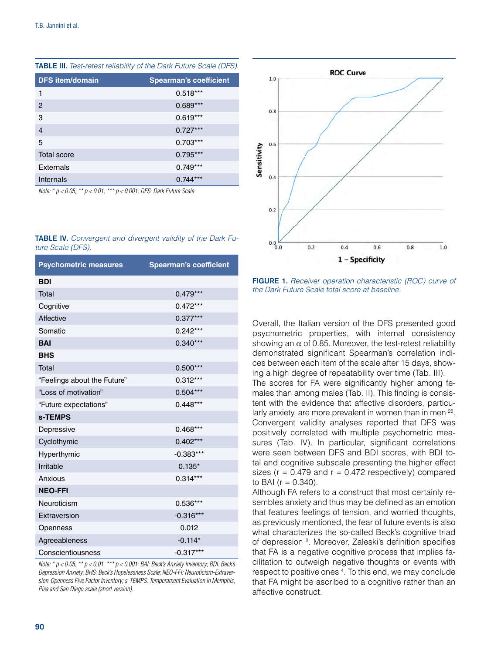| <b>Spearman's coefficient</b> |
|-------------------------------|
|                               |
|                               |
|                               |
|                               |
|                               |
|                               |
|                               |
|                               |
|                               |

TABLE III. *Test-retest reliability of the Dark Future Scale (DFS).*

*Note: \* p < 0.05, \*\* p < 0.01, \*\*\* p < 0.001; DFS: Dark Future Scale*

|                   | <b>TABLE IV.</b> Convergent and divergent validity of the Dark Fu- |  |  |  |  |
|-------------------|--------------------------------------------------------------------|--|--|--|--|
| ture Scale (DFS). |                                                                    |  |  |  |  |

| <b>Psychometric measures</b> | <b>Spearman's coefficient</b> |
|------------------------------|-------------------------------|
| <b>BDI</b>                   |                               |
| Total                        | $0.479***$                    |
| Cognitive                    | $0.472***$                    |
| Affective                    | $0.377***$                    |
| Somatic                      | $0.242***$                    |
| <b>BAI</b>                   | $0.340***$                    |
| <b>BHS</b>                   |                               |
| Total                        | $0.500***$                    |
| "Feelings about the Future"  | $0.312***$                    |
| "Loss of motivation"         | $0.504***$                    |
| "Future expectations"        | $0.448***$                    |
| s-TEMPS                      |                               |
| Depressive                   | $0.468***$                    |
| Cyclothymic                  | $0.402***$                    |
| Hyperthymic                  | $-0.383***$                   |
| Irritable                    | $0.135*$                      |
| Anxious                      | $0.314***$                    |
| <b>NEO-FFI</b>               |                               |
| Neuroticism                  | 0.536***                      |
| Extraversion                 | $-0.316***$                   |
| Openness                     | 0.012                         |
| Agreeableness                | $-0.114*$                     |
| Conscientiousness            | $-0.317***$                   |

*Note: \* p < 0.05, \*\* p < 0.01, \*\*\* p < 0.001; BAI: Beck's Anxiety Inventory; BDI: Beck's Depression Anxiety; BHS: Beck's Hopelessness Scale; NEO-FFI: Neuroticism-Extraversion-Openness Five Factor Inventory; s-TEMPS: Temperament Evaluation in Memphis, Pisa and San Diego scale (short version).*



FIGURE 1. *Receiver operation characteristic (ROC) curve of the Dark Future Scale total score at baseline.*

Overall, the Italian version of the DFS presented good psychometric properties, with internal consistency showing an  $\alpha$  of 0.85. Moreover, the test-retest reliability demonstrated significant Spearman's correlation indices between each item of the scale after 15 days, showing a high degree of repeatability over time (Tab. III). The scores for FA were significantly higher among females than among males (Tab. II). This finding is consistent with the evidence that affective disorders, particularly anxiety, are more prevalent in women than in men 26. Convergent validity analyses reported that DFS was positively correlated with multiple psychometric measures (Tab. IV). In particular, significant correlations were seen between DFS and BDI scores, with BDI total and cognitive subscale presenting the higher effect sizes ( $r = 0.479$  and  $r = 0.472$  respectively) compared to BAI ( $r = 0.340$ ).

Although FA refers to a construct that most certainly resembles anxiety and thus may be defined as an emotion that features feelings of tension, and worried thoughts, as previously mentioned, the fear of future events is also what characterizes the so-called Beck's cognitive triad of depression <sup>2</sup>. Moreover, Zaleski's definition specifies that FA is a negative cognitive process that implies facilitation to outweigh negative thoughts or events with respect to positive ones <sup>4</sup>. To this end, we may conclude that FA might be ascribed to a cognitive rather than an affective construct.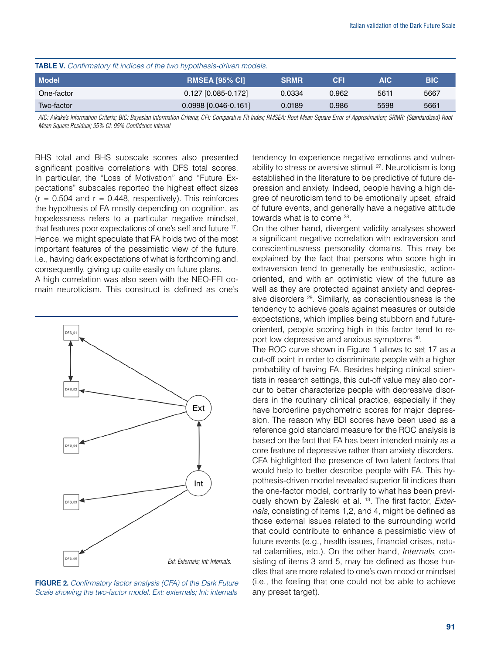| <b>TABLE V.</b> Confirmatory fit indices of the two hypothesis-driven models. |                        |             |            |      |            |
|-------------------------------------------------------------------------------|------------------------|-------------|------------|------|------------|
| <b>Model</b>                                                                  | <b>RMSEA [95% CI]</b>  | <b>SRMR</b> | <b>CFI</b> | AIC. | <b>BIC</b> |
| One-factor                                                                    | $0.127$ [0.085-0.172]  | 0.0334      | 0.962      | 5611 | 5667       |
| Two-factor                                                                    | $0.0998$ [0.046-0.161] | 0.0189      | 0.986      | 5598 | 5661       |

*AIC: Aikake's Information Criteria; BIC: Bayesian Information Criteria; CFI: Comparative Fit Index; RMSEA: Root Mean Square Error of Approximation; SRMR: (Standardized) Root Mean Square Residual; 95% CI: 95% Confidence Interval*

BHS total and BHS subscale scores also presented significant positive correlations with DFS total scores. In particular, the "Loss of Motivation" and "Future Expectations" subscales reported the highest effect sizes  $(r = 0.504$  and  $r = 0.448$ , respectively). This reinforces the hypothesis of FA mostly depending on cognition, as hopelessness refers to a particular negative mindset, that features poor expectations of one's self and future <sup>17</sup>. Hence, we might speculate that FA holds two of the most important features of the pessimistic view of the future, i.e., having dark expectations of what is forthcoming and, consequently, giving up quite easily on future plans.

A high correlation was also seen with the NEO-FFI domain neuroticism. This construct is defined as one's



FIGURE 2. *Confirmatory factor analysis (CFA) of the Dark Future Scale showing the two-factor model. Ext: externals; Int: internals*

tendency to experience negative emotions and vulnerability to stress or aversive stimuli <sup>27</sup>. Neuroticism is long established in the literature to be predictive of future depression and anxiety. Indeed, people having a high degree of neuroticism tend to be emotionally upset, afraid of future events, and generally have a negative attitude towards what is to come 28.

On the other hand, divergent validity analyses showed a significant negative correlation with extraversion and conscientiousness personality domains. This may be explained by the fact that persons who score high in extraversion tend to generally be enthusiastic, actionoriented, and with an optimistic view of the future as well as they are protected against anxiety and depressive disorders <sup>29</sup>. Similarly, as conscientiousness is the tendency to achieve goals against measures or outside expectations, which implies being stubborn and futureoriented, people scoring high in this factor tend to report low depressive and anxious symptoms <sup>30</sup>.

The ROC curve shown in Figure 1 allows to set 17 as a cut-off point in order to discriminate people with a higher probability of having FA. Besides helping clinical scientists in research settings, this cut-off value may also concur to better characterize people with depressive disorders in the routinary clinical practice, especially if they have borderline psychometric scores for major depression. The reason why BDI scores have been used as a reference gold standard measure for the ROC analysis is based on the fact that FA has been intended mainly as a core feature of depressive rather than anxiety disorders.

CFA highlighted the presence of two latent factors that would help to better describe people with FA. This hypothesis-driven model revealed superior fit indices than the one-factor model, contrarily to what has been previously shown by Zaleski et al. 13. The first factor, *Externals*, consisting of items 1,2, and 4, might be defined as those external issues related to the surrounding world that could contribute to enhance a pessimistic view of future events (e.g., health issues, financial crises, natural calamities, etc.). On the other hand, *Internals*, consisting of items 3 and 5, may be defined as those hurdles that are more related to one's own mood or mindset (i.e., the feeling that one could not be able to achieve any preset target).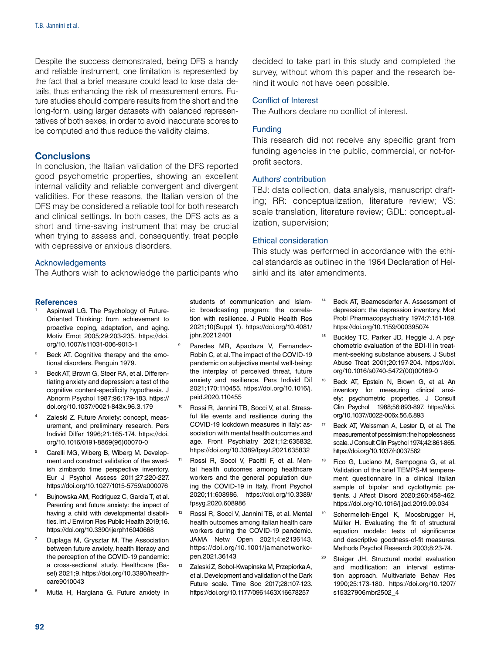Despite the success demonstrated, being DFS a handy and reliable instrument, one limitation is represented by the fact that a brief measure could lead to lose data details, thus enhancing the risk of measurement errors. Future studies should compare results from the short and the long-form, using larger datasets with balanced representatives of both sexes, in order to avoid inaccurate scores to be computed and thus reduce the validity claims.

#### **Conclusions**

In conclusion, the Italian validation of the DFS reported good psychometric properties, showing an excellent internal validity and reliable convergent and divergent validities. For these reasons, the Italian version of the DFS may be considered a reliable tool for both research and clinical settings. In both cases, the DFS acts as a short and time-saving instrument that may be crucial when trying to assess and, consequently, treat people with depressive or anxious disorders.

#### Acknowledgements

The Authors wish to acknowledge the participants who

#### References

- Aspinwall LG. The Psychology of Future-Oriented Thinking: from achievement to proactive coping, adaptation, and aging. Motiv Emot 2005;29:203-235. https://doi. org/10.1007/s11031-006-9013-1
- <sup>2</sup> Beck AT. Cognitive therapy and the emotional disorders. Penguin 1979.
- Beck AT, Brown G, Steer RA, et al. Differentiating anxiety and depression: a test of the cognitive content-specificity hypothesis. J Abnorm Psychol 1987;96:179-183. https:// doi.org/10.1037//0021-843x.96.3.179
- Zaleski Z. Future Anxiety: concept, measurement, and preliminary research. Pers Individ Differ 1996;21:165-174. https://doi. org/10.1016/0191-8869(96)00070-0
- <sup>5</sup> Carelli MG, Wiberg B, Wiberg M. Development and construct validation of the swedish zimbardo time perspective inventory. Eur J Psychol Assess 2011;27:220-227. https://doi.org/10.1027/1015-5759/a000076
- <sup>6</sup> Bujnowska AM, Rodriguez C, Garcia T, et al. Parenting and future anxiety: the impact of having a child with developmental disabilities. Int J Environ Res Public Health 2019;16. https://doi.org/10.3390/ijerph16040668
- Duplaga M, Grysztar M. The Association between future anxiety, health literacy and the perception of the COVID-19 pandemic: a cross-sectional study. Healthcare (Basel) 2021;9. https://doi.org/10.3390/healthcare9010043
- Mutia H, Hargiana G. Future anxiety in

students of communication and Islamic broadcasting program: the correlation with resilience. J Public Health Res 2021;10(Suppl 1). https://doi.org/10.4081/ jphr.2021.2401

- Paredes MR, Apaolaza V, Fernandez-Robin C, et al. The impact of the COVID-19 pandemic on subjective mental well-being: the interplay of perceived threat, future anxiety and resilience. Pers Individ Dif 2021;170:110455. https://doi.org/10.1016/j. paid.2020.110455
- <sup>10</sup> Rossi R, Jannini TB, Socci V, et al. Stressful life events and resilience during the COVID-19 lockdown measures in italy: association with mental health outcomes and age. Front Psychiatry 2021;12:635832. https://doi.org/10.3389/fpsyt.2021.635832
- Rossi R, Socci V, Pacitti F, et al. Mental health outcomes among healthcare workers and the general population during the COVID-19 in Italy. Front Psychol 2020;11:608986. https://doi.org/10.3389/ fpsyg.2020.608986
- <sup>12</sup> Rossi R, Socci V, Jannini TB, et al. Mental health outcomes among italian health care workers during the COVID-19 pandemic. JAMA Netw Open 2021;4:e2136143. https://doi.org/10.1001/jamanetworkopen.2021.36143
- <sup>13</sup> Zaleski Z, Sobol-Kwapinska M, Przepiorka A, et al. Development and validation of the Dark Future scale. Time Soc 2017;28:107-123. https://doi.org/10.1177/0961463X16678257

decided to take part in this study and completed the survey, without whom this paper and the research behind it would not have been possible.

#### Conflict of Interest

The Authors declare no conflict of interest.

#### Funding

This research did not receive any specific grant from funding agencies in the public, commercial, or not-forprofit sectors.

#### Authors' contribution

TBJ: data collection, data analysis, manuscript drafting; RR: conceptualization, literature review; VS: scale translation, literature review; GDL: conceptualization, supervision;

#### Ethical consideration

This study was performed in accordance with the ethical standards as outlined in the 1964 Declaration of Helsinki and its later amendments.

- Beck AT, Beamesderfer A. Assessment of depression: the depression inventory. Mod Probl Pharmacopsychiatry 1974;7:151-169. https://doi.org/10.1159/000395074
- <sup>15</sup> Buckley TC, Parker JD, Heggie J. A psychometric evaluation of the BDI-II in treatment-seeking substance abusers. J Subst Abuse Treat 2001;20:197-204. https://doi. org/10.1016/s0740-5472(00)00169-0
- <sup>16</sup> Beck AT, Epstein N, Brown G, et al. An inventory for measuring clinical anxiety: psychometric properties. J Consult Clin Psychol 1988;56:893-897. https://doi. org/10.1037//0022-006x.56.6.893
- <sup>17</sup> Beck AT, Weissman A, Lester D, et al. The measurement of pessimism: the hopelessness scale. J Consult Clin Psychol 1974;42:861-865. https://doi.org/10.1037/h0037562
- <sup>18</sup> Fico G, Luciano M, Sampogna G, et al. Validation of the brief TEMPS-M temperament questionnaire in a clinical Italian sample of bipolar and cyclothymic patients. J Affect Disord 2020;260:458-462. https://doi.org/10.1016/j.jad.2019.09.034
- <sup>19</sup> Schermelleh-Engel K, Moosbrugger H, Müller H. Evaluating the fit of structural equation models: tests of significance and descriptive goodness-of-fit measures. Methods Psychol Research 2003;8:23-74.
- <sup>20</sup> Steiger JH. Structural model evaluation and modification: an interval estimation approach. Multivariate Behav Res 1990;25:173-180. https://doi.org/10.1207/ s15327906mbr2502\_4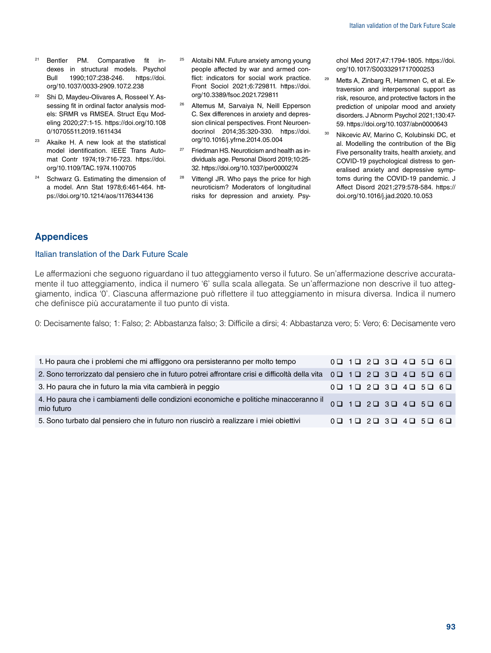- <sup>21</sup> Bentler PM. Comparative fit indexes in structural models. Psychol Bull 1990;107:238-246. https://doi. org/10.1037/0033-2909.107.2.238
- <sup>22</sup> Shi D, Maydeu-Olivares A, Rosseel Y. Assessing fit in ordinal factor analysis models: SRMR vs RMSEA. Struct Equ Modeling 2020;27:1-15. https://doi.org/10.108 0/10705511.2019.1611434
- <sup>23</sup> Akaike H. A new look at the statistical model identification. IEEE Trans Automat Contr 1974;19:716-723. https://doi. org/10.1109/TAC.1974.1100705
- <sup>24</sup> Schwarz G. Estimating the dimension of a model. Ann Stat 1978;6:461-464. https://doi.org/10.1214/aos/1176344136
- <sup>25</sup> Alotaibi NM. Future anxiety among young people affected by war and armed conflict: indicators for social work practice. Front Sociol 2021;6:729811. https://doi. org/10.3389/fsoc.2021.729811
- <sup>26</sup> Altemus M, Sarvaiya N, Neill Epperson C. Sex differences in anxiety and depression clinical perspectives. Front Neuroendocrinol 2014;35:320-330. https://doi. org/10.1016/j.yfrne.2014.05.004
- $27$  Friedman HS. Neuroticism and health as individuals age. Personal Disord 2019;10:25- 32. https://doi.org/10.1037/per0000274
- <sup>28</sup> Vittengl JR. Who pays the price for high neuroticism? Moderators of longitudinal risks for depression and anxiety. Psy-

chol Med 2017;47:1794-1805. https://doi. org/10.1017/S0033291717000253

- <sup>29</sup> Metts A, Zinbarg R, Hammen C, et al. Extraversion and interpersonal support as risk, resource, and protective factors in the prediction of unipolar mood and anxiety disorders. J Abnorm Psychol 2021;130:47- 59. https://doi.org/10.1037/abn0000643
- <sup>30</sup> Nikcevic AV, Marino C, Kolubinski DC, et al. Modelling the contribution of the Big Five personality traits, health anxiety, and COVID-19 psychological distress to generalised anxiety and depressive symptoms during the COVID-19 pandemic. J Affect Disord 2021;279:578-584. https:// doi.org/10.1016/j.jad.2020.10.053

# Appendices

#### Italian translation of the Dark Future Scale

Le affermazioni che seguono riguardano il tuo atteggiamento verso il futuro. Se un'affermazione descrive accuratamente il tuo atteggiamento, indica il numero '6' sulla scala allegata. Se un'affermazione non descrive il tuo atteggiamento, indica '0'. Ciascuna affermazione può riflettere il tuo atteggiamento in misura diversa. Indica il numero che definisce più accuratamente il tuo punto di vista.

0: Decisamente falso; 1: Falso; 2: Abbastanza falso; 3: Difficile a dirsi; 4: Abbastanza vero; 5: Vero; 6: Decisamente vero

| 1. Ho paura che i problemi che mi affliggono ora persisteranno per molto tempo                                                                                 |  | $0$ $\Box$ $1$ $\Box$ $2$ $\Box$ $3$ $\Box$ $4$ $\Box$ $5$ $\Box$ $6$ $\Box$               |  |  |
|----------------------------------------------------------------------------------------------------------------------------------------------------------------|--|--------------------------------------------------------------------------------------------|--|--|
| 2. Sono terrorizzato dal pensiero che in futuro potrei affrontare crisi e difficoltà della vita 0 $\Box$ 1 $\Box$ 2 $\Box$ 3 $\Box$ 4 $\Box$ 5 $\Box$ 6 $\Box$ |  |                                                                                            |  |  |
| 3. Ho paura che in futuro la mia vita cambierà in peggio                                                                                                       |  | $0$ <b>0</b> 1 <b>0</b> 2 <b>0</b> 3 <b>0</b> 4 <b>0</b> 5 <b>0</b> 6 <b>0</b>             |  |  |
| 4 Ho paura che i cambiamenti delle condizioni economiche e politiche minacceranno il 0 0 1 0 2 0 3 0 4 0 5 0 6 0<br>mio futuro                                 |  |                                                                                            |  |  |
| 5. Sono turbato dal pensiero che in futuro non riuscirò a realizzare i miei obiettivi                                                                          |  | $0$ <b>Q</b> $1$ <b>Q</b> $2$ <b>Q</b> $3$ <b>Q</b> $4$ <b>Q</b> $5$ <b>Q</b> $6$ <b>Q</b> |  |  |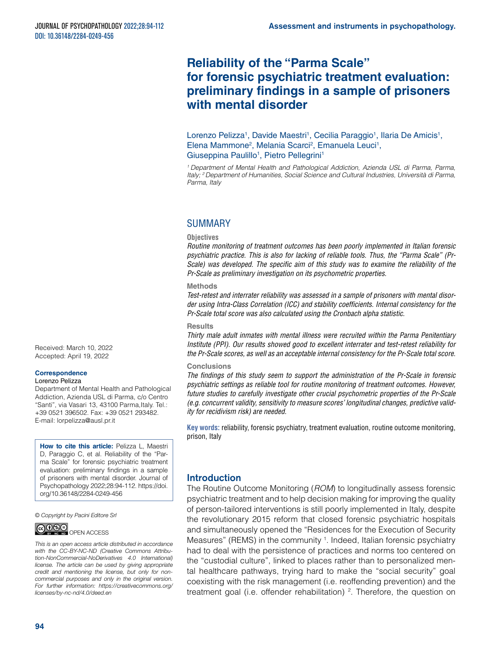# **Reliability of the "Parma Scale" for forensic psychiatric treatment evaluation: preliminary findings in a sample of prisoners with mental disorder**

Lorenzo Pelizza<sup>1</sup>, Davide Maestri<sup>1</sup>, Cecilia Paraggio<sup>1</sup>, Ilaria De Amicis<sup>1</sup>, Elena Mammone<sup>2</sup>, Melania Scarci<sup>2</sup>, Emanuela Leuci<sup>1</sup>, Giuseppina Paulillo<sup>1</sup>, Pietro Pellegrini<sup>1</sup>

*1 Department of Mental Health and Pathological Addiction, Azienda USL di Parma, Parma, Italy; 2 Department of Humanities, Social Science and Cultural Industries, Università di Parma, Parma, Italy*

# SUMMARY

#### **Objectives**

*Routine monitoring of treatment outcomes has been poorly implemented in Italian forensic psychiatric practice. This is also for lacking of reliable tools. Thus, the "Parma Scale" (Pr-Scale) was developed. The specific aim of this study was to examine the reliability of the Pr-Scale as preliminary investigation on its psychometric properties.* 

#### **Methods**

*Test-retest and interrater reliability was assessed in a sample of prisoners with mental disorder using Intra-Class Correlation (ICC) and stability coefficients. Internal consistency for the Pr-Scale total score was also calculated using the Cronbach alpha statistic.* 

#### **Results**

*Thirty male adult inmates with mental illness were recruited within the Parma Penitentiary Institute (PPI). Our results showed good to excellent interrater and test-retest reliability for the Pr-Scale scores, as well as an acceptable internal consistency for the Pr-Scale total score.* 

#### **Conclusions**

*The findings of this study seem to support the administration of the Pr-Scale in forensic psychiatric settings as reliable tool for routine monitoring of treatment outcomes. However, future studies to carefully investigate other crucial psychometric properties of the Pr-Scale (e.g. concurrent validity, sensitivity to measure scores' longitudinal changes, predictive validity for recidivism risk) are needed.*

**Key words:** reliability, forensic psychiatry, treatment evaluation, routine outcome monitoring, prison, Italy

# **Introduction**

The Routine Outcome Monitoring (*ROM*) to longitudinally assess forensic psychiatric treatment and to help decision making for improving the quality of person-tailored interventions is still poorly implemented in Italy, despite the revolutionary 2015 reform that closed forensic psychiatric hospitals and simultaneously opened the "Residences for the Execution of Security Measures" (REMS) in the community <sup>1</sup>. Indeed, Italian forensic psychiatry had to deal with the persistence of practices and norms too centered on the "custodial culture", linked to places rather than to personalized mental healthcare pathways, trying hard to make the "social security" goal coexisting with the risk management (i.e. reoffending prevention) and the treatment goal (i.e. offender rehabilitation) <sup>2</sup>. Therefore, the question on

Received: March 10, 2022 Accepted: April 19, 2022

#### **Correspondence**

#### Lorenzo Pelizza

Department of Mental Health and Pathological Addiction, Azienda USL di Parma, c/o Centro "Santi", via Vasari 13, 43100 Parma, Italy. Tel.: +39 0521 396502. Fax: +39 0521 293482. E-mail: [lorpelizza@ausl.pr.it](mailto:lorpelizza@ausl.pr.it)

**How to cite this article:** Pelizza L, Maestri D, Paraggio C, et al. Reliability of the "Parma Scale" for forensic psychiatric treatment evaluation: preliminary findings in a sample of prisoners with mental disorder. Journal of Psychopathology 2022;28:94-112. [https://doi.](https://doi.org/10.36148/2284-0249-443) [org/10.36148/2284-0249-4](https://doi.org/10.36148/2284-0249-443)56

*© Copyright by Pacini Editore Srl*



*This is an open access article distributed in accordance with the CC-BY-NC-ND (Creative Commons Attribution-NonCommercial-NoDerivatives 4.0 International) license. The article can be used by giving appropriate credit and mentioning the license, but only for noncommercial purposes and only in the original version. For further information: [https://creativecommons.org/](https://creativecommons.org/licenses/by-nc-nd/4.0/deed.en) [licenses/by-nc-nd/4.0/deed.en](https://creativecommons.org/licenses/by-nc-nd/4.0/deed.en)*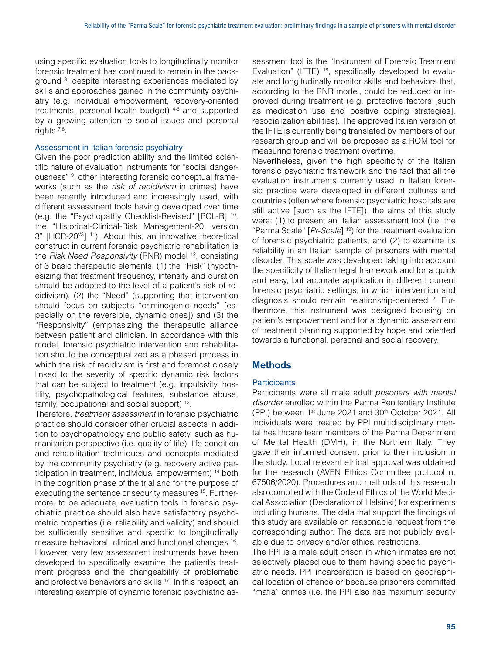using specific evaluation tools to longitudinally monitor forensic treatment has continued to remain in the background 3 , despite interesting experiences mediated by skills and approaches gained in the community psychiatry (e.g. individual empowerment, recovery-oriented treatments, personal health budget) 4-6 and supported by a growing attention to social issues and personal rights 7,8.

#### Assessment in Italian forensic psychiatry

Given the poor prediction ability and the limited scientific nature of evaluation instruments for "social dangerousness" <sup>9</sup>, other interesting forensic conceptual frameworks (such as the *risk of recidivism* in crimes) have been recently introduced and increasingly used, with different assessment tools having developed over time (e.g. the "Psychopathy Checklist-Revised" [PCL-R] 10, the "Historical-Clinical-Risk Management-20, version 3" [HCR-20<sup>v3</sup>] <sup>11</sup>). About this, an innovative theoretical construct in current forensic psychiatric rehabilitation is the *Risk Need Responsivity* (RNR) model <sup>12</sup>, consisting of 3 basic therapeutic elements: (1) the "Risk" (hypothesizing that treatment frequency, intensity and duration should be adapted to the level of a patient's risk of recidivism), (2) the "Need" (supporting that intervention should focus on subject's "criminogenic needs" [especially on the reversible, dynamic ones]) and (3) the "Responsivity" (emphasizing the therapeutic alliance between patient and clinician. In accordance with this model, forensic psychiatric intervention and rehabilitation should be conceptualized as a phased process in which the risk of recidivism is first and foremost closely linked to the severity of specific dynamic risk factors that can be subject to treatment (e.g. impulsivity, hostility, psychopathological features, substance abuse, family, occupational and social support) 13.

Therefore, *treatment assessment* in forensic psychiatric practice should consider other crucial aspects in addition to psychopathology and public safety, such as humanitarian perspective (i.e. quality of life), life condition and rehabilitation techniques and concepts mediated by the community psychiatry (e.g. recovery active participation in treatment, individual empowerment) 14 both in the cognition phase of the trial and for the purpose of executing the sentence or security measures <sup>15</sup>. Furthermore, to be adequate, evaluation tools in forensic psychiatric practice should also have satisfactory psychometric properties (i.e. reliability and validity) and should be sufficiently sensitive and specific to longitudinally measure behavioral, clinical and functional changes 16. However, very few assessment instruments have been developed to specifically examine the patient's treatment progress and the changeability of problematic and protective behaviors and skills 17. In this respect, an interesting example of dynamic forensic psychiatric assessment tool is the "Instrument of Forensic Treatment Evaluation" (IFTE) <sup>18</sup>, specifically developed to evaluate and longitudinally monitor skills and behaviors that, according to the RNR model, could be reduced or improved during treatment (e.g. protective factors [such as medication use and positive coping strategies], resocialization abilities). The approved Italian version of the IFTE is currently being translated by members of our research group and will be proposed as a ROM tool for measuring forensic treatment overtime.

Nevertheless, given the high specificity of the Italian forensic psychiatric framework and the fact that all the evaluation instruments currently used in Italian forensic practice were developed in different cultures and countries (often where forensic psychiatric hospitals are still active [such as the IFTE]), the aims of this study were: (1) to present an Italian assessment tool (i.e. the "Parma Scale" [*Pr-Scale*] 19) for the treatment evaluation of forensic psychiatric patients, and (2) to examine its reliability in an Italian sample of prisoners with mental disorder. This scale was developed taking into account the specificity of Italian legal framework and for a quick and easy, but accurate application in different current forensic psychiatric settings, in which intervention and diagnosis should remain relationship-centered <sup>2</sup>. Furthermore, this instrument was designed focusing on patient's empowerment and for a dynamic assessment of treatment planning supported by hope and oriented towards a functional, personal and social recovery.

# **Methods**

#### **Participants**

Participants were all male adult *prisoners with mental disorder* enrolled within the Parma Penitentiary Institute (PPI) between  $1<sup>st</sup>$  June 2021 and  $30<sup>th</sup>$  October 2021. All individuals were treated by PPI multidisciplinary mental healthcare team members of the Parma Department of Mental Health (DMH), in the Northern Italy. They gave their informed consent prior to their inclusion in the study. Local relevant ethical approval was obtained for the research (AVEN Ethics Committee protocol n. 67506/2020). Procedures and methods of this research also complied with the Code of Ethics of the World Medical Association (Declaration of Helsinki) for experiments including humans. The data that support the findings of this study are available on reasonable request from the corresponding author. The data are not publicly available due to privacy and/or ethical restrictions.

The PPI is a male adult prison in which inmates are not selectively placed due to them having specific psychiatric needs. PPI incarceration is based on geographical location of offence or because prisoners committed "mafia" crimes (i.e. the PPI also has maximum security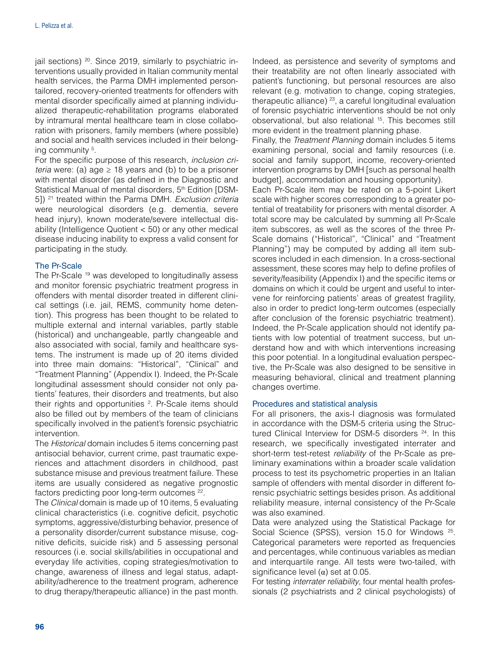jail sections)  $20$ . Since 2019, similarly to psychiatric interventions usually provided in Italian community mental health services, the Parma DMH implemented persontailored, recovery-oriented treatments for offenders with mental disorder specifically aimed at planning individualized therapeutic-rehabilitation programs elaborated by intramural mental healthcare team in close collaboration with prisoners, family members (where possible) and social and health services included in their belonging community<sup>5</sup>.

For the specific purpose of this research, *inclusion criteria* were: (a) age  $\geq$  18 years and (b) to be a prisoner with mental disorder (as defined in the Diagnostic and Statistical Manual of mental disorders, 5<sup>th</sup> Edition [DSM-5]) 21 treated within the Parma DMH. *Exclusion criteria* were neurological disorders (e.g. dementia, severe head injury), known moderate/severe intellectual disability (Intelligence Quotient < 50) or any other medical disease inducing inability to express a valid consent for participating in the study.

#### The Pr-Scale

The Pr-Scale <sup>19</sup> was developed to longitudinally assess and monitor forensic psychiatric treatment progress in offenders with mental disorder treated in different clinical settings (i.e. jail, REMS, community home detention). This progress has been thought to be related to multiple external and internal variables, partly stable (historical) and unchangeable, partly changeable and also associated with social, family and healthcare systems. The instrument is made up of 20 items divided into three main domains: "Historical", "Clinical" and "Treatment Planning" (Appendix I). Indeed, the Pr-Scale longitudinal assessment should consider not only patients' features, their disorders and treatments, but also their rights and opportunities <sup>2</sup>. Pr-Scale items should also be filled out by members of the team of clinicians specifically involved in the patient's forensic psychiatric intervention.

The *Historical* domain includes 5 items concerning past antisocial behavior, current crime, past traumatic experiences and attachment disorders in childhood, past substance misuse and previous treatment failure. These items are usually considered as negative prognostic factors predicting poor long-term outcomes 22.

The *Clinical* domain is made up of 10 items, 5 evaluating clinical characteristics (i.e. cognitive deficit, psychotic symptoms, aggressive/disturbing behavior, presence of a personality disorder/current substance misuse, cognitive deficits, suicide risk) and 5 assessing personal resources (i.e. social skills/abilities in occupational and everyday life activities, coping strategies/motivation to change, awareness of illness and legal status, adaptability/adherence to the treatment program, adherence to drug therapy/therapeutic alliance) in the past month.

Indeed, as persistence and severity of symptoms and their treatability are not often linearly associated with patient's functioning, but personal resources are also relevant (e.g. motivation to change, coping strategies, therapeutic alliance) 23, a careful longitudinal evaluation of forensic psychiatric interventions should be not only observational, but also relational 15. This becomes still more evident in the treatment planning phase.

Finally, the *Treatment Planning* domain includes 5 items examining personal, social and family resources (i.e. social and family support, income, recovery-oriented intervention programs by DMH [such as personal health budget], accommodation and housing opportunity).

Each Pr-Scale item may be rated on a 5-point Likert scale with higher scores corresponding to a greater potential of treatability for prisoners with mental disorder. A total score may be calculated by summing all Pr-Scale item subscores, as well as the scores of the three Pr-Scale domains ("Historical", "Clinical" and "Treatment Planning") may be computed by adding all item subscores included in each dimension. In a cross-sectional assessment, these scores may help to define profiles of severity/feasibility (Appendix I) and the specific items or domains on which it could be urgent and useful to intervene for reinforcing patients' areas of greatest fragility, also in order to predict long-term outcomes (especially after conclusion of the forensic psychiatric treatment). Indeed, the Pr-Scale application should not identify patients with low potential of treatment success, but understand how and with which interventions increasing this poor potential. In a longitudinal evaluation perspective, the Pr-Scale was also designed to be sensitive in measuring behavioral, clinical and treatment planning changes overtime.

#### Procedures and statistical analysis

For all prisoners, the axis-I diagnosis was formulated in accordance with the DSM-5 criteria using the Structured Clinical Interview for DSM-5 disorders <sup>24</sup>. In this research, we specifically investigated interrater and short-term test-retest *reliability* of the Pr-Scale as preliminary examinations within a broader scale validation process to test its psychometric properties in an Italian sample of offenders with mental disorder in different forensic psychiatric settings besides prison. As additional reliability measure, internal consistency of the Pr-Scale was also examined.

Data were analyzed using the Statistical Package for Social Science (SPSS), version 15.0 for Windows <sup>25</sup>. Categorical parameters were reported as frequencies and percentages, while continuous variables as median and interquartile range. All tests were two-tailed, with significance level  $(\alpha)$  set at 0.05.

For testing *interrater reliability*, four mental health professionals (2 psychiatrists and 2 clinical psychologists) of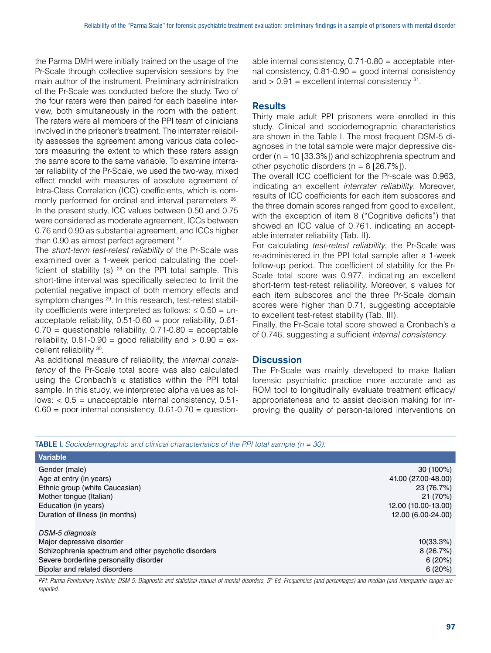the Parma DMH were initially trained on the usage of the Pr-Scale through collective supervision sessions by the main author of the instrument. Preliminary administration of the Pr-Scale was conducted before the study. Two of the four raters were then paired for each baseline interview, both simultaneously in the room with the patient. The raters were all members of the PPI team of clinicians involved in the prisoner's treatment. The interrater reliability assesses the agreement among various data collectors measuring the extent to which these raters assign the same score to the same variable. To examine interrater reliability of the Pr-Scale, we used the two-way, mixed effect model with measures of absolute agreement of Intra-Class Correlation (ICC) coefficients, which is commonly performed for ordinal and interval parameters  $26$ . In the present study, ICC values between 0.50 and 0.75 were considered as moderate agreement, ICCs between 0.76 and 0.90 as substantial agreement, and ICCs higher than 0.90 as almost perfect agreement <sup>27</sup>.

The *short-term test-retest reliability* of the Pr-Scale was examined over a 1-week period calculating the coefficient of stability (s)  $28$  on the PPI total sample. This short-time interval was specifically selected to limit the potential negative impact of both memory effects and symptom changes<sup>29</sup>. In this research, test-retest stability coefficients were interpreted as follows:  $\leq 0.50 =$  unacceptable reliability,  $0.51$ -0.60 = poor reliability, 0.61- $0.70$  = questionable reliability,  $0.71$ - $0.80$  = acceptable reliability,  $0.81-0.90 =$  good reliability and  $> 0.90 =$  excellent reliability 30.

As additional measure of reliability, the *internal consistency* of the Pr-Scale total score was also calculated using the Cronbach's  $α$  statistics within the PPI total sample. In this study, we interpreted alpha values as follows:  $< 0.5$  = unacceptable internal consistency,  $0.51$ - $0.60$  = poor internal consistency,  $0.61$ -0.70 = questionable internal consistency,  $0.71$ - $0.80$  = acceptable internal consistency,  $0.81-0.90$  = good internal consistency and  $> 0.91$  = excellent internal consistency  $31$ .

#### **Results**

Thirty male adult PPI prisoners were enrolled in this study. Clinical and sociodemographic characteristics are shown in the Table I. The most frequent DSM-5 diagnoses in the total sample were major depressive disorder ( $n = 10$  [33.3%]) and schizophrenia spectrum and other psychotic disorders ( $n = 8$  [26.7%]).

The overall ICC coefficient for the Pr-scale was 0.963, indicating an excellent *interrater reliability*. Moreover, results of ICC coefficients for each item subscores and the three domain scores ranged from good to excellent, with the exception of item 8 ("Cognitive deficits") that showed an ICC value of 0.761, indicating an acceptable interrater reliability (Tab. II).

For calculating *test-retest reliability*, the Pr-Scale was re-administered in the PPI total sample after a 1-week follow-up period. The coefficient of stability for the Pr-Scale total score was 0.977, indicating an excellent short-term test-retest reliability. Moreover, s values for each item subscores and the three Pr-Scale domain scores were higher than 0.71, suggesting acceptable to excellent test-retest stability (Tab. III).

Finally, the Pr-Scale total score showed a Cronbach's  $\alpha$ of 0.746, suggesting a sufficient *internal consistency*.

#### **Discussion**

The Pr-Scale was mainly developed to make Italian forensic psychiatric practice more accurate and as ROM tool to longitudinally evaluate treatment efficacy/ appropriateness and to assist decision making for improving the quality of person-tailored interventions on

| <b>TABLE I.</b> Sociodemographic and clinical characteristics of the PPI total sample (n = 30). |  |  |
|-------------------------------------------------------------------------------------------------|--|--|
|-------------------------------------------------------------------------------------------------|--|--|

| <b>Variable</b>                                      |                     |
|------------------------------------------------------|---------------------|
| Gender (male)                                        | $30(100\%)$         |
| Age at entry (in years)                              | 41.00 (27.00-48.00) |
| Ethnic group (white Caucasian)                       | 23 (76.7%)          |
| Mother tongue (Italian)                              | 21(70%)             |
| Education (in years)                                 | 12.00 (10.00-13.00) |
| Duration of illness (in months)                      | 12.00 (6.00-24.00)  |
| DSM-5 diagnosis                                      |                     |
| Major depressive disorder                            | 10(33.3%)           |
| Schizophrenia spectrum and other psychotic disorders | 8(26.7%)            |
| Severe borderline personality disorder               | 6(20%)              |
| Bipolar and related disorders                        | 6(20%)              |

*PPI: Parma Penitentiary Institute; DSM-5: Diagnostic and statistical manual of mental disorders, 5th Ed. Frequencies (and percentages) and median (and interquartile range) are reported.*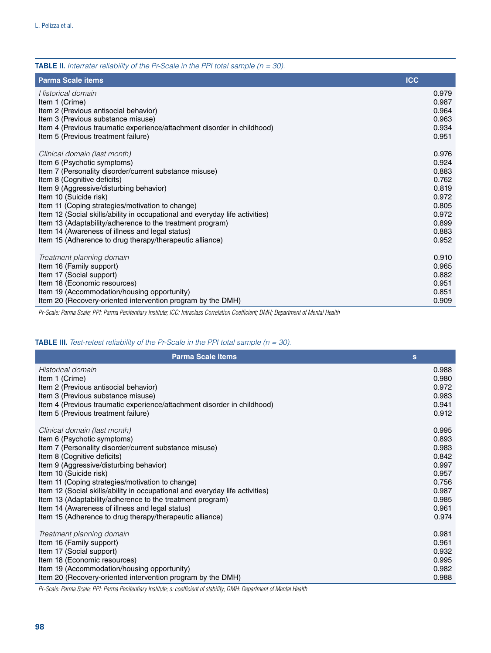| <b>TABLE II.</b> Interrater reliability of the Pr-Scale in the PPI total sample $(n = 30)$ .                |                |
|-------------------------------------------------------------------------------------------------------------|----------------|
| <b>Parma Scale items</b>                                                                                    | <b>ICC</b>     |
| Historical domain                                                                                           | 0.979          |
| Item 1 (Crime)                                                                                              | 0.987          |
| Item 2 (Previous antisocial behavior)                                                                       | 0.964          |
| Item 3 (Previous substance misuse)                                                                          | 0.963          |
| Item 4 (Previous traumatic experience/attachment disorder in childhood)                                     | 0.934          |
| Item 5 (Previous treatment failure)                                                                         | 0.951          |
| Clinical domain (last month)                                                                                | 0.976          |
| Item 6 (Psychotic symptoms)                                                                                 | 0.924          |
| Item 7 (Personality disorder/current substance misuse)                                                      | 0.883          |
| Item 8 (Cognitive deficits)                                                                                 | 0.762          |
| Item 9 (Aggressive/disturbing behavior)                                                                     | 0.819          |
| Item 10 (Suicide risk)                                                                                      | 0.972          |
| Item 11 (Coping strategies/motivation to change)                                                            | 0.805          |
| Item 12 (Social skills/ability in occupational and everyday life activities)                                | 0.972          |
| Item 13 (Adaptability/adherence to the treatment program)                                                   | 0.899          |
| Item 14 (Awareness of illness and legal status)<br>Item 15 (Adherence to drug therapy/therapeutic alliance) | 0.883<br>0.952 |
|                                                                                                             |                |
| Treatment planning domain                                                                                   | 0.910          |
| Item 16 (Family support)                                                                                    | 0.965          |
| Item 17 (Social support)                                                                                    | 0.882          |
| Item 18 (Economic resources)                                                                                | 0.951          |
| Item 19 (Accommodation/housing opportunity)                                                                 | 0.851          |
| Item 20 (Recovery-oriented intervention program by the DMH)                                                 | 0.909          |

*Pr-Scale: Parma Scale; PPI: Parma Penitentiary Institute; ICC: Intraclass Correlation Coefficient; DMH; Department of Mental Health*

# TABLE III. *Test-retest reliability of the Pr-Scale in the PPI total sample (n = 30).*

| <b>Parma Scale items</b>                                                                                                         | s              |
|----------------------------------------------------------------------------------------------------------------------------------|----------------|
| Historical domain                                                                                                                | 0.988          |
| Item 1 (Crime)                                                                                                                   | 0.980          |
| Item 2 (Previous antisocial behavior)                                                                                            | 0.972          |
| Item 3 (Previous substance misuse)                                                                                               | 0.983          |
| Item 4 (Previous traumatic experience/attachment disorder in childhood)                                                          | 0.941          |
| Item 5 (Previous treatment failure)                                                                                              | 0.912          |
| Clinical domain (last month)                                                                                                     | 0.995          |
| Item 6 (Psychotic symptoms)                                                                                                      | 0.893          |
| Item 7 (Personality disorder/current substance misuse)                                                                           | 0.983          |
| Item 8 (Cognitive deficits)                                                                                                      | 0.842          |
| Item 9 (Aggressive/disturbing behavior)                                                                                          | 0.997          |
| Item 10 (Suicide risk)                                                                                                           | 0.957          |
| Item 11 (Coping strategies/motivation to change)<br>Item 12 (Social skills/ability in occupational and everyday life activities) | 0.756<br>0.987 |
| Item 13 (Adaptability/adherence to the treatment program)                                                                        | 0.985          |
| Item 14 (Awareness of illness and legal status)                                                                                  | 0.961          |
| Item 15 (Adherence to drug therapy/therapeutic alliance)                                                                         | 0.974          |
|                                                                                                                                  |                |
| Treatment planning domain                                                                                                        | 0.981          |
| Item 16 (Family support)                                                                                                         | 0.961          |
| Item 17 (Social support)                                                                                                         | 0.932          |
| Item 18 (Economic resources)                                                                                                     | 0.995          |
| Item 19 (Accommodation/housing opportunity)                                                                                      | 0.982          |
| Item 20 (Recovery-oriented intervention program by the DMH)                                                                      | 0.988          |

*Pr-Scale: Parma Scale; PPI: Parma Penitentiary Institute; s: coefficient of stability; DMH: Department of Mental Health*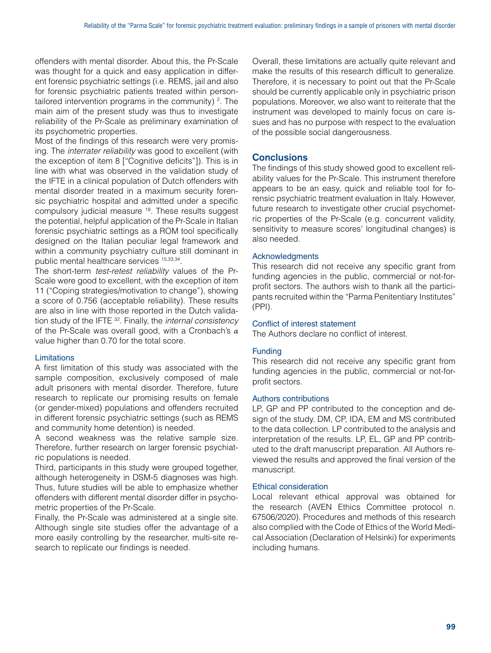offenders with mental disorder. About this, the Pr-Scale was thought for a quick and easy application in different forensic psychiatric settings (i.e. REMS, jail and also for forensic psychiatric patients treated within persontailored intervention programs in the community) <sup>2</sup>. The main aim of the present study was thus to investigate reliability of the Pr-Scale as preliminary examination of its psychometric properties.

Most of the findings of this research were very promising. The *interrater reliability* was good to excellent (with the exception of item 8 ["Cognitive deficits"]). This is in line with what was observed in the validation study of the IFTE in a clinical population of Dutch offenders with mental disorder treated in a maximum security forensic psychiatric hospital and admitted under a specific compulsory judicial measure 18. These results suggest the potential, helpful application of the Pr-Scale in Italian forensic psychiatric settings as a ROM tool specifically designed on the Italian peculiar legal framework and within a community psychiatry culture still dominant in public mental healthcare services 15,33,34.

The short-term *test-retest reliability* values of the Pr-Scale were good to excellent, with the exception of item 11 ("Coping strategies/motivation to change"), showing a score of 0.756 (acceptable reliability). These results are also in line with those reported in the Dutch validation study of the IFTE 32. Finally, the *internal consistency* of the Pr-Scale was overall good, with a Cronbach's *α*  value higher than 0.70 for the total score.

#### Limitations

A first limitation of this study was associated with the sample composition, exclusively composed of male adult prisoners with mental disorder. Therefore, future research to replicate our promising results on female (or gender-mixed) populations and offenders recruited in different forensic psychiatric settings (such as REMS and community home detention) is needed.

A second weakness was the relative sample size. Therefore, further research on larger forensic psychiatric populations is needed.

Third, participants in this study were grouped together, although heterogeneity in DSM-5 diagnoses was high. Thus, future studies will be able to emphasize whether offenders with different mental disorder differ in psychometric properties of the Pr-Scale.

Finally, the Pr-Scale was administered at a single site. Although single site studies offer the advantage of a more easily controlling by the researcher, multi-site research to replicate our findings is needed.

Overall, these limitations are actually quite relevant and make the results of this research difficult to generalize. Therefore, it is necessary to point out that the Pr-Scale should be currently applicable only in psychiatric prison populations. Moreover, we also want to reiterate that the instrument was developed to mainly focus on care issues and has no purpose with respect to the evaluation of the possible social dangerousness.

# **Conclusions**

The findings of this study showed good to excellent reliability values for the Pr-Scale. This instrument therefore appears to be an easy, quick and reliable tool for forensic psychiatric treatment evaluation in Italy. However, future research to investigate other crucial psychometric properties of the Pr-Scale (e.g. concurrent validity, sensitivity to measure scores' longitudinal changes) is also needed.

#### Acknowledgments

This research did not receive any specific grant from funding agencies in the public, commercial or not-forprofit sectors. The authors wish to thank all the participants recruited within the "Parma Penitentiary Institutes" (PPI).

#### Conflict of interest statement

The Authors declare no conflict of interest.

#### Funding

This research did not receive any specific grant from funding agencies in the public, commercial or not-forprofit sectors.

#### Authors contributions

LP, GP and PP contributed to the conception and design of the study. DM, CP, IDA, EM and MS contributed to the data collection. LP contributed to the analysis and interpretation of the results. LP, EL, GP and PP contributed to the draft manuscript preparation. All Authors reviewed the results and approved the final version of the manuscript.

#### Ethical consideration

Local relevant ethical approval was obtained for the research (AVEN Ethics Committee protocol n. 67506/2020). Procedures and methods of this research also complied with the Code of Ethics of the World Medical Association (Declaration of Helsinki) for experiments including humans.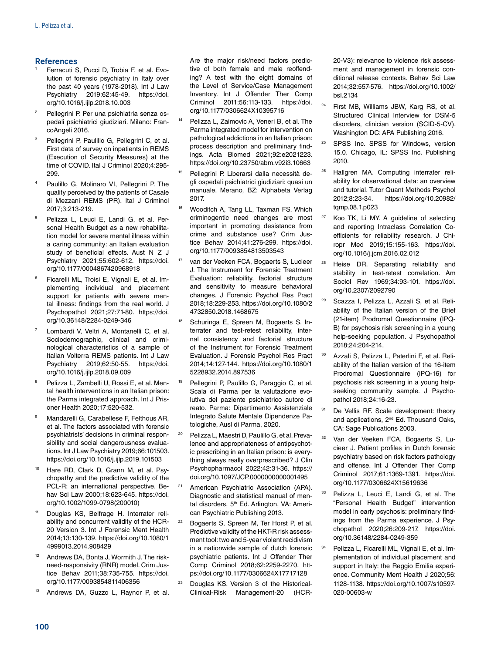#### **References**

- <sup>1</sup> Ferracuti S, Pucci D, Trobia F, et al. Evolution of forensic psychiatry in Italy over the past 40 years (1978-2018). Int J Law Psychiatry 2019;62:45-49. [https://doi.](https://doi.org/10.1016/j.ijlp.2018.10.003) [org/10.1016/j.ijlp.2018.10.003](https://doi.org/10.1016/j.ijlp.2018.10.003)
- <sup>2</sup> Pellegrini P. Per una psichiatria senza ospedali psichiatrici giudiziari. Milano: FrancoAngeli 2016.
- Pellegrini P, Paulillo G, Pellegrini C, et al. First data of survey on inpatients in REMS (Execution of Security Measures) at the time of COVID. Ital J Criminol 2020;4:295- 299.
- Paulillo G, Molinaro VI, Pellegrini P. The quality perceived by the patients of Casale di Mezzani REMS (PR). Ital J Criminol 2017;3:213-219.
- <sup>5</sup> Pelizza L, Leuci E, Landi G, et al. Personal Health Budget as a new rehabilitation model for severe mental illness within a caring community: an Italian evaluation study of beneficial effects. Aust N Z J Psychiatry 2021;55:602-612. [https://doi.](https://doi.org/10.1177/0004867420968918) [org/10.1177/0004867420968918](https://doi.org/10.1177/0004867420968918)
- <sup>6</sup> Ficarelli ML, Troisi E, Vignali E, et al. Implementing individual and placement support for patients with severe mental illness: findings from the real world. J Psychopathol 2021;27:71-80. [https://doi.](https://doi.org/10.36148/2284-0249-346) [org/10.36148/2284-0249-346](https://doi.org/10.36148/2284-0249-346)
- Lombardi V, Veltri A, Montanelli C, et al. Sociodemographic, clinical and criminological characteristics of a sample of Italian Volterra REMS patients. Int J Law Psychiatry 2019;62:50-55. [https://doi.](https://doi.org/10.1016/j.ijlp.2018.09.009) [org/10.1016/j.ijlp.2018.09.009](https://doi.org/10.1016/j.ijlp.2018.09.009)
- Pelizza L, Zambelli U, Rossi E, et al. Mental health interventions in an Italian prison: the Parma integrated approach. Int J Prisoner Health 2020;17:520-532.
- <sup>9</sup> Mandarelli G, Carabellese F, Felthous AR, et al. The factors associated with forensic psychiatrists' decisions in criminal responsibility and social dangerousness evaluations. Int J Law Psychiatry 2019;66:101503. <https://doi.org/10.1016/j.ijlp.2019.101503>
- Hare RD, Clark D, Grann M, et al. Psychopathy and the predictive validity of the PCL-R: an international perspective. Behav Sci Law 2000;18:623-645. [https://doi.](https://doi.org/10.1002/1099-0798(200010) [org/10.1002/1099-0798\(200010\)](https://doi.org/10.1002/1099-0798(200010)
- <sup>11</sup> Douglas KS, Belfrage H. Interrater reliability and concurrent validity of the HCR-20 Version 3. Int J Forensic Ment Health 2014;13:130-139. [https://doi.org/10.1080/1](https://doi.org/10.1080/14999013.2014.908429) [4999013.2014.908429](https://doi.org/10.1080/14999013.2014.908429)
- Andrews DA, Bonta J, Wormith J. The riskneed-responsivity (RNR) model. Crim Justice Behav 2011;38:735-755. [https://doi.](https://doi.org/10.1177/0093854811406356) [org/10.1177/0093854811406356](https://doi.org/10.1177/0093854811406356)
- Andrews DA, Guzzo L, Raynor P, et al.

Are the major risk/need factors predictive of both female and male reoffending? A test with the eight domains of the Level of Service/Case Management Inventory. Int J Offender Ther Comp Criminol 2011;56:113-133. [https://doi.](https://doi.org/10.1177/0306624X10395716) [org/10.1177/0306624X10395716](https://doi.org/10.1177/0306624X10395716)

- Pelizza L, Zaimovic A, Veneri B, et al. The Parma integrated model for intervention on pathological addictions in an Italian prison: process description and preliminary findings. Acta Biomed 2021;92:e2021223. <https://doi.org/10.23750/abm.v92i3.10663>
- Pellegrini P. Liberarsi dalla necessità degli ospedali psichiatrici giudiziari: quasi un manuale. Merano, BZ: Alphabeta Verlag 2017.
- Wooditch A, Tang LL, Taxman FS. Which criminogentic need changes are most important in promoting desistance from crime and substance use? Crim Justice Behav 2014;41:276-299. [https://doi.](https://doi.org/10.1177/0093854813503543) [org/10.1177/0093854813503543](https://doi.org/10.1177/0093854813503543)
- van der Veeken FCA, Bogaerts S, Lucieer J. The Instrument for Forensic Treatment Evaluation: reliability, factorial structure and sensitivity to measure behavioral changes. J Forensic Psychol Res Pract 2018;18:229-253. [https://doi.org/10.1080/2](https://doi.org/10.1080/24732850.2018.1468675) [4732850.2018.1468675](https://doi.org/10.1080/24732850.2018.1468675)
- Schuringa E, Spreen M, Bogaerts S. Interrater and test-retest reliability, internal consistency and factorial structure of the Instrument for Forensic Treatment Evaluation. J Forensic Psychol Res Pract 2014;14:127-144. [https://doi.org/10.1080/1](https://doi.org/10.1080/15228932.2014.897536) [5228932.2014.897536](https://doi.org/10.1080/15228932.2014.897536)
- Pellegrini P, Paulillo G, Paraggio C, et al. Scala di Parma per la valutazione evolutiva del paziente psichiatrico autore di reato. Parma: Dipartimento Assistenziale Integrato Salute Mentale Dipendenze Patologiche, Ausl di Parma, 2020.
- <sup>20</sup> Pelizza L, Maestri D, Paulillo G, et al. Prevalence and appropriateness of antipsychotic prescribing in an Italian prison: is everything always really overprescribed? J Clin Psychopharmacol 2022;42:31-36. [https://](https://doi.org/10.1097/JCP.0000000000001495) [doi.org/10.1097/JCP.0000000000001495](https://doi.org/10.1097/JCP.0000000000001495)
- <sup>21</sup> American Psychiatric Association (APA). Diagnostic and statistical manual of mental disorders, 5<sup>th</sup> Ed. Arlington, VA: American Psychiatric Publishing 2013.
- <sup>22</sup> Bogaerts S, Spreen M, Ter Horst P, et al. Predictive validity of the HKT-R risk assessment tool: two and 5-year violent recidivism in a nationwide sample of dutch forensic psychiatric patients. Int J Offender Ther Comp Criminol 2018;62:2259-2270. [htt](https://doi.org/10.1177/0306624X17717128)[ps://doi.org/10.1177/0306624X17717128](https://doi.org/10.1177/0306624X17717128)
- <sup>23</sup> Douglas KS. Version 3 of the Historical-Clinical-Risk Management-20 (HCR-

20-V3): relevance to violence risk assessment and management in forensic conditional release contexts. Behav Sci Law 2014;32:557-576. [https://doi.org/10.1002/](https://doi.org/10.1002/bsl.2134) [bsl.2134](https://doi.org/10.1002/bsl.2134)

- <sup>24</sup> First MB, Williams JBW, Karg RS, et al. Structured Clinical Interview for DSM-5 disorders, clinician version (SCID-5-CV). Washington DC: APA Publishing 2016.
- <sup>25</sup> SPSS Inc. SPSS for Windows, version 15.0. Chicago, IL: SPSS Inc. Publishing 2010.
- <sup>26</sup> Hallgren MA. Computing interrater reliability for observational data: an overview and tutorial. Tutor Quant Methods Psychol 2012;8:23-34. [https://doi.org/10.20982/](https://doi.org/10.20982/tqmp.08.1.p023) [tqmp.08.1.p023](https://doi.org/10.20982/tqmp.08.1.p023)
- <sup>27</sup> Koo TK, Li MY. A guideline of selecting and reporting Intraclass Correlation Coefficients for reliability research. J Chiropr Med 2019;15:155-163. [https://doi.](https://doi.org/10.1016/j.jcm.2016.02.012) [org/10.1016/j.jcm.2016.02.012](https://doi.org/10.1016/j.jcm.2016.02.012)
- <sup>28</sup> Heise DR. Separating reliability and stability in test-retest correlation. Am Sociol Rev 1969;34:93-101. [https://doi.](https://doi.org/10.2307/2092790) [org/10.2307/2092790](https://doi.org/10.2307/2092790)
- Scazza I, Pelizza L, Azzali S, et al. Reliability of the Italian version of the Brief (21-item) Prodromal Questionnaire (IPQ-B) for psychosis risk screening in a young help-seeking population. J Psychopathol 2018;24:204-214.
- <sup>30</sup> Azzali S, Pelizza L, Paterlini F, et al. Reliability of the Italian version of the 16-item Prodromal Questionnaire (iPQ-16) for psychosis risk screening in a young helpseeking community sample. J Psychopathol 2018;24:16-23.
- De Vellis RF. Scale development: theory and applications, 2<sup>nd</sup> Ed. Thousand Oaks, CA: Sage Publications 2003.
- <sup>32</sup> Van der Veeken FCA, Bogaerts S, Lucieer J. Patient profiles in Dutch forensic psychiatry based on risk factors pathology and offense. Int J Offender Ther Comp Criminol 2017;61:1369-1391. [https://doi.](https://doi.org/10.1177/0306624X15619636) [org/10.1177/0306624X15619636](https://doi.org/10.1177/0306624X15619636)
- <sup>33</sup> Pelizza L, Leuci E, Landi G, et al. The "Personal Health Budget" intervention model in early psychosis: preliminary findings from the Parma experience. J Psychopathol 2020;26:209-217. [https://doi.](https://doi.org/10.36148/2284-0249-359) [org/10.36148/2284-0249-359](https://doi.org/10.36148/2284-0249-359)
- <sup>34</sup> Pelizza L, Ficarelli ML, Vignali E, et al. Implementation of individual placement and support in Italy: the Reggio Emilia experience. Community Ment Health J 2020;56: 1128-1138. [https://doi.org/10.1007/s10597-](https://doi.org/10.1007/s10597-020-00603-w) [020-00603-w](https://doi.org/10.1007/s10597-020-00603-w)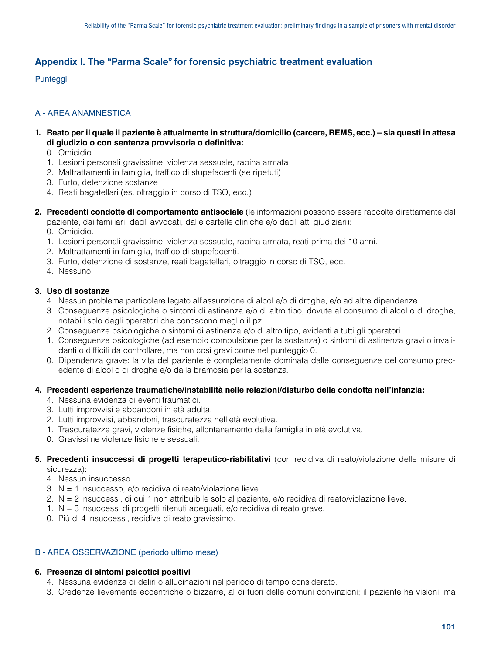# Appendix I. The "Parma Scale" for forensic psychiatric treatment evaluation

# Punteggi

# A - AREA ANAMNESTICA

- **1. Reato per il quale il paziente è attualmente in struttura/domicilio (carcere, REMS, ecc.) sia questi in attesa di giudizio o con sentenza provvisoria o definitiva:**
	- 0. Omicidio
	- 1. Lesioni personali gravissime, violenza sessuale, rapina armata
	- 2. Maltrattamenti in famiglia, traffico di stupefacenti (se ripetuti)
	- 3. Furto, detenzione sostanze
	- 4. Reati bagatellari (es. oltraggio in corso di TSO, ecc.)
- **2. Precedenti condotte di comportamento antisociale** (le informazioni possono essere raccolte direttamente dal paziente, dai familiari, dagli avvocati, dalle cartelle cliniche e/o dagli atti giudiziari):
	- 0. Omicidio.
	- 1. Lesioni personali gravissime, violenza sessuale, rapina armata, reati prima dei 10 anni.
	- 2. Maltrattamenti in famiglia, traffico di stupefacenti.
	- 3. Furto, detenzione di sostanze, reati bagatellari, oltraggio in corso di TSO, ecc.
	- 4. Nessuno.

# **3. Uso di sostanze**

- 4. Nessun problema particolare legato all'assunzione di alcol e/o di droghe, e/o ad altre dipendenze.
- 3. Conseguenze psicologiche o sintomi di astinenza e/o di altro tipo, dovute al consumo di alcol o di droghe, notabili solo dagli operatori che conoscono meglio il pz.
- 2. Conseguenze psicologiche o sintomi di astinenza e/o di altro tipo, evidenti a tutti gli operatori.
- 1. Conseguenze psicologiche (ad esempio compulsione per la sostanza) o sintomi di astinenza gravi o invalidanti o difficili da controllare, ma non così gravi come nel punteggio 0.
- 0. Dipendenza grave: la vita del paziente è completamente dominata dalle conseguenze del consumo precedente di alcol o di droghe e/o dalla bramosia per la sostanza.

#### **4. Precedenti esperienze traumatiche/instabilità nelle relazioni/disturbo della condotta nell'infanzia:**

- 4. Nessuna evidenza di eventi traumatici.
- 3. Lutti improvvisi e abbandoni in età adulta.
- 2. Lutti improvvisi, abbandoni, trascuratezza nell'età evolutiva.
- 1. Trascuratezze gravi, violenze fisiche, allontanamento dalla famiglia in età evolutiva.
- 0. Gravissime violenze fisiche e sessuali.

#### **5. Precedenti insuccessi di progetti terapeutico-riabilitativi** (con recidiva di reato/violazione delle misure di sicurezza):

- 4. Nessun insuccesso.
- 3. N = 1 insuccesso, e/o recidiva di reato/violazione lieve.
- 2. N = 2 insuccessi, di cui 1 non attribuibile solo al paziente, e/o recidiva di reato/violazione lieve.
- 1. N = 3 insuccessi di progetti ritenuti adeguati, e/o recidiva di reato grave.
- 0. Più di 4 insuccessi, recidiva di reato gravissimo.

# B - AREA OSSERVAZIONE (periodo ultimo mese)

# **6. Presenza di sintomi psicotici positivi**

- 4. Nessuna evidenza di deliri o allucinazioni nel periodo di tempo considerato.
- 3. Credenze lievemente eccentriche o bizzarre, al di fuori delle comuni convinzioni; il paziente ha visioni, ma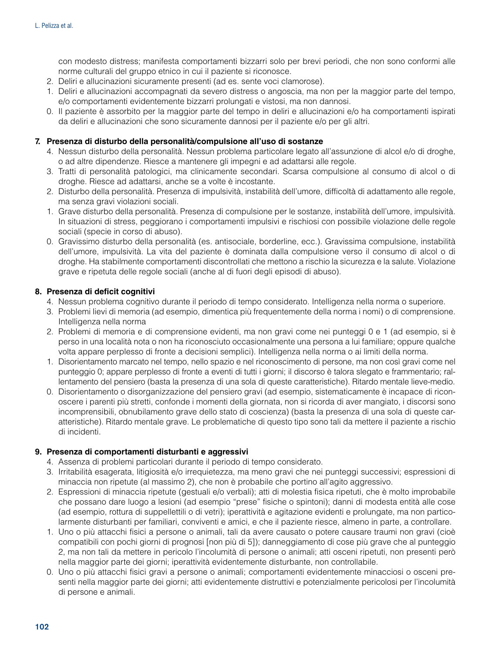con modesto distress; manifesta comportamenti bizzarri solo per brevi periodi, che non sono conformi alle norme culturali del gruppo etnico in cui il paziente si riconosce.

- 2. Deliri e allucinazioni sicuramente presenti (ad es. sente voci clamorose).
- 1. Deliri e allucinazioni accompagnati da severo distress o angoscia, ma non per la maggior parte del tempo, e/o comportamenti evidentemente bizzarri prolungati e vistosi, ma non dannosi.
- 0. Il paziente è assorbito per la maggior parte del tempo in deliri e allucinazioni e/o ha comportamenti ispirati da deliri e allucinazioni che sono sicuramente dannosi per il paziente e/o per gli altri.

# **7. Presenza di disturbo della personalità/compulsione all'uso di sostanze**

- 4. Nessun disturbo della personalità. Nessun problema particolare legato all'assunzione di alcol e/o di droghe, o ad altre dipendenze. Riesce a mantenere gli impegni e ad adattarsi alle regole.
- 3. Tratti di personalità patologici, ma clinicamente secondari. Scarsa compulsione al consumo di alcol o di droghe. Riesce ad adattarsi, anche se a volte è incostante.
- 2. Disturbo della personalità. Presenza di impulsività, instabilità dell'umore, difficoltà di adattamento alle regole, ma senza gravi violazioni sociali.
- 1. Grave disturbo della personalità. Presenza di compulsione per le sostanze, instabilità dell'umore, impulsività. In situazioni di stress, peggiorano i comportamenti impulsivi e rischiosi con possibile violazione delle regole sociali (specie in corso di abuso).
- 0. Gravissimo disturbo della personalità (es. antisociale, borderline, ecc.). Gravissima compulsione, instabilità dell'umore, impulsività. La vita del paziente è dominata dalla compulsione verso il consumo di alcol o di droghe. Ha stabilmente comportamenti discontrollati che mettono a rischio la sicurezza e la salute. Violazione grave e ripetuta delle regole sociali (anche al di fuori degli episodi di abuso).

# **8. Presenza di deficit cognitivi**

- 4. Nessun problema cognitivo durante il periodo di tempo considerato. Intelligenza nella norma o superiore.
- 3. Problemi lievi di memoria (ad esempio, dimentica più frequentemente della norma i nomi) o di comprensione. Intelligenza nella norma
- 2. Problemi di memoria e di comprensione evidenti, ma non gravi come nei punteggi 0 e 1 (ad esempio, si è perso in una località nota o non ha riconosciuto occasionalmente una persona a lui familiare; oppure qualche volta appare perplesso di fronte a decisioni semplici). Intelligenza nella norma o ai limiti della norma.
- 1. Disorientamento marcato nel tempo, nello spazio e nel riconoscimento di persone, ma non così gravi come nel punteggio 0; appare perplesso di fronte a eventi di tutti i giorni; il discorso è talora slegato e frammentario; rallentamento del pensiero (basta la presenza di una sola di queste caratteristiche). Ritardo mentale lieve-medio.
- 0. Disorientamento o disorganizzazione del pensiero gravi (ad esempio, sistematicamente è incapace di riconoscere i parenti più stretti, confonde i momenti della giornata, non si ricorda di aver mangiato, i discorsi sono incomprensibili, obnubilamento grave dello stato di coscienza) (basta la presenza di una sola di queste caratteristiche). Ritardo mentale grave. Le problematiche di questo tipo sono tali da mettere il paziente a rischio di incidenti.

#### **9. Presenza di comportamenti disturbanti e aggressivi**

- 4. Assenza di problemi particolari durante il periodo di tempo considerato.
- 3. Irritabilità esagerata, litigiosità e/o irrequietezza, ma meno gravi che nei punteggi successivi; espressioni di minaccia non ripetute (al massimo 2), che non è probabile che portino all'agito aggressivo.
- 2. Espressioni di minaccia ripetute (gestuali e/o verbali); atti di molestia fisica ripetuti, che è molto improbabile che possano dare luogo a lesioni (ad esempio "prese" fisiche o spintoni); danni di modesta entità alle cose (ad esempio, rottura di suppellettili o di vetri); iperattività e agitazione evidenti e prolungate, ma non particolarmente disturbanti per familiari, conviventi e amici, e che il paziente riesce, almeno in parte, a controllare.
- 1. Uno o più attacchi fisici a persone o animali, tali da avere causato o potere causare traumi non gravi (cioè compatibili con pochi giorni di prognosi [non più di 5]); danneggiamento di cose più grave che al punteggio 2, ma non tali da mettere in pericolo l'incolumità di persone o animali; atti osceni ripetuti, non presenti però nella maggior parte dei giorni; iperattività evidentemente disturbante, non controllabile.
- 0. Uno o più attacchi fisici gravi a persone o animali; comportamenti evidentemente minacciosi o osceni presenti nella maggior parte dei giorni; atti evidentemente distruttivi e potenzialmente pericolosi per l'incolumità di persone e animali.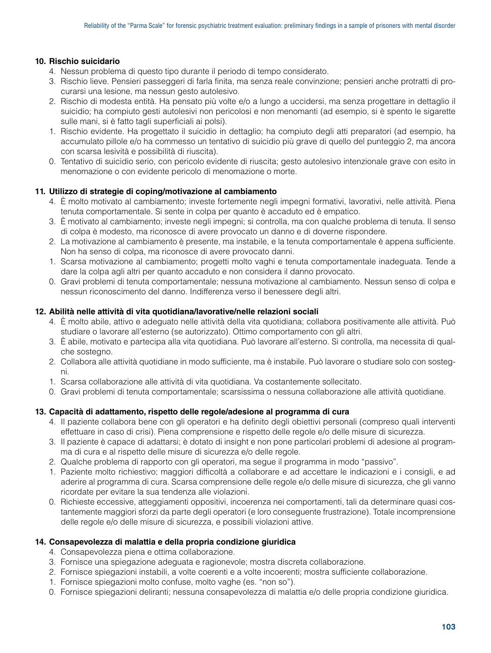# **10. Rischio suicidario**

- 4. Nessun problema di questo tipo durante il periodo di tempo considerato.
- 3. Rischio lieve. Pensieri passeggeri di farla finita, ma senza reale convinzione; pensieri anche protratti di procurarsi una lesione, ma nessun gesto autolesivo.
- 2. Rischio di modesta entità. Ha pensato più volte e/o a lungo a uccidersi, ma senza progettare in dettaglio il suicidio; ha compiuto gesti autolesivi non pericolosi e non menomanti (ad esempio, si è spento le sigarette sulle mani, si è fatto tagli superficiali ai polsi).
- 1. Rischio evidente. Ha progettato il suicidio in dettaglio; ha compiuto degli atti preparatori (ad esempio, ha accumulato pillole e/o ha commesso un tentativo di suicidio più grave di quello del punteggio 2, ma ancora con scarsa lesività e possibilità di riuscita).
- 0. Tentativo di suicidio serio, con pericolo evidente di riuscita; gesto autolesivo intenzionale grave con esito in menomazione o con evidente pericolo di menomazione o morte.

# **11. Utilizzo di strategie di coping/motivazione al cambiamento**

- 4. È molto motivato al cambiamento; investe fortemente negli impegni formativi, lavorativi, nelle attività. Piena tenuta comportamentale. Si sente in colpa per quanto è accaduto ed è empatico.
- 3. È motivato al cambiamento; investe negli impegni; si controlla, ma con qualche problema di tenuta. Il senso di colpa è modesto, ma riconosce di avere provocato un danno e di doverne rispondere.
- 2. La motivazione al cambiamento è presente, ma instabile, e la tenuta comportamentale è appena sufficiente. Non ha senso di colpa, ma riconosce di avere provocato danni.
- 1. Scarsa motivazione al cambiamento; progetti molto vaghi e tenuta comportamentale inadeguata. Tende a dare la colpa agli altri per quanto accaduto e non considera il danno provocato.
- 0. Gravi problemi di tenuta comportamentale; nessuna motivazione al cambiamento. Nessun senso di colpa e nessun riconoscimento del danno. Indifferenza verso il benessere degli altri.

# **12. Abilità nelle attività di vita quotidiana/lavorative/nelle relazioni sociali**

- 4. È molto abile, attivo e adeguato nelle attività della vita quotidiana; collabora positivamente alle attività. Può studiare o lavorare all'esterno (se autorizzato). Ottimo comportamento con gli altri.
- 3. È abile, motivato e partecipa alla vita quotidiana. Può lavorare all'esterno. Si controlla, ma necessita di qualche sostegno.
- 2. Collabora alle attività quotidiane in modo sufficiente, ma è instabile. Può lavorare o studiare solo con sostegni.
- 1. Scarsa collaborazione alle attività di vita quotidiana. Va costantemente sollecitato.
- 0. Gravi problemi di tenuta comportamentale; scarsissima o nessuna collaborazione alle attività quotidiane.

# **13. Capacità di adattamento, rispetto delle regole/adesione al programma di cura**

- 4. Il paziente collabora bene con gli operatori e ha definito degli obiettivi personali (compreso quali interventi effettuare in caso di crisi). Piena comprensione e rispetto delle regole e/o delle misure di sicurezza.
- 3. Il paziente è capace di adattarsi; è dotato di insight e non pone particolari problemi di adesione al programma di cura e al rispetto delle misure di sicurezza e/o delle regole.
- 2. Qualche problema di rapporto con gli operatori, ma segue il programma in modo "passivo".
- 1. Paziente molto richiestivo; maggiori difficoltà a collaborare e ad accettare le indicazioni e i consigli, e ad aderire al programma di cura. Scarsa comprensione delle regole e/o delle misure di sicurezza, che gli vanno ricordate per evitare la sua tendenza alle violazioni.
- 0. Richieste eccessive, atteggiamenti oppositivi, incoerenza nei comportamenti, tali da determinare quasi costantemente maggiori sforzi da parte degli operatori (e loro conseguente frustrazione). Totale incomprensione delle regole e/o delle misure di sicurezza, e possibili violazioni attive.

#### **14. Consapevolezza di malattia e della propria condizione giuridica**

- 4. Consapevolezza piena e ottima collaborazione.
- 3. Fornisce una spiegazione adeguata e ragionevole; mostra discreta collaborazione.
- 2. Fornisce spiegazioni instabili, a volte coerenti e a volte incoerenti; mostra sufficiente collaborazione.
- 1. Fornisce spiegazioni molto confuse, molto vaghe (es. "non so").
- 0. Fornisce spiegazioni deliranti; nessuna consapevolezza di malattia e/o delle propria condizione giuridica.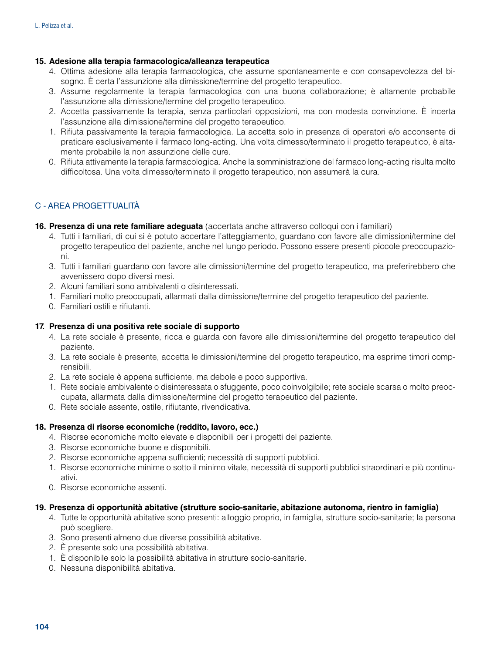# **15. Adesione alla terapia farmacologica/alleanza terapeutica**

- 4. Ottima adesione alla terapia farmacologica, che assume spontaneamente e con consapevolezza del bisogno. È certa l'assunzione alla dimissione/termine del progetto terapeutico.
- 3. Assume regolarmente la terapia farmacologica con una buona collaborazione; è altamente probabile l'assunzione alla dimissione/termine del progetto terapeutico.
- 2. Accetta passivamente la terapia, senza particolari opposizioni, ma con modesta convinzione. È incerta l'assunzione alla dimissione/termine del progetto terapeutico.
- 1. Rifiuta passivamente la terapia farmacologica. La accetta solo in presenza di operatori e/o acconsente di praticare esclusivamente il farmaco long-acting. Una volta dimesso/terminato il progetto terapeutico, è altamente probabile la non assunzione delle cure.
- 0. Rifiuta attivamente la terapia farmacologica. Anche la somministrazione del farmaco long-acting risulta molto difficoltosa. Una volta dimesso/terminato il progetto terapeutico, non assumerà la cura.

# C - AREA PROGETTUALITÀ

- **16. Presenza di una rete familiare adeguata** (accertata anche attraverso colloqui con i familiari)
	- 4. Tutti i familiari, di cui si è potuto accertare l'atteggiamento, guardano con favore alle dimissioni/termine del progetto terapeutico del paziente, anche nel lungo periodo. Possono essere presenti piccole preoccupazioni.
	- 3. Tutti i familiari guardano con favore alle dimissioni/termine del progetto terapeutico, ma preferirebbero che avvenissero dopo diversi mesi.
	- 2. Alcuni familiari sono ambivalenti o disinteressati.
	- 1. Familiari molto preoccupati, allarmati dalla dimissione/termine del progetto terapeutico del paziente.
	- 0. Familiari ostili e rifiutanti.

# **17. Presenza di una positiva rete sociale di supporto**

- 4. La rete sociale è presente, ricca e guarda con favore alle dimissioni/termine del progetto terapeutico del paziente.
- 3. La rete sociale è presente, accetta le dimissioni/termine del progetto terapeutico, ma esprime timori comprensibili.
- 2. La rete sociale è appena sufficiente, ma debole e poco supportiva.
- 1. Rete sociale ambivalente o disinteressata o sfuggente, poco coinvolgibile; rete sociale scarsa o molto preoccupata, allarmata dalla dimissione/termine del progetto terapeutico del paziente.
- 0. Rete sociale assente, ostile, rifiutante, rivendicativa.

# **18. Presenza di risorse economiche (reddito, lavoro, ecc.)**

- 4. Risorse economiche molto elevate e disponibili per i progetti del paziente.
- 3. Risorse economiche buone e disponibili.
- 2. Risorse economiche appena sufficienti; necessità di supporti pubblici.
- 1. Risorse economiche minime o sotto il minimo vitale, necessità di supporti pubblici straordinari e più continuativi.
- 0. Risorse economiche assenti.

#### **19. Presenza di opportunità abitative (strutture socio-sanitarie, abitazione autonoma, rientro in famiglia)**

- 4. Tutte le opportunità abitative sono presenti: alloggio proprio, in famiglia, strutture socio-sanitarie; la persona può scegliere.
- 3. Sono presenti almeno due diverse possibilità abitative.
- 2. È presente solo una possibilità abitativa.
- 1. È disponibile solo la possibilità abitativa in strutture socio-sanitarie.
- 0. Nessuna disponibilità abitativa.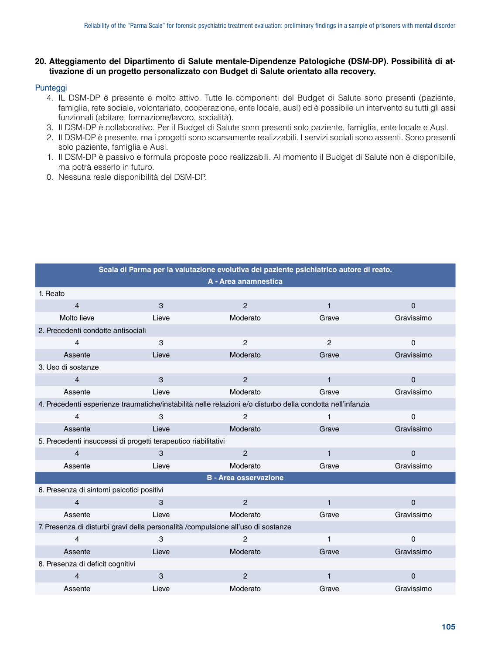#### **20. Atteggiamento del Dipartimento di Salute mentale-Dipendenze Patologiche (DSM-DP). Possibilità di attivazione di un progetto personalizzato con Budget di Salute orientato alla recovery.**

#### Punteggi

- 4. IL DSM-DP è presente e molto attivo. Tutte le componenti del Budget di Salute sono presenti (paziente, famiglia, rete sociale, volontariato, cooperazione, ente locale, ausl) ed è possibile un intervento su tutti gli assi funzionali (abitare, formazione/lavoro, socialità).
- 3. Il DSM-DP è collaborativo. Per il Budget di Salute sono presenti solo paziente, famiglia, ente locale e Ausl.
- 2. Il DSM-DP è presente, ma i progetti sono scarsamente realizzabili. I servizi sociali sono assenti. Sono presenti solo paziente, famiglia e Ausl.
- 1. Il DSM-DP è passivo e formula proposte poco realizzabili. Al momento il Budget di Salute non è disponibile, ma potrà esserlo in futuro.
- 0. Nessuna reale disponibilità del DSM-DP.

| Scala di Parma per la valutazione evolutiva del paziente psichiatrico autore di reato. |       |                                                                                                            |              |              |  |
|----------------------------------------------------------------------------------------|-------|------------------------------------------------------------------------------------------------------------|--------------|--------------|--|
|                                                                                        |       | A - Area anamnestica                                                                                       |              |              |  |
| 1. Reato                                                                               |       |                                                                                                            |              |              |  |
| $\overline{4}$                                                                         | 3     | $\overline{2}$                                                                                             | $\mathbf{1}$ | $\mathbf{0}$ |  |
| Molto lieve                                                                            | Lieve | Moderato                                                                                                   | Grave        | Gravissimo   |  |
| 2. Precedenti condotte antisociali                                                     |       |                                                                                                            |              |              |  |
| 4                                                                                      | 3     | $\overline{2}$                                                                                             | 2            | 0            |  |
| Assente                                                                                | Lieve | Moderato                                                                                                   | Grave        | Gravissimo   |  |
| 3. Uso di sostanze                                                                     |       |                                                                                                            |              |              |  |
| $\overline{4}$                                                                         | 3     | $\overline{2}$                                                                                             | $\mathbf{1}$ | 0            |  |
| Assente                                                                                | Lieve | Moderato                                                                                                   | Grave        | Gravissimo   |  |
|                                                                                        |       | 4. Precedenti esperienze traumatiche/instabilità nelle relazioni e/o disturbo della condotta nell'infanzia |              |              |  |
| 4                                                                                      | 3     | $\overline{2}$                                                                                             | 1            | 0            |  |
| Assente                                                                                | Lieve | Moderato                                                                                                   | Grave        | Gravissimo   |  |
| 5. Precedenti insuccessi di progetti terapeutico riabilitativi                         |       |                                                                                                            |              |              |  |
| $\overline{\mathbf{4}}$                                                                | 3     | $\overline{2}$                                                                                             | $\mathbf{1}$ | $\mathbf 0$  |  |
| Assente                                                                                | Lieve | Moderato                                                                                                   | Grave        | Gravissimo   |  |
| <b>B</b> - Area osservazione                                                           |       |                                                                                                            |              |              |  |
| 6. Presenza di sintomi psicotici positivi                                              |       |                                                                                                            |              |              |  |
| 4                                                                                      | 3     | $\overline{2}$                                                                                             | $\mathbf{1}$ | $\mathbf 0$  |  |
| Assente                                                                                | Lieve | Moderato                                                                                                   | Grave        | Gravissimo   |  |
| 7. Presenza di disturbi gravi della personalità /compulsione all'uso di sostanze       |       |                                                                                                            |              |              |  |
| 4                                                                                      | 3     | $\overline{c}$                                                                                             | $\mathbf{1}$ | $\Omega$     |  |
| Assente                                                                                | Lieve | Moderato                                                                                                   | Grave        | Gravissimo   |  |
| 8. Presenza di deficit cognitivi                                                       |       |                                                                                                            |              |              |  |
| 4                                                                                      | 3     | $\overline{2}$                                                                                             | $\mathbf{1}$ | $\Omega$     |  |
| Assente                                                                                | Lieve | Moderato                                                                                                   | Grave        | Gravissimo   |  |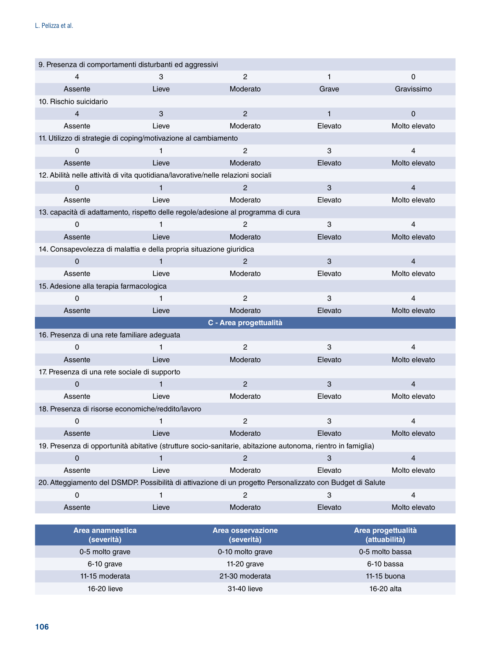| 9. Presenza di comportamenti disturbanti ed aggressivi                           |              |                                                                                                             |         |                                     |
|----------------------------------------------------------------------------------|--------------|-------------------------------------------------------------------------------------------------------------|---------|-------------------------------------|
| 4                                                                                | 3            | $\overline{c}$                                                                                              | 1       | $\Omega$                            |
| Assente                                                                          | Lieve        | Moderato                                                                                                    | Grave   | Gravissimo                          |
| 10. Rischio suicidario                                                           |              |                                                                                                             |         |                                     |
| 4                                                                                | 3            | $\overline{2}$                                                                                              | 1       | $\Omega$                            |
| Assente                                                                          | Lieve        | Moderato                                                                                                    | Elevato | Molto elevato                       |
| 11. Utilizzo di strategie di coping/motivazione al cambiamento                   |              |                                                                                                             |         |                                     |
| 0                                                                                | 1            | $\overline{2}$                                                                                              | 3       | 4                                   |
| Assente                                                                          | Lieve        | Moderato                                                                                                    | Elevato | Molto elevato                       |
| 12. Abilità nelle attività di vita quotidiana/lavorative/nelle relazioni sociali |              |                                                                                                             |         |                                     |
| 0                                                                                | $\mathbf{1}$ | 2                                                                                                           | 3       | $\overline{4}$                      |
| Assente                                                                          | Lieve        | Moderato                                                                                                    | Elevato | Molto elevato                       |
|                                                                                  |              | 13. capacità di adattamento, rispetto delle regole/adesione al programma di cura                            |         |                                     |
| 0                                                                                | 1            | 2                                                                                                           | 3       | 4                                   |
| Assente                                                                          | Lieve        | Moderato                                                                                                    | Elevato | Molto elevato                       |
| 14. Consapevolezza di malattia e della propria situazione giuridica              |              |                                                                                                             |         |                                     |
| $\Omega$                                                                         | 1            | 2                                                                                                           | 3       | $\overline{4}$                      |
| Assente                                                                          | Lieve        | Moderato                                                                                                    | Elevato | Molto elevato                       |
| 15. Adesione alla terapia farmacologica                                          |              |                                                                                                             |         |                                     |
| $\Omega$                                                                         | 1            | $\overline{2}$                                                                                              | 3       | $\overline{4}$                      |
| Assente                                                                          | Lieve        | Moderato                                                                                                    | Elevato | Molto elevato                       |
|                                                                                  |              | C - Area progettualità                                                                                      |         |                                     |
| 16. Presenza di una rete familiare adeguata                                      |              |                                                                                                             |         |                                     |
| $\Omega$                                                                         | 1            | $\overline{c}$                                                                                              | 3       | 4                                   |
| Assente                                                                          | Lieve        | Moderato                                                                                                    | Elevato | Molto elevato                       |
| 17. Presenza di una rete sociale di supporto                                     |              |                                                                                                             |         |                                     |
| 0                                                                                | 1            | $\overline{2}$                                                                                              | 3       | $\overline{4}$                      |
| Assente                                                                          | Lieve        | Moderato                                                                                                    | Elevato | Molto elevato                       |
| 18. Presenza di risorse economiche/reddito/lavoro                                |              |                                                                                                             |         |                                     |
| 0                                                                                | 1            | $\overline{c}$                                                                                              | 3       | 4                                   |
| Assente                                                                          | Lieve        | Moderato                                                                                                    | Elevato | Molto elevato                       |
|                                                                                  |              | 19. Presenza di opportunità abitative (strutture socio-sanitarie, abitazione autonoma, rientro in famiglia) |         |                                     |
| 0                                                                                | $\mathbf{1}$ | $\overline{c}$                                                                                              | 3       | $\overline{4}$                      |
| Assente                                                                          | Lieve        | Moderato                                                                                                    | Elevato | Molto elevato                       |
|                                                                                  |              | 20. Atteggiamento del DSMDP. Possibilità di attivazione di un progetto Personalizzato con Budget di Salute  |         |                                     |
| 0                                                                                | 1            | 2                                                                                                           | 3       | 4                                   |
| Assente                                                                          | Lieve        | Moderato                                                                                                    | Elevato | Molto elevato                       |
|                                                                                  |              |                                                                                                             |         |                                     |
| Area anamnestica<br>(severità)                                                   |              | Area osservazione<br>(severità)                                                                             |         | Area progettualità<br>(attuabilità) |

| Area anamnestica<br>(severità) | Area osservazione<br>(severità) | Area progettualità<br>(attuabilità) |
|--------------------------------|---------------------------------|-------------------------------------|
| 0-5 molto grave                | 0-10 molto grave                | 0-5 molto bassa                     |
| 6-10 grave                     | 11-20 grave                     | 6-10 bassa                          |
| 11-15 moderata                 | 21-30 moderata                  | 11-15 buona                         |
| 16-20 lieve                    | 31-40 lieve                     | 16-20 alta                          |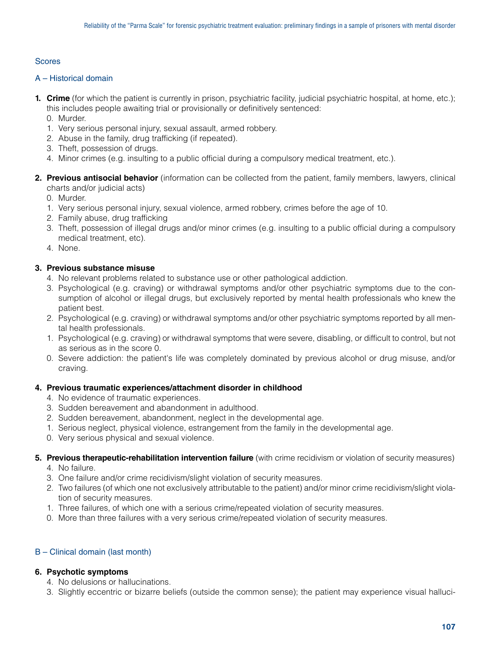# **Scores**

# A – Historical domain

**1. Crime** (for which the patient is currently in prison, psychiatric facility, judicial psychiatric hospital, at home, etc.); this includes people awaiting trial or provisionally or definitively sentenced:

0. Murder.

- 1. Very serious personal injury, sexual assault, armed robbery.
- 2. Abuse in the family, drug trafficking (if repeated).
- 3. Theft, possession of drugs.
- 4. Minor crimes (e.g. insulting to a public official during a compulsory medical treatment, etc.).
- **2. Previous antisocial behavior** (information can be collected from the patient, family members, lawyers, clinical charts and/or judicial acts)

0. Murder.

- 1. Very serious personal injury, sexual violence, armed robbery, crimes before the age of 10.
- 2. Family abuse, drug trafficking
- 3. Theft, possession of illegal drugs and/or minor crimes (e.g. insulting to a public official during a compulsory medical treatment, etc).
- 4. None.

# **3. Previous substance misuse**

- 4. No relevant problems related to substance use or other pathological addiction.
- 3. Psychological (e.g. craving) or withdrawal symptoms and/or other psychiatric symptoms due to the consumption of alcohol or illegal drugs, but exclusively reported by mental health professionals who knew the patient best.
- 2. Psychological (e.g. craving) or withdrawal symptoms and/or other psychiatric symptoms reported by all mental health professionals.
- 1. Psychological (e.g. craving) or withdrawal symptoms that were severe, disabling, or difficult to control, but not as serious as in the score 0.
- 0. Severe addiction: the patient's life was completely dominated by previous alcohol or drug misuse, and/or craving.

#### **4. Previous traumatic experiences/attachment disorder in childhood**

- 4. No evidence of traumatic experiences.
- 3. Sudden bereavement and abandonment in adulthood.
- 2. Sudden bereavement, abandonment, neglect in the developmental age.
- 1. Serious neglect, physical violence, estrangement from the family in the developmental age.
- 0. Very serious physical and sexual violence.
- **5. Previous therapeutic-rehabilitation intervention failure** (with crime recidivism or violation of security measures)
	- 4. No failure.
	- 3. One failure and/or crime recidivism/slight violation of security measures.
	- 2. Two failures (of which one not exclusively attributable to the patient) and/or minor crime recidivism/slight violation of security measures.
	- 1. Three failures, of which one with a serious crime/repeated violation of security measures.
	- 0. More than three failures with a very serious crime/repeated violation of security measures.

# B – Clinical domain (last month)

# **6. Psychotic symptoms**

- 4. No delusions or hallucinations.
- 3. Slightly eccentric or bizarre beliefs (outside the common sense); the patient may experience visual halluci-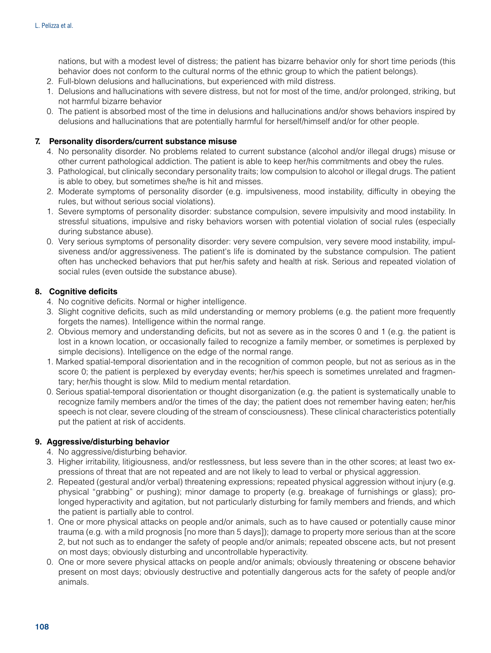nations, but with a modest level of distress; the patient has bizarre behavior only for short time periods (this behavior does not conform to the cultural norms of the ethnic group to which the patient belongs).

- 2. Full-blown delusions and hallucinations, but experienced with mild distress.
- 1. Delusions and hallucinations with severe distress, but not for most of the time, and/or prolonged, striking, but not harmful bizarre behavior
- 0. The patient is absorbed most of the time in delusions and hallucinations and/or shows behaviors inspired by delusions and hallucinations that are potentially harmful for herself/himself and/or for other people.

# **7. Personality disorders/current substance misuse**

- 4. No personality disorder. No problems related to current substance (alcohol and/or illegal drugs) misuse or other current pathological addiction. The patient is able to keep her/his commitments and obey the rules.
- 3. Pathological, but clinically secondary personality traits; low compulsion to alcohol or illegal drugs. The patient is able to obey, but sometimes she/he is hit and misses.
- 2. Moderate symptoms of personality disorder (e.g. impulsiveness, mood instability, difficulty in obeying the rules, but without serious social violations).
- 1. Severe symptoms of personality disorder: substance compulsion, severe impulsivity and mood instability. In stressful situations, impulsive and risky behaviors worsen with potential violation of social rules (especially during substance abuse).
- 0. Very serious symptoms of personality disorder: very severe compulsion, very severe mood instability, impulsiveness and/or aggressiveness. The patient's life is dominated by the substance compulsion. The patient often has unchecked behaviors that put her/his safety and health at risk. Serious and repeated violation of social rules (even outside the substance abuse).

# **8. Cognitive deficits**

- 4. No cognitive deficits. Normal or higher intelligence.
- 3. Slight cognitive deficits, such as mild understanding or memory problems (e.g. the patient more frequently forgets the names). Intelligence within the normal range.
- 2. Obvious memory and understanding deficits, but not as severe as in the scores 0 and 1 (e.g. the patient is lost in a known location, or occasionally failed to recognize a family member, or sometimes is perplexed by simple decisions). Intelligence on the edge of the normal range.
- 1. Marked spatial-temporal disorientation and in the recognition of common people, but not as serious as in the score 0; the patient is perplexed by everyday events; her/his speech is sometimes unrelated and fragmentary; her/his thought is slow. Mild to medium mental retardation.
- 0. Serious spatial-temporal disorientation or thought disorganization (e.g. the patient is systematically unable to recognize family members and/or the times of the day; the patient does not remember having eaten; her/his speech is not clear, severe clouding of the stream of consciousness). These clinical characteristics potentially put the patient at risk of accidents.

# **9. Aggressive/disturbing behavior**

- 4. No aggressive/disturbing behavior.
- 3. Higher irritability, litigiousness, and/or restlessness, but less severe than in the other scores; at least two expressions of threat that are not repeated and are not likely to lead to verbal or physical aggression.
- 2. Repeated (gestural and/or verbal) threatening expressions; repeated physical aggression without injury (e.g. physical "grabbing" or pushing); minor damage to property (e.g. breakage of furnishings or glass); prolonged hyperactivity and agitation, but not particularly disturbing for family members and friends, and which the patient is partially able to control.
- 1. One or more physical attacks on people and/or animals, such as to have caused or potentially cause minor trauma (e.g. with a mild prognosis [no more than 5 days]); damage to property more serious than at the score 2, but not such as to endanger the safety of people and/or animals; repeated obscene acts, but not present on most days; obviously disturbing and uncontrollable hyperactivity.
- 0. One or more severe physical attacks on people and/or animals; obviously threatening or obscene behavior present on most days; obviously destructive and potentially dangerous acts for the safety of people and/or animals.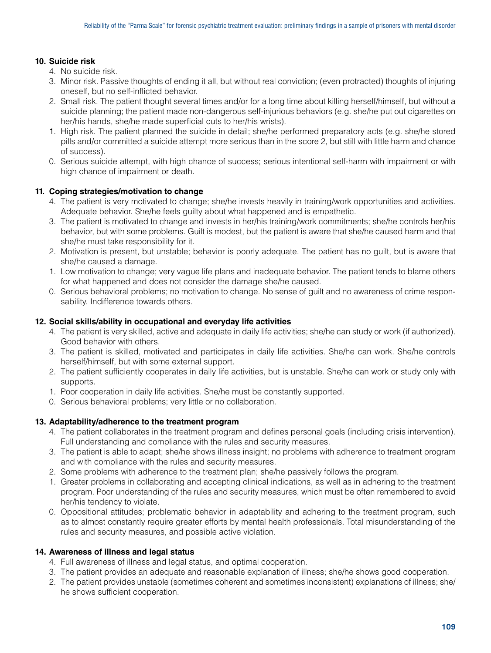# **10. Suicide risk**

- 4. No suicide risk.
- 3. Minor risk. Passive thoughts of ending it all, but without real conviction; (even protracted) thoughts of injuring oneself, but no self-inflicted behavior.
- 2. Small risk. The patient thought several times and/or for a long time about killing herself/himself, but without a suicide planning; the patient made non-dangerous self-injurious behaviors (e.g. she/he put out cigarettes on her/his hands, she/he made superficial cuts to her/his wrists).
- 1. High risk. The patient planned the suicide in detail; she/he performed preparatory acts (e.g. she/he stored pills and/or committed a suicide attempt more serious than in the score 2, but still with little harm and chance of success).
- 0. Serious suicide attempt, with high chance of success; serious intentional self-harm with impairment or with high chance of impairment or death.

# **11. Coping strategies/motivation to change**

- 4. The patient is very motivated to change; she/he invests heavily in training/work opportunities and activities. Adequate behavior. She/he feels guilty about what happened and is empathetic.
- 3. The patient is motivated to change and invests in her/his training/work commitments; she/he controls her/his behavior, but with some problems. Guilt is modest, but the patient is aware that she/he caused harm and that she/he must take responsibility for it.
- 2. Motivation is present, but unstable; behavior is poorly adequate. The patient has no guilt, but is aware that she/he caused a damage.
- 1. Low motivation to change; very vague life plans and inadequate behavior. The patient tends to blame others for what happened and does not consider the damage she/he caused.
- 0. Serious behavioral problems; no motivation to change. No sense of guilt and no awareness of crime responsability. Indifference towards others.

# **12. Social skills/ability in occupational and everyday life activities**

- 4. The patient is very skilled, active and adequate in daily life activities; she/he can study or work (if authorized). Good behavior with others.
- 3. The patient is skilled, motivated and participates in daily life activities. She/he can work. She/he controls herself/himself, but with some external support.
- 2. The patient sufficiently cooperates in daily life activities, but is unstable. She/he can work or study only with supports.
- 1. Poor cooperation in daily life activities. She/he must be constantly supported.
- 0. Serious behavioral problems; very little or no collaboration.

# **13. Adaptability/adherence to the treatment program**

- 4. The patient collaborates in the treatment program and defines personal goals (including crisis intervention). Full understanding and compliance with the rules and security measures.
- 3. The patient is able to adapt; she/he shows illness insight; no problems with adherence to treatment program and with compliance with the rules and security measures.
- 2. Some problems with adherence to the treatment plan; she/he passively follows the program.
- 1. Greater problems in collaborating and accepting clinical indications, as well as in adhering to the treatment program. Poor understanding of the rules and security measures, which must be often remembered to avoid her/his tendency to violate.
- 0. Oppositional attitudes; problematic behavior in adaptability and adhering to the treatment program, such as to almost constantly require greater efforts by mental health professionals. Total misunderstanding of the rules and security measures, and possible active violation.

# **14. Awareness of illness and legal status**

- 4. Full awareness of illness and legal status, and optimal cooperation.
- 3. The patient provides an adequate and reasonable explanation of illness; she/he shows good cooperation.
- 2. The patient provides unstable (sometimes coherent and sometimes inconsistent) explanations of illness; she/ he shows sufficient cooperation.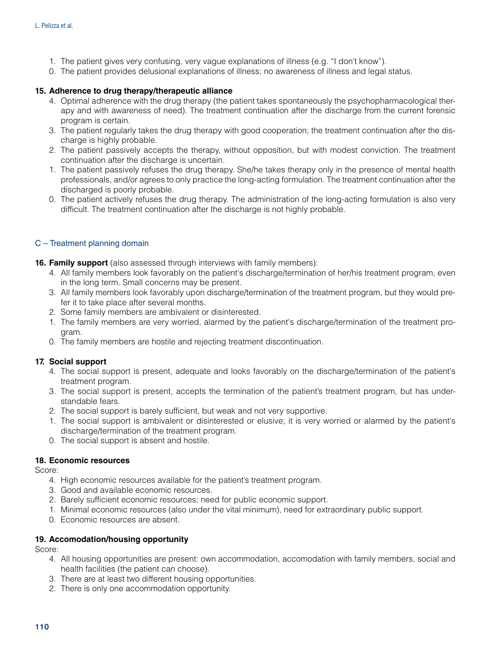- 1. The patient gives very confusing, very vague explanations of illness (e.g. "I don't know").
- 0. The patient provides delusional explanations of illness; no awareness of illness and legal status.

# **15. Adherence to drug therapy/therapeutic alliance**

- 4. Optimal adherence with the drug therapy (the patient takes spontaneously the psychopharmacological therapy and with awareness of need). The treatment continuation after the discharge from the current forensic program is certain.
- 3. The patient regularly takes the drug therapy with good cooperation; the treatment continuation after the discharge is highly probable.
- 2. The patient passively accepts the therapy, without opposition, but with modest conviction. The treatment continuation after the discharge is uncertain.
- 1. The patient passively refuses the drug therapy. She/he takes therapy only in the presence of mental health professionals, and/or agrees to only practice the long-acting formulation. The treatment continuation after the discharged is poorly probable.
- 0. The patient actively refuses the drug therapy. The administration of the long-acting formulation is also very difficult. The treatment continuation after the discharge is not highly probable.

# C – Treatment planning domain

- **16. Family support** (also assessed through interviews with family members):
	- 4. All family members look favorably on the patient's discharge/termination of her/his treatment program, even in the long term. Small concerns may be present.
	- 3. All family members look favorably upon discharge/termination of the treatment program, but they would prefer it to take place after several months.
	- 2. Some family members are ambivalent or disinterested.
	- 1. The family members are very worried, alarmed by the patient's discharge/termination of the treatment program.
	- 0. The family members are hostile and rejecting treatment discontinuation.

# **17. Social support**

- 4. The social support is present, adequate and looks favorably on the discharge/termination of the patient's treatment program.
- 3. The social support is present, accepts the termination of the patient's treatment program, but has understandable fears.
- 2. The social support is barely sufficient, but weak and not very supportive.
- 1. The social support is ambivalent or disinterested or elusive; it is very worried or alarmed by the patient's discharge/termination of the treatment program.
- 0. The social support is absent and hostile.

#### **18. Economic resources**

Score:

- 4. High economic resources available for the patient's treatment program.
- 3. Good and available economic resources.
- 2. Barely sufficient economic resources; need for public economic support.
- 1. Minimal economic resources (also under the vital minimum), need for extraordinary public support.
- 0. Economic resources are absent.

#### **19. Accomodation/housing opportunity**

Score:

- 4. All housing opportunities are present: own accommodation, accomodation with family members, social and health facilities (the patient can choose).
- 3. There are at least two different housing opportunities.
- 2. There is only one accommodation opportunity.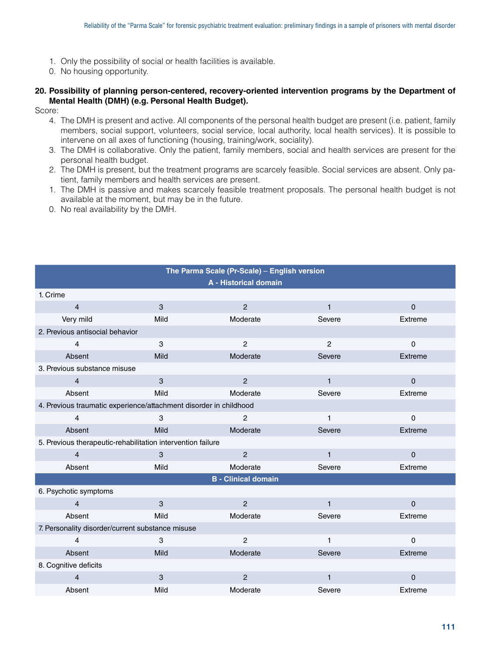- 1. Only the possibility of social or health facilities is available.
- 0. No housing opportunity.

## **20. Possibility of planning person-centered, recovery-oriented intervention programs by the Department of Mental Health (DMH) (e.g. Personal Health Budget).**

Score:

- 4. The DMH is present and active. All components of the personal health budget are present (i.e. patient, family members, social support, volunteers, social service, local authority, local health services). It is possible to intervene on all axes of functioning (housing, training/work, sociality).
- 3. The DMH is collaborative. Only the patient, family members, social and health services are present for the personal health budget.
- 2. The DMH is present, but the treatment programs are scarcely feasible. Social services are absent. Only patient, family members and health services are present.
- 1. The DMH is passive and makes scarcely feasible treatment proposals. The personal health budget is not available at the moment, but may be in the future.

**The Parma Scale (Pr-Scale)** – **English version**

0. No real availability by the DMH.

| $\overline{\text{m}}$ rule railing ocale (FP-ocale) – Eligiisii versioni |      |                       |                |             |  |
|--------------------------------------------------------------------------|------|-----------------------|----------------|-------------|--|
|                                                                          |      | A - Historical domain |                |             |  |
| 1. Crime                                                                 |      |                       |                |             |  |
| $\overline{4}$                                                           | 3    | $\overline{2}$        | $\mathbf{1}$   | $\mathbf 0$ |  |
| Very mild                                                                | Mild | Moderate              | Severe         | Extreme     |  |
| 2. Previous antisocial behavior                                          |      |                       |                |             |  |
| $\overline{4}$                                                           | 3    | $\overline{2}$        | $\overline{2}$ | $\mathbf 0$ |  |
| Absent                                                                   | Mild | Moderate              | Severe         | Extreme     |  |
| 3. Previous substance misuse                                             |      |                       |                |             |  |
| $\overline{4}$                                                           | 3    | $\overline{2}$        | $\mathbf{1}$   | $\Omega$    |  |
| Absent                                                                   | Mild | Moderate              | Severe         | Extreme     |  |
| 4. Previous traumatic experience/attachment disorder in childhood        |      |                       |                |             |  |
| 4                                                                        | 3    | 2                     | 1              | $\mathsf 0$ |  |
| Absent                                                                   | Mild | Moderate              | Severe         | Extreme     |  |
| 5. Previous therapeutic-rehabilitation intervention failure              |      |                       |                |             |  |
| $\overline{4}$                                                           | 3    | $\mathbf{2}$          | $\mathbf{1}$   | $\pmb{0}$   |  |
| Absent                                                                   | Mild | Moderate              | Severe         | Extreme     |  |
| <b>B</b> - Clinical domain                                               |      |                       |                |             |  |
| 6. Psychotic symptoms                                                    |      |                       |                |             |  |
| $\overline{4}$                                                           | 3    | $\overline{2}$        | $\mathbf{1}$   | $\pmb{0}$   |  |
| Absent                                                                   | Mild | Moderate              | Severe         | Extreme     |  |
| 7. Personality disorder/current substance misuse                         |      |                       |                |             |  |
| 4                                                                        | 3    | $\overline{2}$        | 1              | $\Omega$    |  |
| Absent                                                                   | Mild | Moderate              | Severe         | Extreme     |  |
| 8. Cognitive deficits                                                    |      |                       |                |             |  |
| $\overline{4}$                                                           | 3    | $\overline{2}$        | 1              | $\mathbf 0$ |  |
| Absent                                                                   | Mild | Moderate              | Severe         | Extreme     |  |